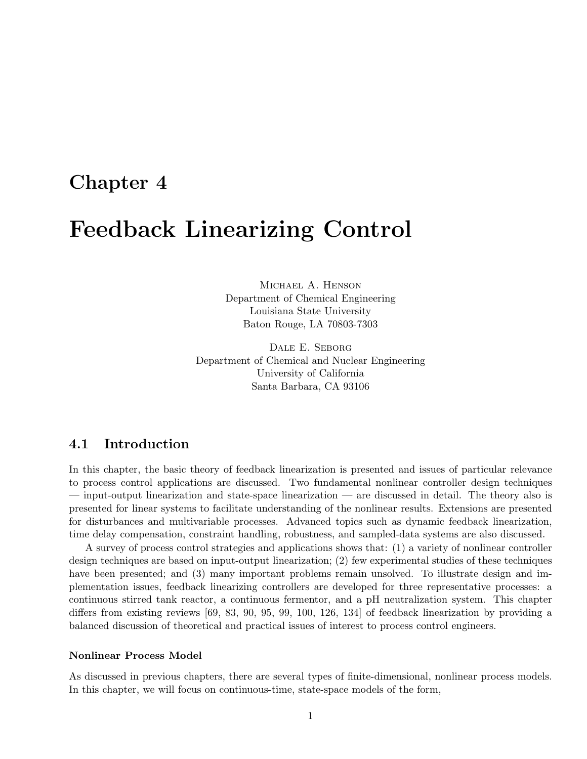## Chapter 4

## Feedback Linearizing Control

Michael A. Henson Department of Chemical Engineering Louisiana State University Baton Rouge, LA 70803-7303

Dale E. Seborg Department of Chemical and Nuclear Engineering University of California Santa Barbara, CA 93106

## 4.1 Introduction

In this chapter, the basic theory of feedback linearization is presented and issues of particular relevance to process control applications are discussed. Two fundamental nonlinear controller design techniques — input-output linearization and state-space linearization — are discussed in detail. The theory also is presented for linear systems to facilitate understanding of the nonlinear results. Extensions are presented for disturbances and multivariable processes. Advanced topics such as dynamic feedback linearization, time delay compensation, constraint handling, robustness, and sampled-data systems are also discussed.

A survey of process control strategies and applications shows that: (1) a variety of nonlinear controller design techniques are based on input-output linearization; (2) few experimental studies of these techniques have been presented; and (3) many important problems remain unsolved. To illustrate design and implementation issues, feedback linearizing controllers are developed for three representative processes: a continuous stirred tank reactor, a continuous fermentor, and a pH neutralization system. This chapter differs from existing reviews [69, 83, 90, 95, 99, 100, 126, 134] of feedback linearization by providing a balanced discussion of theoretical and practical issues of interest to process control engineers.

#### Nonlinear Process Model

As discussed in previous chapters, there are several types of finite-dimensional, nonlinear process models. In this chapter, we will focus on continuous-time, state-space models of the form,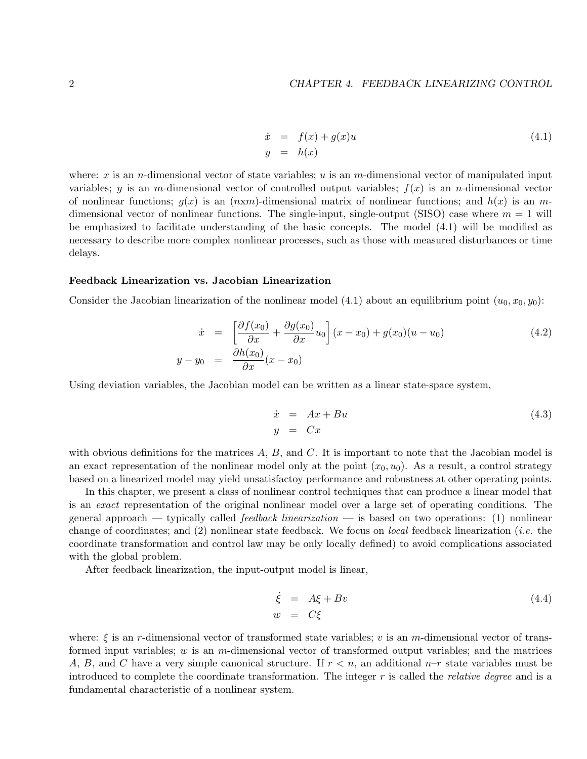$$
\begin{array}{rcl}\n\dot{x} & = & f(x) + g(x)u \\
y & = & h(x)\n\end{array} \tag{4.1}
$$

where: x is an n-dimensional vector of state variables; u is an m-dimensional vector of manipulated input variables; y is an m-dimensional vector of controlled output variables;  $f(x)$  is an n-dimensional vector of nonlinear functions;  $q(x)$  is an  $(n \times m)$ -dimensional matrix of nonlinear functions; and  $h(x)$  is an mdimensional vector of nonlinear functions. The single-input, single-output (SISO) case where  $m = 1$  will be emphasized to facilitate understanding of the basic concepts. The model (4.1) will be modified as necessary to describe more complex nonlinear processes, such as those with measured disturbances or time delays.

#### Feedback Linearization vs. Jacobian Linearization

Consider the Jacobian linearization of the nonlinear model (4.1) about an equilibrium point  $(u_0, x_0, y_0)$ :

$$
\dot{x} = \left[\frac{\partial f(x_0)}{\partial x} + \frac{\partial g(x_0)}{\partial x}u_0\right](x - x_0) + g(x_0)(u - u_0)
$$
\n
$$
y - y_0 = \frac{\partial h(x_0)}{\partial x}(x - x_0)
$$
\n(4.2)

Using deviation variables, the Jacobian model can be written as a linear state-space system,

$$
\begin{array}{rcl}\n\dot{x} & = & Ax + Bu \\
y & = & Cx\n\end{array}\n\tag{4.3}
$$

with obvious definitions for the matrices  $A, B$ , and  $C$ . It is important to note that the Jacobian model is an exact representation of the nonlinear model only at the point  $(x_0, u_0)$ . As a result, a control strategy based on a linearized model may yield unsatisfactoy performance and robustness at other operating points.

In this chapter, we present a class of nonlinear control techniques that can produce a linear model that is an exact representation of the original nonlinear model over a large set of operating conditions. The general approach — typically called *feedback linearization* — is based on two operations: (1) nonlinear change of coordinates; and (2) nonlinear state feedback. We focus on local feedback linearization (i.e. the coordinate transformation and control law may be only locally defined) to avoid complications associated with the global problem.

After feedback linearization, the input-output model is linear,

$$
\dot{\xi} = A\xi + Bv \tag{4.4}
$$
\n
$$
w = C\xi
$$

where:  $\xi$  is an r-dimensional vector of transformed state variables; v is an m-dimensional vector of transformed input variables;  $w$  is an  $m$ -dimensional vector of transformed output variables; and the matrices A, B, and C have a very simple canonical structure. If  $r < n$ , an additional  $n-r$  state variables must be introduced to complete the coordinate transformation. The integer  $r$  is called the *relative degree* and is a fundamental characteristic of a nonlinear system.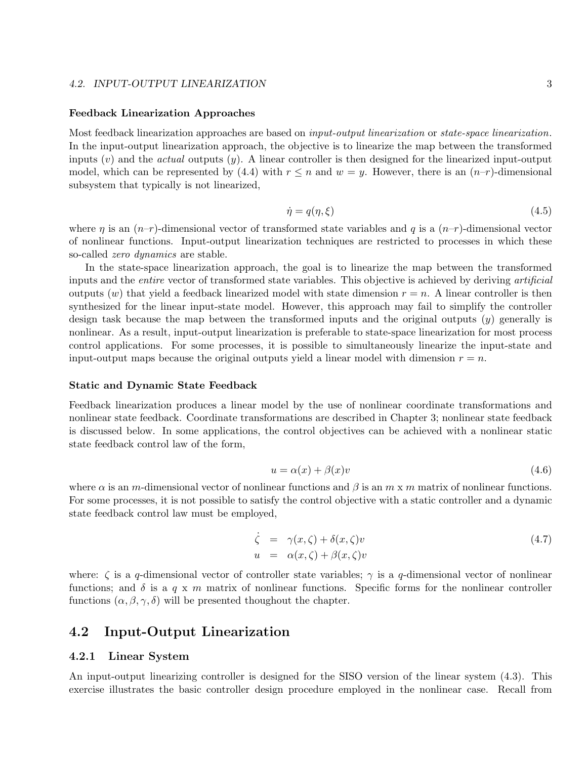#### 4.2. INPUT-OUTPUT LINEARIZATION 3

#### Feedback Linearization Approaches

Most feedback linearization approaches are based on *input-output linearization* or *state-space linearization*. In the input-output linearization approach, the objective is to linearize the map between the transformed inputs  $(v)$  and the *actual* outputs  $(y)$ . A linear controller is then designed for the linearized input-output model, which can be represented by (4.4) with  $r \leq n$  and  $w = y$ . However, there is an  $(n-r)$ -dimensional subsystem that typically is not linearized,

$$
\dot{\eta} = q(\eta, \xi) \tag{4.5}
$$

where  $\eta$  is an  $(n-r)$ -dimensional vector of transformed state variables and q is a  $(n-r)$ -dimensional vector of nonlinear functions. Input-output linearization techniques are restricted to processes in which these so-called zero dynamics are stable.

In the state-space linearization approach, the goal is to linearize the map between the transformed inputs and the *entire* vector of transformed state variables. This objective is achieved by deriving *artificial* outputs (w) that yield a feedback linearized model with state dimension  $r = n$ . A linear controller is then synthesized for the linear input-state model. However, this approach may fail to simplify the controller design task because the map between the transformed inputs and the original outputs  $(y)$  generally is nonlinear. As a result, input-output linearization is preferable to state-space linearization for most process control applications. For some processes, it is possible to simultaneously linearize the input-state and input-output maps because the original outputs yield a linear model with dimension  $r = n$ .

#### Static and Dynamic State Feedback

Feedback linearization produces a linear model by the use of nonlinear coordinate transformations and nonlinear state feedback. Coordinate transformations are described in Chapter 3; nonlinear state feedback is discussed below. In some applications, the control objectives can be achieved with a nonlinear static state feedback control law of the form,

$$
u = \alpha(x) + \beta(x)v \tag{4.6}
$$

where  $\alpha$  is an m-dimensional vector of nonlinear functions and  $\beta$  is an m x m matrix of nonlinear functions. For some processes, it is not possible to satisfy the control objective with a static controller and a dynamic state feedback control law must be employed,

$$
\dot{\zeta} = \gamma(x,\zeta) + \delta(x,\zeta)v \n u = \alpha(x,\zeta) + \beta(x,\zeta)v
$$
\n(4.7)

where:  $\zeta$  is a q-dimensional vector of controller state variables;  $\gamma$  is a q-dimensional vector of nonlinear functions; and  $\delta$  is a q x m matrix of nonlinear functions. Specific forms for the nonlinear controller functions  $(\alpha, \beta, \gamma, \delta)$  will be presented thoughout the chapter.

## 4.2 Input-Output Linearization

#### 4.2.1 Linear System

An input-output linearizing controller is designed for the SISO version of the linear system (4.3). This exercise illustrates the basic controller design procedure employed in the nonlinear case. Recall from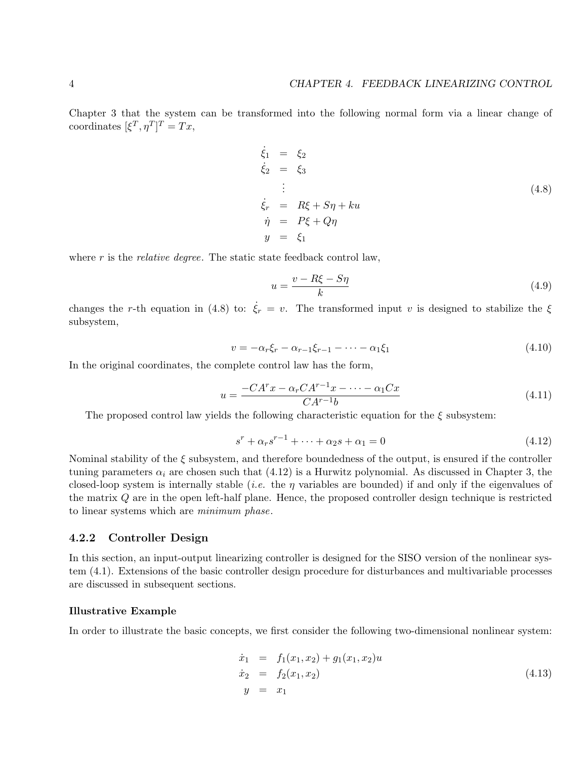Chapter 3 that the system can be transformed into the following normal form via a linear change of coordinates  $[\xi^T, \eta^T]^T = Tx$ ,

$$
\begin{aligned}\n\dot{\xi}_1 &= \xi_2 \\
\dot{\xi}_2 &= \xi_3 \\
\vdots \\
\dot{\xi}_r &= R\xi + S\eta + ku \\
\dot{\eta} &= P\xi + Q\eta \\
y &= \xi_1\n\end{aligned} \tag{4.8}
$$

where  $r$  is the *relative degree*. The static state feedback control law,

$$
u = \frac{v - R\xi - S\eta}{k} \tag{4.9}
$$

changes the r-th equation in (4.8) to:  $\dot{\xi}_r = v$ . The transformed input v is designed to stabilize the  $\xi$ subsystem,

$$
v = -\alpha_r \xi_r - \alpha_{r-1} \xi_{r-1} - \dots - \alpha_1 \xi_1 \tag{4.10}
$$

In the original coordinates, the complete control law has the form,

$$
u = \frac{-CA^rx - \alpha_r CA^{r-1}x - \dots - \alpha_1 Cx}{CA^{r-1}b} \tag{4.11}
$$

The proposed control law yields the following characteristic equation for the  $\xi$  subsystem:

$$
s^{r} + \alpha_{r}s^{r-1} + \dots + \alpha_{2}s + \alpha_{1} = 0
$$
\n(4.12)

Nominal stability of the  $\xi$  subsystem, and therefore boundedness of the output, is ensured if the controller tuning parameters  $\alpha_i$  are chosen such that (4.12) is a Hurwitz polynomial. As discussed in Chapter 3, the closed-loop system is internally stable (*i.e.* the  $\eta$  variables are bounded) if and only if the eigenvalues of the matrix Q are in the open left-half plane. Hence, the proposed controller design technique is restricted to linear systems which are minimum phase.

#### 4.2.2 Controller Design

In this section, an input-output linearizing controller is designed for the SISO version of the nonlinear system (4.1). Extensions of the basic controller design procedure for disturbances and multivariable processes are discussed in subsequent sections.

#### Illustrative Example

In order to illustrate the basic concepts, we first consider the following two-dimensional nonlinear system:

$$
\begin{array}{rcl}\n\dot{x}_1 & = & f_1(x_1, x_2) + g_1(x_1, x_2)u \\
\dot{x}_2 & = & f_2(x_1, x_2) \\
y & = & x_1\n\end{array} \tag{4.13}
$$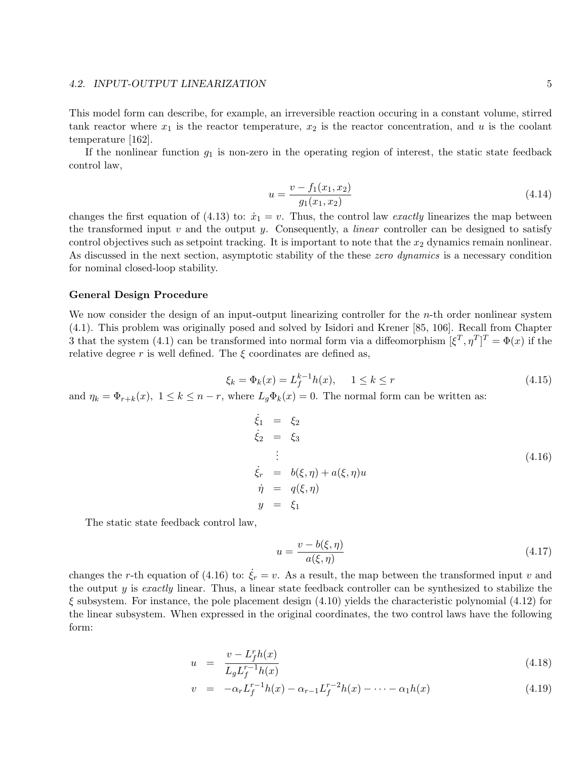#### 4.2. INPUT-OUTPUT LINEARIZATION 5

This model form can describe, for example, an irreversible reaction occuring in a constant volume, stirred tank reactor where  $x_1$  is the reactor temperature,  $x_2$  is the reactor concentration, and u is the coolant temperature [162].

If the nonlinear function  $g_1$  is non-zero in the operating region of interest, the static state feedback control law,

$$
u = \frac{v - f_1(x_1, x_2)}{g_1(x_1, x_2)}\tag{4.14}
$$

changes the first equation of (4.13) to:  $\dot{x}_1 = v$ . Thus, the control law exactly linearizes the map between the transformed input  $v$  and the output  $y$ . Consequently, a *linear* controller can be designed to satisfy control objectives such as setpoint tracking. It is important to note that the  $x_2$  dynamics remain nonlinear. As discussed in the next section, asymptotic stability of the these *zero dynamics* is a necessary condition for nominal closed-loop stability.

#### General Design Procedure

We now consider the design of an input-output linearizing controller for the  $n$ -th order nonlinear system (4.1). This problem was originally posed and solved by Isidori and Krener [85, 106]. Recall from Chapter 3 that the system (4.1) can be transformed into normal form via a diffeomorphism  $[\xi^T, \eta^T]^T = \Phi(x)$  if the relative degree r is well defined. The  $\xi$  coordinates are defined as,

$$
\xi_k = \Phi_k(x) = L_f^{k-1}h(x), \quad 1 \le k \le r \tag{4.15}
$$

and  $\eta_k = \Phi_{r+k}(x)$ ,  $1 \leq k \leq n-r$ , where  $L_q\Phi_k(x) = 0$ . The normal form can be written as:

$$
\begin{aligned}\n\dot{\xi}_1 &= \xi_2 \\
\dot{\xi}_2 &= \xi_3 \\
\vdots \\
\dot{\xi}_r &= b(\xi, \eta) + a(\xi, \eta)u \\
\dot{\eta} &= q(\xi, \eta) \\
y &= \xi_1\n\end{aligned} \tag{4.16}
$$

The static state feedback control law,

$$
u = \frac{v - b(\xi, \eta)}{a(\xi, \eta)}\tag{4.17}
$$

changes the r-th equation of (4.16) to:  $\xi_r = v$ . As a result, the map between the transformed input v and the output y is exactly linear. Thus, a linear state feedback controller can be synthesized to stabilize the  $\xi$  subsystem. For instance, the pole placement design (4.10) yields the characteristic polynomial (4.12) for the linear subsystem. When expressed in the original coordinates, the two control laws have the following form:

$$
u = \frac{v - L_f^r h(x)}{L_g L_f^{r-1} h(x)}
$$
\n(4.18)

$$
v = -\alpha_r L_f^{r-1} h(x) - \alpha_{r-1} L_f^{r-2} h(x) - \dots - \alpha_1 h(x) \tag{4.19}
$$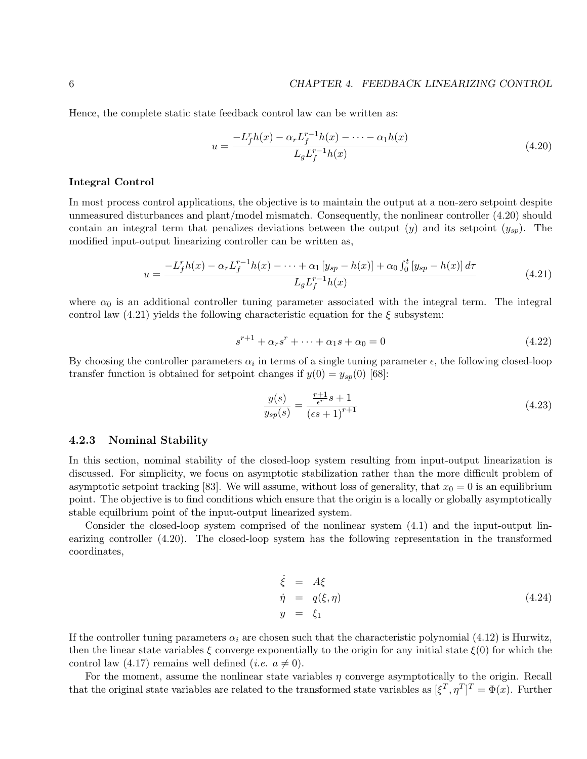Hence, the complete static state feedback control law can be written as:

$$
u = \frac{-L_f^r h(x) - \alpha_r L_f^{r-1} h(x) - \dots - \alpha_1 h(x)}{L_g L_f^{r-1} h(x)}
$$
(4.20)

#### Integral Control

In most process control applications, the objective is to maintain the output at a non-zero setpoint despite unmeasured disturbances and plant/model mismatch. Consequently, the nonlinear controller (4.20) should contain an integral term that penalizes deviations between the output  $(y)$  and its setpoint  $(y_{sn})$ . The modified input-output linearizing controller can be written as,

$$
u = \frac{-L_f^r h(x) - \alpha_r L_f^{r-1} h(x) - \dots + \alpha_1 [y_{sp} - h(x)] + \alpha_0 \int_0^t [y_{sp} - h(x)] d\tau}{L_g L_f^{r-1} h(x)}
$$
(4.21)

where  $\alpha_0$  is an additional controller tuning parameter associated with the integral term. The integral control law  $(4.21)$  yields the following characteristic equation for the  $\xi$  subsystem:

$$
s^{r+1} + \alpha_r s^r + \dots + \alpha_1 s + \alpha_0 = 0 \tag{4.22}
$$

By choosing the controller parameters  $\alpha_i$  in terms of a single tuning parameter  $\epsilon$ , the following closed-loop transfer function is obtained for setpoint changes if  $y(0) = y_{sp}(0)$  [68]:

$$
\frac{y(s)}{y_{sp}(s)} = \frac{\frac{r+1}{\epsilon^r} s + 1}{(\epsilon s + 1)^{r+1}}\tag{4.23}
$$

#### 4.2.3 Nominal Stability

In this section, nominal stability of the closed-loop system resulting from input-output linearization is discussed. For simplicity, we focus on asymptotic stabilization rather than the more difficult problem of asymptotic setpoint tracking [83]. We will assume, without loss of generality, that  $x_0 = 0$  is an equilibrium point. The objective is to find conditions which ensure that the origin is a locally or globally asymptotically stable equilbrium point of the input-output linearized system.

Consider the closed-loop system comprised of the nonlinear system (4.1) and the input-output linearizing controller (4.20). The closed-loop system has the following representation in the transformed coordinates,

$$
\dot{\xi} = A\xi \n\dot{\eta} = q(\xi, \eta) \n y = \xi_1
$$
\n(4.24)

If the controller tuning parameters  $\alpha_i$  are chosen such that the characteristic polynomial (4.12) is Hurwitz, then the linear state variables  $\xi$  converge exponentially to the origin for any initial state  $\xi(0)$  for which the control law (4.17) remains well defined (*i.e.*  $a \neq 0$ ).

For the moment, assume the nonlinear state variables  $\eta$  converge asymptotically to the origin. Recall that the original state variables are related to the transformed state variables as  $[\xi^T, \eta^T]^T = \Phi(x)$ . Further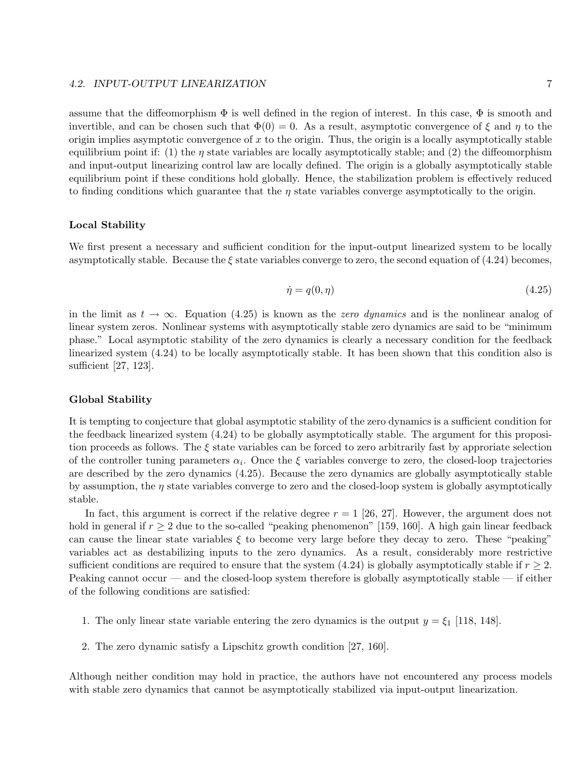#### 4.2. INPUT-OUTPUT LINEARIZATION 7

assume that the diffeomorphism  $\Phi$  is well defined in the region of interest. In this case,  $\Phi$  is smooth and invertible, and can be chosen such that  $\Phi(0) = 0$ . As a result, asymptotic convergence of  $\xi$  and  $\eta$  to the origin implies asymptotic convergence of  $x$  to the origin. Thus, the origin is a locally asymptotically stable equilibrium point if: (1) the  $\eta$  state variables are locally asymptotically stable; and (2) the diffeomorphism and input-output linearizing control law are locally defined. The origin is a globally asymptotically stable equilibrium point if these conditions hold globally. Hence, the stabilization problem is effectively reduced to finding conditions which guarantee that the  $\eta$  state variables converge asymptotically to the origin.

#### Local Stability

We first present a necessary and sufficient condition for the input-output linearized system to be locally asymptotically stable. Because the  $\xi$  state variables converge to zero, the second equation of (4.24) becomes,

$$
\dot{\eta} = q(0, \eta) \tag{4.25}
$$

in the limit as  $t \to \infty$ . Equation (4.25) is known as the *zero dynamics* and is the nonlinear analog of linear system zeros. Nonlinear systems with asymptotically stable zero dynamics are said to be "minimum phase." Local asymptotic stability of the zero dynamics is clearly a necessary condition for the feedback linearized system (4.24) to be locally asymptotically stable. It has been shown that this condition also is sufficient [27, 123].

#### Global Stability

It is tempting to conjecture that global asymptotic stability of the zero dynamics is a sufficient condition for the feedback linearized system (4.24) to be globally asymptotically stable. The argument for this proposition proceeds as follows. The  $\xi$  state variables can be forced to zero arbitrarily fast by approriate selection of the controller tuning parameters  $\alpha_i$ . Once the  $\xi$  variables converge to zero, the closed-loop trajectories are described by the zero dynamics (4.25). Because the zero dynamics are globally asymptotically stable by assumption, the  $\eta$  state variables converge to zero and the closed-loop system is globally asymptotically stable.

In fact, this argument is correct if the relative degree  $r = 1$  [26, 27]. However, the argument does not hold in general if  $r \geq 2$  due to the so-called "peaking phenomenon" [159, 160]. A high gain linear feedback can cause the linear state variables  $\xi$  to become very large before they decay to zero. These "peaking" variables act as destabilizing inputs to the zero dynamics. As a result, considerably more restrictive sufficient conditions are required to ensure that the system (4.24) is globally asymptotically stable if  $r \geq 2$ . Peaking cannot occur — and the closed-loop system therefore is globally asymptotically stable — if either of the following conditions are satisfied:

- 1. The only linear state variable entering the zero dynamics is the output  $y = \xi_1$  [118, 148].
- 2. The zero dynamic satisfy a Lipschitz growth condition [27, 160].

Although neither condition may hold in practice, the authors have not encountered any process models with stable zero dynamics that cannot be asymptotically stabilized via input-output linearization.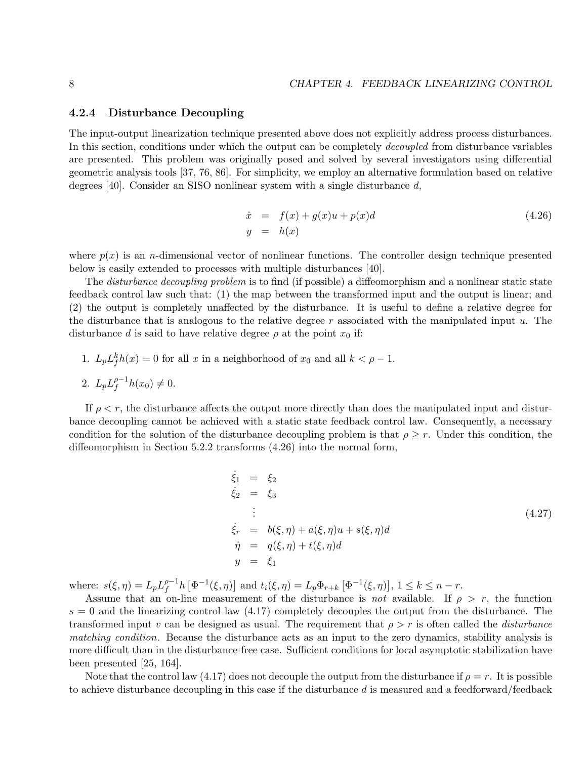#### 4.2.4 Disturbance Decoupling

The input-output linearization technique presented above does not explicitly address process disturbances. In this section, conditions under which the output can be completely *decoupled* from disturbance variables are presented. This problem was originally posed and solved by several investigators using differential geometric analysis tools [37, 76, 86]. For simplicity, we employ an alternative formulation based on relative degrees [40]. Consider an SISO nonlinear system with a single disturbance d,

$$
\begin{array}{rcl}\n\dot{x} & = & f(x) + g(x)u + p(x)d \\
y & = & h(x)\n\end{array} \tag{4.26}
$$

where  $p(x)$  is an *n*-dimensional vector of nonlinear functions. The controller design technique presented below is easily extended to processes with multiple disturbances [40].

The disturbance decoupling problem is to find (if possible) a diffeomorphism and a nonlinear static state feedback control law such that: (1) the map between the transformed input and the output is linear; and (2) the output is completely unaffected by the disturbance. It is useful to define a relative degree for the disturbance that is analogous to the relative degree  $r$  associated with the manipulated input  $u$ . The disturbance d is said to have relative degree  $\rho$  at the point  $x_0$  if:

1.  $L_p L_f^k h(x) = 0$  for all x in a neighborhood of  $x_0$  and all  $k < \rho - 1$ . 2.  $L_p L_f^{\rho-1}$  $_{f}^{\rho-1}h(x_0)\neq 0.$ 

If  $\rho < r$ , the disturbance affects the output more directly than does the manipulated input and disturbance decoupling cannot be achieved with a static state feedback control law. Consequently, a necessary condition for the solution of the disturbance decoupling problem is that  $\rho \geq r$ . Under this condition, the diffeomorphism in Section 5.2.2 transforms (4.26) into the normal form,

$$
\dot{\xi}_1 = \xi_2
$$
\n
$$
\dot{\xi}_2 = \xi_3
$$
\n
$$
\vdots
$$
\n
$$
\dot{\xi}_r = b(\xi, \eta) + a(\xi, \eta)u + s(\xi, \eta)d
$$
\n
$$
\dot{\eta} = q(\xi, \eta) + t(\xi, \eta)d
$$
\n
$$
y = \xi_1
$$
\n(4.27)

where:  $s(\xi, \eta) = L_p L_f^{\rho-1}$  $f_f^{\rho-1}h\left[\Phi^{-1}(\xi,\eta)\right]$  and  $t_i(\xi,\eta) = L_p\Phi_{r+k}\left[\Phi^{-1}(\xi,\eta)\right], 1 \leq k \leq n-r.$ 

Assume that an on-line measurement of the disturbance is not available. If  $\rho > r$ , the function  $s = 0$  and the linearizing control law  $(4.17)$  completely decouples the output from the disturbance. The transformed input v can be designed as usual. The requirement that  $\rho > r$  is often called the *disturbance* matching condition. Because the disturbance acts as an input to the zero dynamics, stability analysis is more difficult than in the disturbance-free case. Sufficient conditions for local asymptotic stabilization have been presented [25, 164].

Note that the control law (4.17) does not decouple the output from the disturbance if  $\rho = r$ . It is possible to achieve disturbance decoupling in this case if the disturbance  $d$  is measured and a feedforward/feedback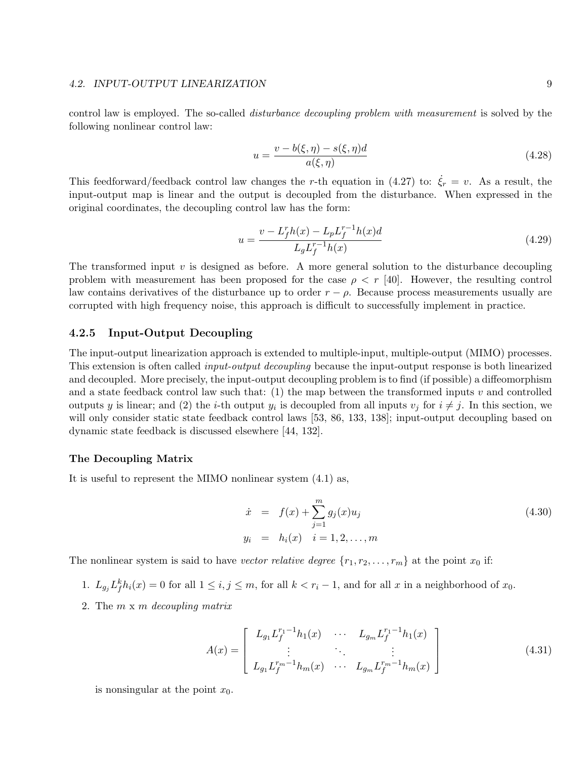#### 4.2. INPUT-OUTPUT LINEARIZATION 9

control law is employed. The so-called disturbance decoupling problem with measurement is solved by the following nonlinear control law:

$$
u = \frac{v - b(\xi, \eta) - s(\xi, \eta)d}{a(\xi, \eta)}
$$
\n(4.28)

This feedforward/feedback control law changes the r-th equation in (4.27) to:  $\xi_r = v$ . As a result, the input-output map is linear and the output is decoupled from the disturbance. When expressed in the original coordinates, the decoupling control law has the form:

$$
u = \frac{v - L_f^r h(x) - L_p L_f^{r-1} h(x)d}{L_g L_f^{r-1} h(x)}
$$
\n(4.29)

The transformed input  $v$  is designed as before. A more general solution to the disturbance decoupling problem with measurement has been proposed for the case  $\rho \langle r | 40$ . However, the resulting control law contains derivatives of the disturbance up to order  $r - \rho$ . Because process measurements usually are corrupted with high frequency noise, this approach is difficult to successfully implement in practice.

#### 4.2.5 Input-Output Decoupling

The input-output linearization approach is extended to multiple-input, multiple-output (MIMO) processes. This extension is often called input-output decoupling because the input-output response is both linearized and decoupled. More precisely, the input-output decoupling problem is to find (if possible) a diffeomorphism and a state feedback control law such that: (1) the map between the transformed inputs  $v$  and controlled outputs y is linear; and (2) the *i*-th output  $y_i$  is decoupled from all inputs  $v_j$  for  $i \neq j$ . In this section, we will only consider static state feedback control laws [53, 86, 133, 138]; input-output decoupling based on dynamic state feedback is discussed elsewhere [44, 132].

#### The Decoupling Matrix

It is useful to represent the MIMO nonlinear system (4.1) as,

$$
\dot{x} = f(x) + \sum_{j=1}^{m} g_j(x) u_j
$$
\n
$$
y_i = h_i(x) \quad i = 1, 2, ..., m
$$
\n(4.30)

The nonlinear system is said to have vector relative degree  $\{r_1, r_2, \ldots, r_m\}$  at the point  $x_0$  if:

- 1.  $L_{g_j} L_f^k h_i(x) = 0$  for all  $1 \le i, j \le m$ , for all  $k < r_i 1$ , and for all x in a neighborhood of  $x_0$ .
- 2. The  $m \times m$  decoupling matrix

$$
A(x) = \begin{bmatrix} L_{g_1} L_f^{r_1 - 1} h_1(x) & \cdots & L_{g_m} L_f^{r_1 - 1} h_1(x) \\ \vdots & \ddots & \vdots \\ L_{g_1} L_f^{r_m - 1} h_m(x) & \cdots & L_{g_m} L_f^{r_m - 1} h_m(x) \end{bmatrix}
$$
(4.31)

is nonsingular at the point  $x_0$ .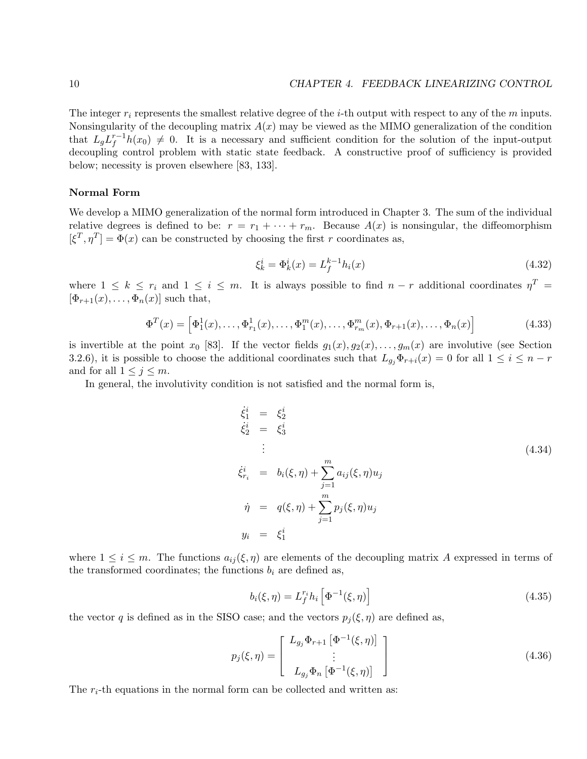The integer  $r_i$  represents the smallest relative degree of the *i*-th output with respect to any of the  $m$  inputs. Nonsingularity of the decoupling matrix  $A(x)$  may be viewed as the MIMO generalization of the condition that  $L_g L_f^{r-1} h(x_0) \neq 0$ . It is a necessary and sufficient condition for the solution of the input-output decoupling control problem with static state feedback. A constructive proof of sufficiency is provided below; necessity is proven elsewhere [83, 133].

#### Normal Form

We develop a MIMO generalization of the normal form introduced in Chapter 3. The sum of the individual relative degrees is defined to be:  $r = r_1 + \cdots + r_m$ . Because  $A(x)$  is nonsingular, the diffeomorphism  $[\xi^T, \eta^T] = \Phi(x)$  can be constructed by choosing the first r coordinates as,

$$
\xi_k^i = \Phi_k^i(x) = L_f^{k-1} h_i(x) \tag{4.32}
$$

where  $1 \leq k \leq r_i$  and  $1 \leq i \leq m$ . It is always possible to find  $n-r$  additional coordinates  $\eta^T =$  $[\Phi_{r+1}(x), \ldots, \Phi_n(x)]$  such that,

$$
\Phi^{T}(x) = \left[\Phi_{1}^{1}(x), \ldots, \Phi_{r_{1}}^{1}(x), \ldots, \Phi_{1}^{m}(x), \ldots, \Phi_{r_{m}}^{m}(x), \Phi_{r+1}(x), \ldots, \Phi_{n}(x)\right]
$$
(4.33)

is invertible at the point  $x_0$  [83]. If the vector fields  $g_1(x), g_2(x), \ldots, g_m(x)$  are involutive (see Section 3.2.6), it is possible to choose the additional coordinates such that  $L_{g_i}\Phi_{r+i}(x) = 0$  for all  $1 \leq i \leq n-r$ and for all  $1 \leq j \leq m$ .

In general, the involutivity condition is not satisfied and the normal form is,

$$
\dot{\xi}_1^i = \xi_2^i
$$
\n
$$
\dot{\xi}_2^i = \xi_3^i
$$
\n
$$
\vdots
$$
\n
$$
\dot{\xi}_{r_i}^i = b_i(\xi, \eta) + \sum_{j=1}^m a_{ij}(\xi, \eta) u_j
$$
\n
$$
\dot{\eta} = q(\xi, \eta) + \sum_{j=1}^m p_j(\xi, \eta) u_j
$$
\n
$$
y_i = \xi_1^i
$$
\n(4.34)

where  $1 \leq i \leq m$ . The functions  $a_{ij}(\xi, \eta)$  are elements of the decoupling matrix A expressed in terms of the transformed coordinates; the functions  $b_i$  are defined as,

$$
b_i(\xi, \eta) = L_f^{r_i} h_i \left[ \Phi^{-1}(\xi, \eta) \right]
$$
 (4.35)

the vector q is defined as in the SISO case; and the vectors  $p_i(\xi, \eta)$  are defined as,

$$
p_j(\xi, \eta) = \begin{bmatrix} L_{g_j} \Phi_{r+1} [\Phi^{-1}(\xi, \eta)] \\ \vdots \\ L_{g_j} \Phi_n [\Phi^{-1}(\xi, \eta)] \end{bmatrix}
$$
(4.36)

The  $r_i$ -th equations in the normal form can be collected and written as: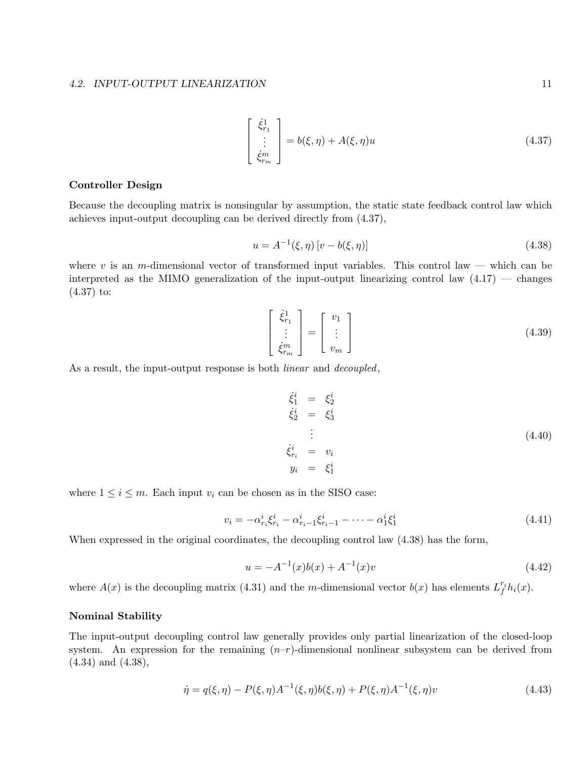#### 4.2. INPUT-OUTPUT LINEARIZATION 11

$$
\begin{bmatrix} \dot{\xi}_{r_1}^1 \\ \vdots \\ \dot{\xi}_{r_m}^m \end{bmatrix} = b(\xi, \eta) + A(\xi, \eta)u \tag{4.37}
$$

#### Controller Design

Because the decoupling matrix is nonsingular by assumption, the static state feedback control law which achieves input-output decoupling can be derived directly from (4.37),

$$
u = A^{-1}(\xi, \eta) [v - b(\xi, \eta)] \tag{4.38}
$$

where v is an m-dimensional vector of transformed input variables. This control law — which can be interpreted as the MIMO generalization of the input-output linearizing control law  $(4.17)$  — changes (4.37) to:

$$
\begin{bmatrix} \dot{\xi}_{r_1}^1 \\ \vdots \\ \dot{\xi}_{r_m}^m \end{bmatrix} = \begin{bmatrix} v_1 \\ \vdots \\ v_m \end{bmatrix}
$$
 (4.39)

As a result, the input-output response is both *linear* and *decoupled*,

$$
\begin{aligned}\n\dot{\xi}_1^i &= \xi_2^i \\
\dot{\xi}_2^i &= \xi_3^i \\
\vdots \\
\dot{\xi}_{r_i}^i &= v_i \\
y_i &= \xi_1^i\n\end{aligned} \tag{4.40}
$$

where  $1 \leq i \leq m$ . Each input  $v_i$  can be chosen as in the SISO case:

$$
v_i = -\alpha_{r_i}^i \xi_{r_i}^i - \alpha_{r_i - 1}^i \xi_{r_i - 1}^i - \dots - \alpha_1^i \xi_1^i
$$
\n(4.41)

When expressed in the original coordinates, the decoupling control law (4.38) has the form,

$$
u = -A^{-1}(x)b(x) + A^{-1}(x)v
$$
\n(4.42)

where  $A(x)$  is the decoupling matrix (4.31) and the m-dimensional vector  $b(x)$  has elements  $L_f^{r_i}h_i(x)$ .

#### Nominal Stability

The input-output decoupling control law generally provides only partial linearization of the closed-loop system. An expression for the remaining  $(n-r)$ -dimensional nonlinear subsystem can be derived from (4.34) and (4.38),

$$
\dot{\eta} = q(\xi, \eta) - P(\xi, \eta)A^{-1}(\xi, \eta)b(\xi, \eta) + P(\xi, \eta)A^{-1}(\xi, \eta)v
$$
\n(4.43)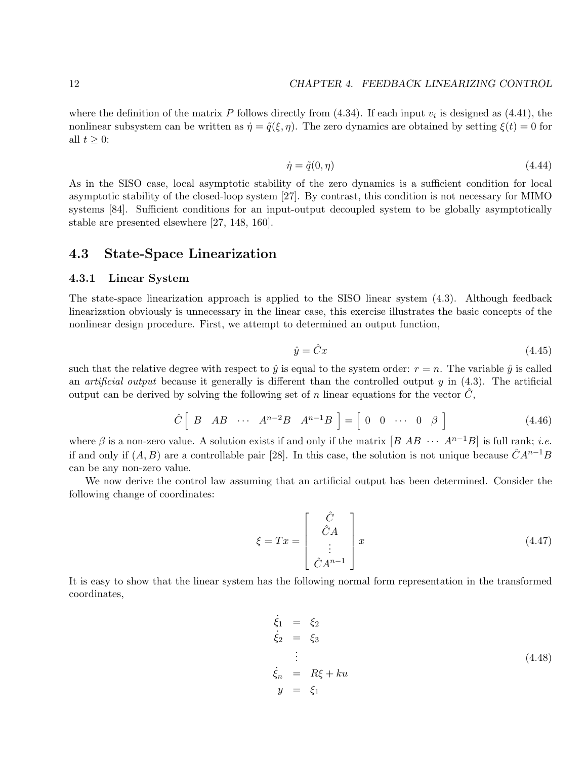where the definition of the matrix P follows directly from  $(4.34)$ . If each input  $v_i$  is designed as  $(4.41)$ , the nonlinear subsystem can be written as  $\dot{\eta} = \tilde{q}(\xi, \eta)$ . The zero dynamics are obtained by setting  $\xi(t) = 0$  for all  $t \geq 0$ :

$$
\dot{\eta} = \tilde{q}(0, \eta) \tag{4.44}
$$

As in the SISO case, local asymptotic stability of the zero dynamics is a sufficient condition for local asymptotic stability of the closed-loop system [27]. By contrast, this condition is not necessary for MIMO systems [84]. Sufficient conditions for an input-output decoupled system to be globally asymptotically stable are presented elsewhere [27, 148, 160].

## 4.3 State-Space Linearization

### 4.3.1 Linear System

The state-space linearization approach is applied to the SISO linear system (4.3). Although feedback linearization obviously is unnecessary in the linear case, this exercise illustrates the basic concepts of the nonlinear design procedure. First, we attempt to determined an output function,

$$
\hat{y} = \hat{C}x\tag{4.45}
$$

such that the relative degree with respect to  $\hat{y}$  is equal to the system order:  $r = n$ . The variable  $\hat{y}$  is called an *artificial output* because it generally is different than the controlled output  $y$  in  $(4.3)$ . The artificial output can be derived by solving the following set of n linear equations for the vector  $C$ ,

$$
\hat{C} \left[ B \quad AB \quad \cdots \quad A^{n-2}B \quad A^{n-1}B \right] = \left[ \begin{array}{cccc} 0 & 0 & \cdots & 0 & \beta \end{array} \right] \tag{4.46}
$$

where  $\beta$  is a non-zero value. A solution exists if and only if the matrix  $[B \ AB \ \cdots \ A^{n-1}B]$  is full rank; *i.e.* if and only if  $(A, B)$  are a controllable pair [28]. In this case, the solution is not unique because  $\hat{C}A^{n-1}B$ can be any non-zero value.

We now derive the control law assuming that an artificial output has been determined. Consider the following change of coordinates:

$$
\xi = Tx = \begin{bmatrix} \hat{C} \\ \hat{C}A \\ \vdots \\ \hat{C}A^{n-1} \end{bmatrix} x
$$
\n(4.47)

It is easy to show that the linear system has the following normal form representation in the transformed coordinates,

$$
\begin{aligned}\n\dot{\xi}_1 &= \xi_2 \\
\dot{\xi}_2 &= \xi_3 \\
\vdots \\
\dot{\xi}_n &= R\xi + ku \\
y &= \xi_1\n\end{aligned} \tag{4.48}
$$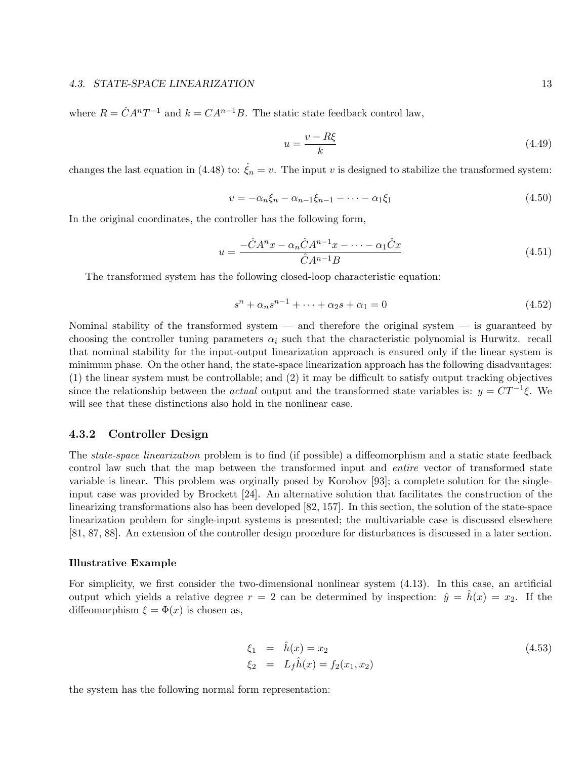where  $R = \hat{C}A^nT^{-1}$  and  $k = CA^{n-1}B$ . The static state feedback control law,

$$
u = \frac{v - R\xi}{k} \tag{4.49}
$$

changes the last equation in (4.48) to:  $\zeta_n = v$ . The input v is designed to stabilize the transformed system:

$$
v = -\alpha_n \xi_n - \alpha_{n-1} \xi_{n-1} - \dots - \alpha_1 \xi_1 \tag{4.50}
$$

In the original coordinates, the controller has the following form,

$$
u = \frac{-\hat{C}A^n x - \alpha_n \hat{C}A^{n-1}x - \dots - \alpha_1 \hat{C}x}{\hat{C}A^{n-1}B}
$$
(4.51)

The transformed system has the following closed-loop characteristic equation:

$$
s^{n} + \alpha_{n}s^{n-1} + \dots + \alpha_{2}s + \alpha_{1} = 0
$$
\n(4.52)

Nominal stability of the transformed system — and therefore the original system — is guaranteed by choosing the controller tuning parameters  $\alpha_i$  such that the characteristic polynomial is Hurwitz. recall that nominal stability for the input-output linearization approach is ensured only if the linear system is minimum phase. On the other hand, the state-space linearization approach has the following disadvantages: (1) the linear system must be controllable; and (2) it may be difficult to satisfy output tracking objectives since the relationship between the *actual* output and the transformed state variables is:  $y = CT^{-1}\xi$ . We will see that these distinctions also hold in the nonlinear case.

#### 4.3.2 Controller Design

The state-space linearization problem is to find (if possible) a diffeomorphism and a static state feedback control law such that the map between the transformed input and entire vector of transformed state variable is linear. This problem was orginally posed by Korobov [93]; a complete solution for the singleinput case was provided by Brockett [24]. An alternative solution that facilitates the construction of the linearizing transformations also has been developed [82, 157]. In this section, the solution of the state-space linearization problem for single-input systems is presented; the multivariable case is discussed elsewhere [81, 87, 88]. An extension of the controller design procedure for disturbances is discussed in a later section.

#### Illustrative Example

For simplicity, we first consider the two-dimensional nonlinear system (4.13). In this case, an artificial output which yields a relative degree  $r = 2$  can be determined by inspection:  $\hat{y} = \hat{h}(x) = x_2$ . If the diffeomorphism  $\xi = \Phi(x)$  is chosen as,

$$
\xi_1 = \hat{h}(x) = x_2
$$
  
\n
$$
\xi_2 = L_f \hat{h}(x) = f_2(x_1, x_2)
$$
\n(4.53)

the system has the following normal form representation: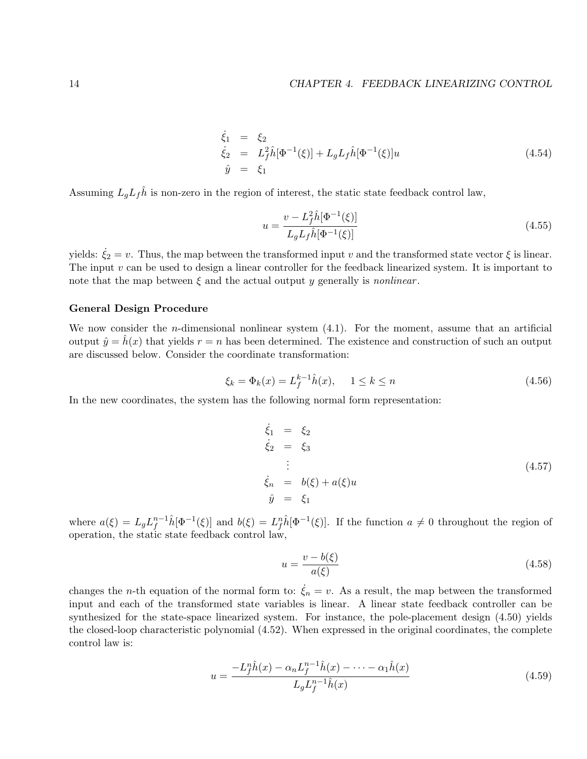$$
\begin{array}{rcl}\n\dot{\xi}_1 &=& \xi_2\\ \n\dot{\xi}_2 &=& L_f^2 \hat{h}[\Phi^{-1}(\xi)] + L_g L_f \hat{h}[\Phi^{-1}(\xi)] u\\ \n\hat{y} &=& \xi_1\n\end{array} \tag{4.54}
$$

Assuming  $L_qL_f\hat{h}$  is non-zero in the region of interest, the static state feedback control law,

$$
u = \frac{v - L_f^2 \hat{h}[\Phi^{-1}(\xi)]}{L_g L_f \hat{h}[\Phi^{-1}(\xi)]}
$$
\n(4.55)

yields:  $\dot{\xi}_2 = v$ . Thus, the map between the transformed input v and the transformed state vector  $\xi$  is linear. The input  $v$  can be used to design a linear controller for the feedback linearized system. It is important to note that the map between  $\xi$  and the actual output y generally is *nonlinear*.

#### General Design Procedure

We now consider the *n*-dimensional nonlinear system  $(4.1)$ . For the moment, assume that an artificial output  $\hat{y} = \hat{h}(x)$  that yields  $r = n$  has been determined. The existence and construction of such an output are discussed below. Consider the coordinate transformation:

$$
\xi_k = \Phi_k(x) = L_f^{k-1} \hat{h}(x), \quad 1 \le k \le n \tag{4.56}
$$

In the new coordinates, the system has the following normal form representation:

$$
\begin{aligned}\n\dot{\xi}_1 &= \xi_2 \\
\dot{\xi}_2 &= \xi_3 \\
\vdots \\
\dot{\xi}_n &= b(\xi) + a(\xi)u \\
\hat{y} &= \xi_1\n\end{aligned} \tag{4.57}
$$

where  $a(\xi) = L_g L_f^{n-1} \hat{h}[\Phi^{-1}(\xi)]$  and  $b(\xi) = L_f^n \hat{h}[\Phi^{-1}(\xi)]$ . If the function  $a \neq 0$  throughout the region of operation, the static state feedback control law,

$$
u = \frac{v - b(\xi)}{a(\xi)}\tag{4.58}
$$

changes the n-th equation of the normal form to:  $\dot{\xi}_n = v$ . As a result, the map between the transformed input and each of the transformed state variables is linear. A linear state feedback controller can be synthesized for the state-space linearized system. For instance, the pole-placement design (4.50) yields the closed-loop characteristic polynomial (4.52). When expressed in the original coordinates, the complete control law is:

$$
u = \frac{-L_f^n \hat{h}(x) - \alpha_n L_f^{n-1} \hat{h}(x) - \dots - \alpha_1 \hat{h}(x)}{L_g L_f^{n-1} \hat{h}(x)}
$$
(4.59)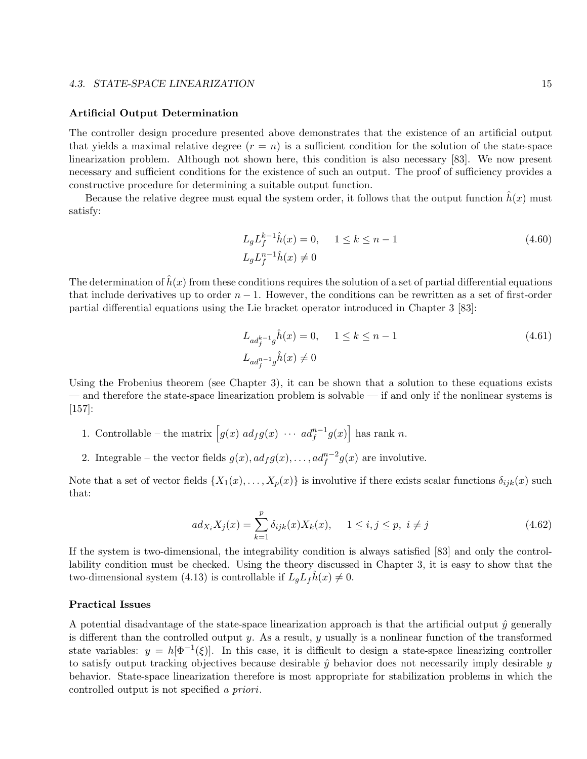#### 4.3. STATE-SPACE LINEARIZATION 15

#### Artificial Output Determination

The controller design procedure presented above demonstrates that the existence of an artificial output that yields a maximal relative degree  $(r = n)$  is a sufficient condition for the solution of the state-space linearization problem. Although not shown here, this condition is also necessary [83]. We now present necessary and sufficient conditions for the existence of such an output. The proof of sufficiency provides a constructive procedure for determining a suitable output function.

Because the relative degree must equal the system order, it follows that the output function  $\hat{h}(x)$  must satisfy:

$$
L_g L_f^{k-1} \hat{h}(x) = 0, \quad 1 \le k \le n-1
$$
  
\n
$$
L_g L_f^{n-1} \hat{h}(x) \neq 0
$$
\n(4.60)

The determination of  $\hat{h}(x)$  from these conditions requires the solution of a set of partial differential equations that include derivatives up to order  $n - 1$ . However, the conditions can be rewritten as a set of first-order partial differential equations using the Lie bracket operator introduced in Chapter 3 [83]:

$$
L_{ad_f^{k-1}g} \hat{h}(x) = 0, \quad 1 \le k \le n-1
$$
  
\n
$$
L_{ad_f^{n-1}g} \hat{h}(x) \neq 0
$$
\n(4.61)

Using the Frobenius theorem (see Chapter 3), it can be shown that a solution to these equations exists — and therefore the state-space linearization problem is solvable — if and only if the nonlinear systems is [157]:

- 1. Controllable the matrix  $\left[g(x) \, ad_f g(x) \, \cdots \, ad_f^{n-1} g(x)\right]$  has rank n.
- 2. Integrable the vector fields  $g(x)$ ,  $ad_f g(x)$ , ...,  $ad_f^{n-2} g(x)$  are involutive.

Note that a set of vector fields  $\{X_1(x),...,X_p(x)\}\$ is involutive if there exists scalar functions  $\delta_{ijk}(x)$  such that:

$$
ad_{X_i} X_j(x) = \sum_{k=1}^p \delta_{ijk}(x) X_k(x), \quad 1 \le i, j \le p, \ i \ne j
$$
\n(4.62)

If the system is two-dimensional, the integrability condition is always satisfied [83] and only the controllability condition must be checked. Using the theory discussed in Chapter 3, it is easy to show that the two-dimensional system (4.13) is controllable if  $L_qL_f h(x) \neq 0$ .

#### Practical Issues

A potential disadvantage of the state-space linearization approach is that the artificial output  $\hat{y}$  generally is different than the controlled output y. As a result, y usually is a nonlinear function of the transformed state variables:  $y = h[\Phi^{-1}(\xi)]$ . In this case, it is difficult to design a state-space linearizing controller to satisfy output tracking objectives because desirable  $\hat{y}$  behavior does not necessarily imply desirable  $y$ behavior. State-space linearization therefore is most appropriate for stabilization problems in which the controlled output is not specified a priori.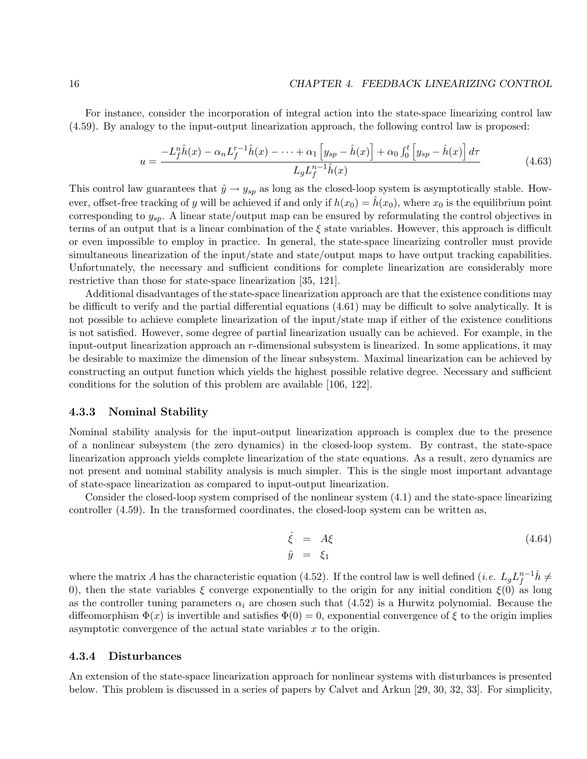For instance, consider the incorporation of integral action into the state-space linearizing control law (4.59). By analogy to the input-output linearization approach, the following control law is proposed:

$$
u = \frac{-L_f^n \hat{h}(x) - \alpha_n L_f^{r-1} \hat{h}(x) - \dots + \alpha_1 \left[ y_{sp} - \hat{h}(x) \right] + \alpha_0 \int_0^t \left[ y_{sp} - \hat{h}(x) \right] d\tau}{L_g L_f^{n-1} \hat{h}(x)} \tag{4.63}
$$

This control law guarantees that  $\hat{y} \to y_{sp}$  as long as the closed-loop system is asymptotically stable. However, offset-free tracking of y will be achieved if and only if  $h(x_0) = h(x_0)$ , where  $x_0$  is the equilibrium point corresponding to  $y_{sp}$ . A linear state/output map can be ensured by reformulating the control objectives in terms of an output that is a linear combination of the  $\xi$  state variables. However, this approach is difficult or even impossible to employ in practice. In general, the state-space linearizing controller must provide simultaneous linearization of the input/state and state/output maps to have output tracking capabilities. Unfortunately, the necessary and sufficient conditions for complete linearization are considerably more restrictive than those for state-space linearization [35, 121].

Additional disadvantages of the state-space linearization approach are that the existence conditions may be difficult to verify and the partial differential equations (4.61) may be difficult to solve analytically. It is not possible to achieve complete linearization of the input/state map if either of the existence conditions is not satisfied. However, some degree of partial linearization usually can be achieved. For example, in the input-output linearization approach an  $r$ -dimensional subsystem is linearized. In some applications, it may be desirable to maximize the dimension of the linear subsystem. Maximal linearization can be achieved by constructing an output function which yields the highest possible relative degree. Necessary and sufficient conditions for the solution of this problem are available [106, 122].

#### 4.3.3 Nominal Stability

Nominal stability analysis for the input-output linearization approach is complex due to the presence of a nonlinear subsystem (the zero dynamics) in the closed-loop system. By contrast, the state-space linearization approach yields complete linearization of the state equations. As a result, zero dynamics are not present and nominal stability analysis is much simpler. This is the single most important advantage of state-space linearization as compared to input-output linearization.

Consider the closed-loop system comprised of the nonlinear system (4.1) and the state-space linearizing controller (4.59). In the transformed coordinates, the closed-loop system can be written as,

$$
\dot{\xi} = A\xi \tag{4.64}
$$
\n
$$
\hat{y} = \xi_1
$$

where the matrix A has the characteristic equation (4.52). If the control law is well defined (*i.e.*  $L_g L_f^{n-1} \hat{h} \neq$ 0), then the state variables  $\xi$  converge exponentially to the origin for any initial condition  $\xi(0)$  as long as the controller tuning parameters  $\alpha_i$  are chosen such that (4.52) is a Hurwitz polynomial. Because the diffeomorphism  $\Phi(x)$  is invertible and satisfies  $\Phi(0) = 0$ , exponential convergence of  $\xi$  to the origin implies asymptotic convergence of the actual state variables  $x$  to the origin.

#### 4.3.4 Disturbances

An extension of the state-space linearization approach for nonlinear systems with disturbances is presented below. This problem is discussed in a series of papers by Calvet and Arkun [29, 30, 32, 33]. For simplicity,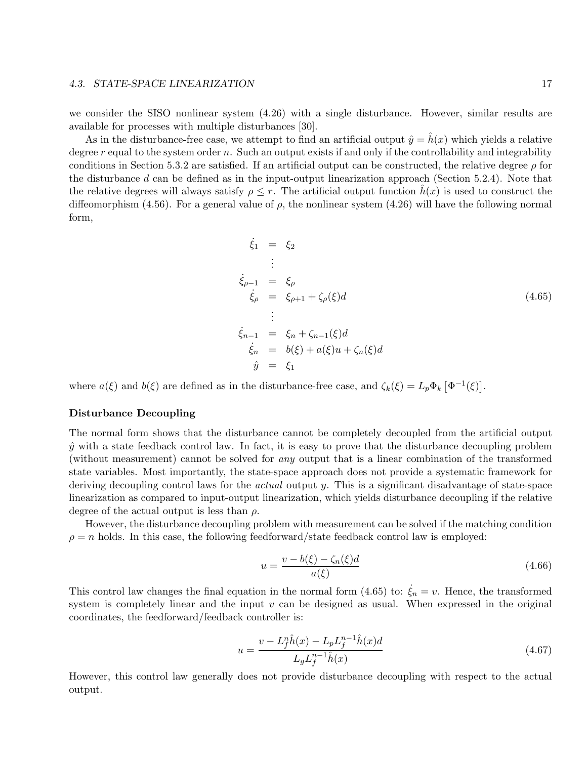#### 4.3. STATE-SPACE LINEARIZATION 17

we consider the SISO nonlinear system (4.26) with a single disturbance. However, similar results are available for processes with multiple disturbances [30].

As in the disturbance-free case, we attempt to find an artificial output  $\hat{y} = h(x)$  which yields a relative degree  $r$  equal to the system order  $n$ . Such an output exists if and only if the controllability and integrability conditions in Section 5.3.2 are satisfied. If an artificial output can be constructed, the relative degree  $\rho$  for the disturbance  $d$  can be defined as in the input-output linearization approach (Section 5.2.4). Note that the relative degrees will always satisfy  $\rho \leq r$ . The artificial output function  $h(x)$  is used to construct the diffeomorphism (4.56). For a general value of  $\rho$ , the nonlinear system (4.26) will have the following normal form,

$$
\dot{\xi}_1 = \xi_2
$$
\n
$$
\vdots
$$
\n
$$
\dot{\xi}_{\rho-1} = \xi_{\rho}
$$
\n
$$
\dot{\xi}_{\rho} = \xi_{\rho+1} + \zeta_{\rho}(\xi)d
$$
\n
$$
\vdots
$$
\n
$$
\dot{\xi}_{n-1} = \xi_n + \zeta_{n-1}(\xi)d
$$
\n
$$
\dot{\xi}_n = b(\xi) + a(\xi)u + \zeta_n(\xi)d
$$
\n
$$
\hat{y} = \xi_1
$$
\n(4.65)

where  $a(\xi)$  and  $b(\xi)$  are defined as in the disturbance-free case, and  $\zeta_k(\xi) = L_p \Phi_k \left[ \Phi^{-1}(\xi) \right]$ .

#### Disturbance Decoupling

The normal form shows that the disturbance cannot be completely decoupled from the artificial output  $\hat{y}$  with a state feedback control law. In fact, it is easy to prove that the disturbance decoupling problem (without measurement) cannot be solved for any output that is a linear combination of the transformed state variables. Most importantly, the state-space approach does not provide a systematic framework for deriving decoupling control laws for the *actual* output y. This is a significant disadvantage of state-space linearization as compared to input-output linearization, which yields disturbance decoupling if the relative degree of the actual output is less than  $\rho$ .

However, the disturbance decoupling problem with measurement can be solved if the matching condition  $\rho = n$  holds. In this case, the following feedforward/state feedback control law is employed:

$$
u = \frac{v - b(\xi) - \zeta_n(\xi)d}{a(\xi)}\tag{4.66}
$$

This control law changes the final equation in the normal form (4.65) to:  $\xi_n = v$ . Hence, the transformed system is completely linear and the input  $v$  can be designed as usual. When expressed in the original coordinates, the feedforward/feedback controller is:

$$
u = \frac{v - L_f^n \hat{h}(x) - L_p L_f^{n-1} \hat{h}(x)d}{L_g L_f^{n-1} \hat{h}(x)}
$$
\n(4.67)

However, this control law generally does not provide disturbance decoupling with respect to the actual output.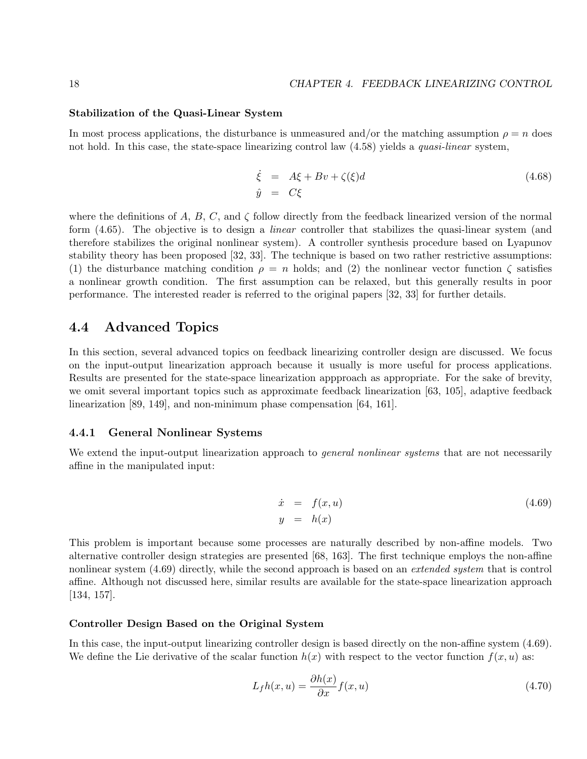#### Stabilization of the Quasi-Linear System

In most process applications, the disturbance is unmeasured and/or the matching assumption  $\rho = n$  does not hold. In this case, the state-space linearizing control law  $(4.58)$  yields a *quasi-linear* system,

$$
\dot{\xi} = A\xi + Bv + \zeta(\xi)d
$$
\n
$$
\hat{y} = C\xi
$$
\n(4.68)

where the definitions of A, B, C, and  $\zeta$  follow directly from the feedback linearized version of the normal form (4.65). The objective is to design a linear controller that stabilizes the quasi-linear system (and therefore stabilizes the original nonlinear system). A controller synthesis procedure based on Lyapunov stability theory has been proposed [32, 33]. The technique is based on two rather restrictive assumptions: (1) the disturbance matching condition  $\rho = n$  holds; and (2) the nonlinear vector function  $\zeta$  satisfies a nonlinear growth condition. The first assumption can be relaxed, but this generally results in poor performance. The interested reader is referred to the original papers [32, 33] for further details.

## 4.4 Advanced Topics

In this section, several advanced topics on feedback linearizing controller design are discussed. We focus on the input-output linearization approach because it usually is more useful for process applications. Results are presented for the state-space linearization appproach as appropriate. For the sake of brevity, we omit several important topics such as approximate feedback linearization [63, 105], adaptive feedback linearization [89, 149], and non-minimum phase compensation [64, 161].

#### 4.4.1 General Nonlinear Systems

We extend the input-output linearization approach to *general nonlinear systems* that are not necessarily affine in the manipulated input:

$$
\begin{array}{rcl}\n\dot{x} & = & f(x, u) \\
y & = & h(x)\n\end{array} \tag{4.69}
$$

This problem is important because some processes are naturally described by non-affine models. Two alternative controller design strategies are presented [68, 163]. The first technique employs the non-affine nonlinear system (4.69) directly, while the second approach is based on an *extended system* that is control affine. Although not discussed here, similar results are available for the state-space linearization approach [134, 157].

#### Controller Design Based on the Original System

In this case, the input-output linearizing controller design is based directly on the non-affine system (4.69). We define the Lie derivative of the scalar function  $h(x)$  with respect to the vector function  $f(x, u)$  as:

$$
L_f h(x, u) = \frac{\partial h(x)}{\partial x} f(x, u)
$$
\n(4.70)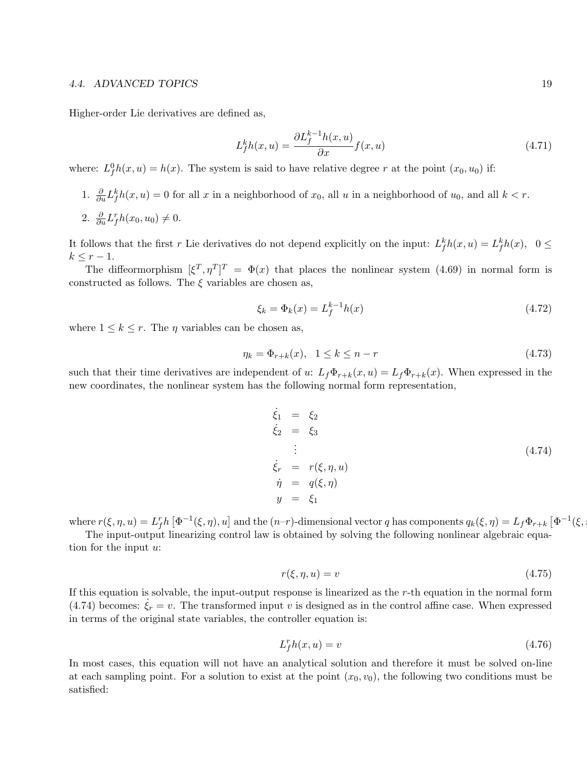#### 4.4. ADVANCED TOPICS 19

Higher-order Lie derivatives are defined as,

$$
L_f^k h(x, u) = \frac{\partial L_f^{k-1} h(x, u)}{\partial x} f(x, u)
$$
\n(4.71)

where:  $L_f^0 h(x, u) = h(x)$ . The system is said to have relative degree r at the point  $(x_0, u_0)$  if:

- 1.  $\frac{\partial}{\partial u} L_f^k h(x, u) = 0$  for all x in a neighborhood of  $x_0$ , all u in a neighborhood of  $u_0$ , and all  $k < r$ .
- 2.  $\frac{\partial}{\partial u}L_f^r h(x_0, u_0) \neq 0.$

It follows that the first r Lie derivatives do not depend explicitly on the input:  $L_f^k h(x, u) = L_f^k h(x)$ ,  $0 \le$  $k \leq r-1$ .

The diffeormorphism  $[\xi^T, \eta^T]^T = \Phi(x)$  that places the nonlinear system (4.69) in normal form is constructed as follows. The  $\xi$  variables are chosen as,

$$
\xi_k = \Phi_k(x) = L_f^{k-1} h(x) \tag{4.72}
$$

where  $1 \leq k \leq r$ . The  $\eta$  variables can be chosen as,

$$
\eta_k = \Phi_{r+k}(x), \ \ 1 \le k \le n-r \tag{4.73}
$$

such that their time derivatives are independent of u:  $L_f\Phi_{r+k}(x, u) = L_f\Phi_{r+k}(x)$ . When expressed in the new coordinates, the nonlinear system has the following normal form representation,

$$
\begin{aligned}\n\dot{\xi}_1 &= \xi_2 \\
\dot{\xi}_2 &= \xi_3 \\
\vdots \\
\dot{\xi}_r &= r(\xi, \eta, u) \\
\dot{\eta} &= q(\xi, \eta) \\
y &= \xi_1\n\end{aligned} \tag{4.74}
$$

where  $r(\xi, \eta, u) = L_f^r h \left[ \Phi^{-1}(\xi, \eta), u \right]$  and the  $(n-r)$ -dimensional vector q has components  $q_k(\xi, \eta) = L_f \Phi_{r+k} \left[ \Phi^{-1}(\xi, \eta) \right]$ 

The input-output linearizing control law is obtained by solving the following nonlinear algebraic equation for the input u:

$$
r(\xi, \eta, u) = v \tag{4.75}
$$

If this equation is solvable, the input-output response is linearized as the r-th equation in the normal form (4.74) becomes:  $\dot{\xi}_r = v$ . The transformed input v is designed as in the control affine case. When expressed in terms of the original state variables, the controller equation is:

$$
L_f^r h(x, u) = v \tag{4.76}
$$

In most cases, this equation will not have an analytical solution and therefore it must be solved on-line at each sampling point. For a solution to exist at the point  $(x_0, v_0)$ , the following two conditions must be satisfied: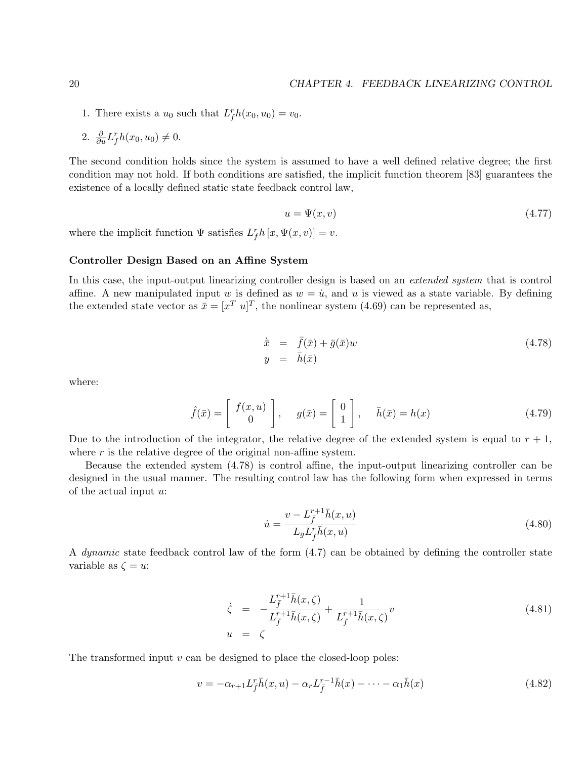- 1. There exists a  $u_0$  such that  $L_f^r h(x_0, u_0) = v_0$ .
- 2.  $\frac{\partial}{\partial u} L_f^r h(x_0, u_0) \neq 0.$

The second condition holds since the system is assumed to have a well defined relative degree; the first condition may not hold. If both conditions are satisfied, the implicit function theorem [83] guarantees the existence of a locally defined static state feedback control law,

$$
u = \Psi(x, v) \tag{4.77}
$$

where the implicit function  $\Psi$  satisfies  $L_f^r h[x, \Psi(x, v)] = v$ .

#### Controller Design Based on an Affine System

In this case, the input-output linearizing controller design is based on an *extended system* that is control affine. A new manipulated input w is defined as  $w = \dot{u}$ , and u is viewed as a state variable. By defining the extended state vector as  $\bar{x} = [x^T u]^T$ , the nonlinear system (4.69) can be represented as,

$$
\dot{\bar{x}} = \bar{f}(\bar{x}) + \bar{g}(\bar{x})w
$$
\n
$$
y = \bar{h}(\bar{x})
$$
\n(4.78)

where:

$$
\hat{f}(\bar{x}) = \begin{bmatrix} f(x, u) \\ 0 \end{bmatrix}, \quad g(\bar{x}) = \begin{bmatrix} 0 \\ 1 \end{bmatrix}, \quad \bar{h}(\bar{x}) = h(x) \tag{4.79}
$$

Due to the introduction of the integrator, the relative degree of the extended system is equal to  $r + 1$ , where  $r$  is the relative degree of the original non-affine system.

Because the extended system (4.78) is control affine, the input-output linearizing controller can be designed in the usual manner. The resulting control law has the following form when expressed in terms of the actual input  $u$ :

$$
\dot{u} = \frac{v - L_f^{r+1} \bar{h}(x, u)}{L_{\bar{g}} L_f^r \bar{h}(x, u)}
$$
(4.80)

A dynamic state feedback control law of the form (4.7) can be obtained by defining the controller state variable as  $\zeta = u$ :

$$
\dot{\zeta} = -\frac{L_f^{r+1}\bar{h}(x,\zeta)}{L_f^{r+1}\bar{h}(x,\zeta)} + \frac{1}{L_f^{r+1}\bar{h}(x,\zeta)}v
$$
\n
$$
u = \zeta
$$
\n(4.81)

The transformed input  $v$  can be designed to place the closed-loop poles:

$$
v = -\alpha_{r+1} L_{\bar{f}}^r \bar{h}(x, u) - \alpha_r L_{\bar{f}}^{r-1} \bar{h}(x) - \dots - \alpha_1 \bar{h}(x)
$$
\n(4.82)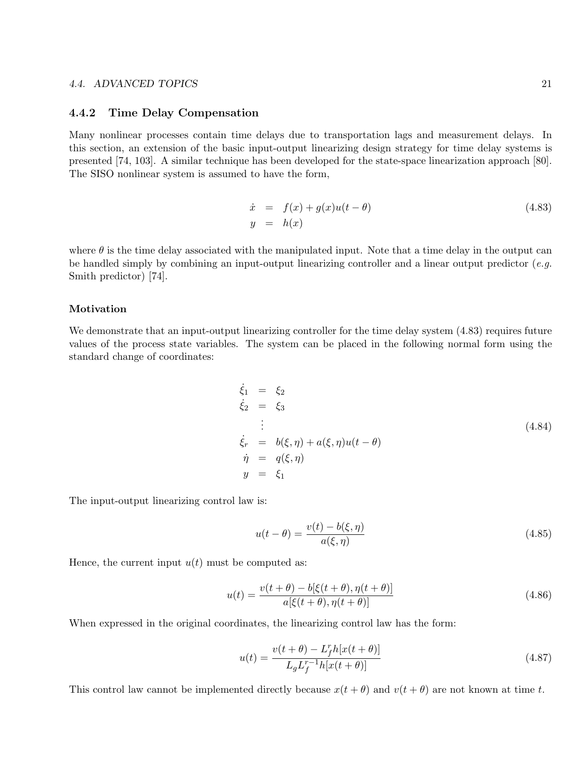#### 4.4.2 Time Delay Compensation

Many nonlinear processes contain time delays due to transportation lags and measurement delays. In this section, an extension of the basic input-output linearizing design strategy for time delay systems is presented [74, 103]. A similar technique has been developed for the state-space linearization approach [80]. The SISO nonlinear system is assumed to have the form,

$$
\begin{array}{rcl}\n\dot{x} & = & f(x) + g(x)u(t - \theta) \\
y & = & h(x)\n\end{array} \tag{4.83}
$$

where  $\theta$  is the time delay associated with the manipulated input. Note that a time delay in the output can be handled simply by combining an input-output linearizing controller and a linear output predictor  $(e.g.$ Smith predictor) [74].

#### Motivation

We demonstrate that an input-output linearizing controller for the time delay system  $(4.83)$  requires future values of the process state variables. The system can be placed in the following normal form using the standard change of coordinates:

$$
\begin{aligned}\n\dot{\xi}_1 &= \xi_2 \\
\dot{\xi}_2 &= \xi_3 \\
\vdots \\
\dot{\xi}_r &= b(\xi, \eta) + a(\xi, \eta)u(t - \theta) \\
\dot{\eta} &= q(\xi, \eta) \\
y &= \xi_1\n\end{aligned} \tag{4.84}
$$

The input-output linearizing control law is:

$$
u(t - \theta) = \frac{v(t) - b(\xi, \eta)}{a(\xi, \eta)}
$$
\n(4.85)

Hence, the current input  $u(t)$  must be computed as:

$$
u(t) = \frac{v(t + \theta) - b[\xi(t + \theta), \eta(t + \theta)]}{a[\xi(t + \theta), \eta(t + \theta)]}
$$
\n(4.86)

When expressed in the original coordinates, the linearizing control law has the form:

$$
u(t) = \frac{v(t + \theta) - L_f^r h[x(t + \theta)]}{L_g L_f^{r-1} h[x(t + \theta)]}
$$
\n(4.87)

This control law cannot be implemented directly because  $x(t + \theta)$  and  $v(t + \theta)$  are not known at time t.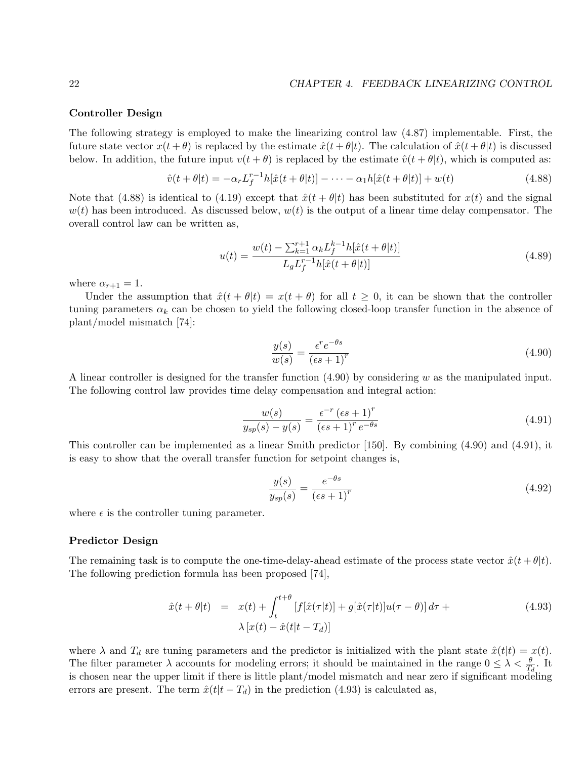#### Controller Design

The following strategy is employed to make the linearizing control law (4.87) implementable. First, the future state vector  $x(t + \theta)$  is replaced by the estimate  $\hat{x}(t + \theta | t)$ . The calculation of  $\hat{x}(t + \theta | t)$  is discussed below. In addition, the future input  $v(t + \theta)$  is replaced by the estimate  $\hat{v}(t + \theta)t$ , which is computed as:

$$
\hat{v}(t + \theta|t) = -\alpha_r L_f^{r-1} h[\hat{x}(t + \theta|t)] - \dots - \alpha_1 h[\hat{x}(t + \theta|t)] + w(t)
$$
\n(4.88)

Note that (4.88) is identical to (4.19) except that  $\hat{x}(t + \theta | t)$  has been substituted for  $x(t)$  and the signal  $w(t)$  has been introduced. As discussed below,  $w(t)$  is the output of a linear time delay compensator. The overall control law can be written as,

$$
u(t) = \frac{w(t) - \sum_{k=1}^{r+1} \alpha_k L_f^{k-1} h[\hat{x}(t+\theta|t)]}{L_g L_f^{r-1} h[\hat{x}(t+\theta|t)]}
$$
(4.89)

where  $\alpha_{r+1} = 1$ .

Under the assumption that  $\hat{x}(t + \theta | t) = x(t + \theta)$  for all  $t \ge 0$ , it can be shown that the controller tuning parameters  $\alpha_k$  can be chosen to yield the following closed-loop transfer function in the absence of plant/model mismatch [74]:

$$
\frac{y(s)}{w(s)} = \frac{\epsilon^r e^{-\theta s}}{(\epsilon s + 1)^r}
$$
\n(4.90)

A linear controller is designed for the transfer function  $(4.90)$  by considering w as the manipulated input. The following control law provides time delay compensation and integral action:

$$
\frac{w(s)}{y_{sp}(s) - y(s)} = \frac{\epsilon^{-r} (\epsilon s + 1)^r}{(\epsilon s + 1)^r e^{-\theta s}}
$$
\n(4.91)

This controller can be implemented as a linear Smith predictor [150]. By combining (4.90) and (4.91), it is easy to show that the overall transfer function for setpoint changes is,

$$
\frac{y(s)}{y_{sp}(s)} = \frac{e^{-\theta s}}{(\epsilon s + 1)^r} \tag{4.92}
$$

where  $\epsilon$  is the controller tuning parameter.

#### Predictor Design

The remaining task is to compute the one-time-delay-ahead estimate of the process state vector  $\hat{x}(t + \theta | t)$ . The following prediction formula has been proposed [74],

$$
\hat{x}(t+\theta|t) = x(t) + \int_{t}^{t+\theta} [f[\hat{x}(\tau|t)] + g[\hat{x}(\tau|t)]u(\tau-\theta)]d\tau +
$$
\n
$$
\lambda [x(t) - \hat{x}(t|t - T_d)] \tag{4.93}
$$

where  $\lambda$  and  $T_d$  are tuning parameters and the predictor is initialized with the plant state  $\hat{x}(t|t) = x(t)$ . The filter parameter  $\lambda$  accounts for modeling errors; it should be maintained in the range  $0 \leq \lambda < \frac{\theta}{T_d}$ . It is chosen near the upper limit if there is little plant/model mismatch and near zero if significant modeling errors are present. The term  $\hat{x}(t|t - T_d)$  in the prediction (4.93) is calculated as,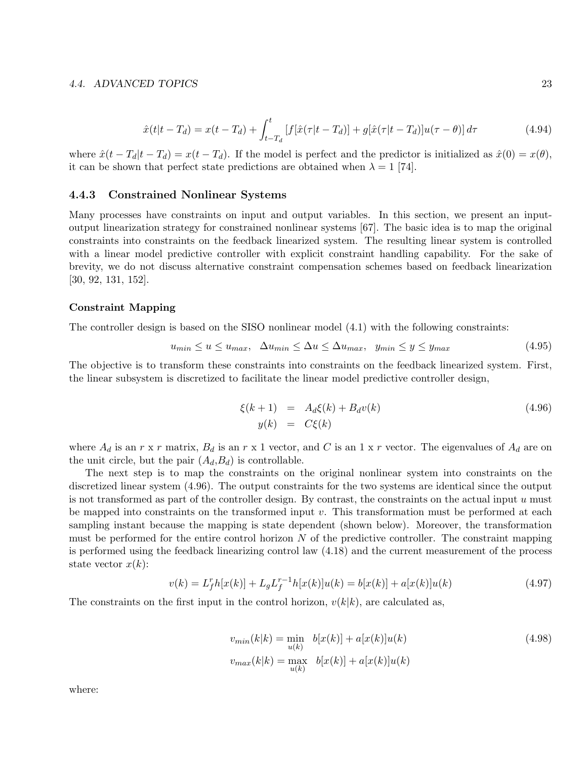#### 4.4. ADVANCED TOPICS 23

$$
\hat{x}(t|t - T_d) = x(t - T_d) + \int_{t - T_d}^t [f[\hat{x}(\tau|t - T_d)] + g[\hat{x}(\tau|t - T_d)]u(\tau - \theta)]d\tau
$$
\n(4.94)

where  $\hat{x}(t - T_d|t - T_d) = x(t - T_d)$ . If the model is perfect and the predictor is initialized as  $\hat{x}(0) = x(\theta)$ , it can be shown that perfect state predictions are obtained when  $\lambda = 1$  [74].

#### 4.4.3 Constrained Nonlinear Systems

Many processes have constraints on input and output variables. In this section, we present an inputoutput linearization strategy for constrained nonlinear systems [67]. The basic idea is to map the original constraints into constraints on the feedback linearized system. The resulting linear system is controlled with a linear model predictive controller with explicit constraint handling capability. For the sake of brevity, we do not discuss alternative constraint compensation schemes based on feedback linearization [30, 92, 131, 152].

#### Constraint Mapping

The controller design is based on the SISO nonlinear model (4.1) with the following constraints:

$$
u_{min} \le u \le u_{max}, \quad \Delta u_{min} \le \Delta u \le \Delta u_{max}, \quad y_{min} \le y \le y_{max} \tag{4.95}
$$

The objective is to transform these constraints into constraints on the feedback linearized system. First, the linear subsystem is discretized to facilitate the linear model predictive controller design,

$$
\xi(k+1) = A_d \xi(k) + B_d v(k) \tag{4.96}
$$
  

$$
y(k) = C\xi(k)
$$

where  $A_d$  is an r x r matrix,  $B_d$  is an r x 1 vector, and C is an 1 x r vector. The eigenvalues of  $A_d$  are on the unit circle, but the pair  $(A_d, B_d)$  is controllable.

The next step is to map the constraints on the original nonlinear system into constraints on the discretized linear system (4.96). The output constraints for the two systems are identical since the output is not transformed as part of the controller design. By contrast, the constraints on the actual input  $u$  must be mapped into constraints on the transformed input  $v$ . This transformation must be performed at each sampling instant because the mapping is state dependent (shown below). Moreover, the transformation must be performed for the entire control horizon  $N$  of the predictive controller. The constraint mapping is performed using the feedback linearizing control law (4.18) and the current measurement of the process state vector  $x(k)$ :

$$
v(k) = L_f^r h[x(k)] + L_g L_f^{r-1} h[x(k)]u(k) = b[x(k)] + a[x(k)]u(k)
$$
\n(4.97)

The constraints on the first input in the control horizon,  $v(k|k)$ , are calculated as,

$$
v_{min}(k|k) = \min_{u(k)} b[x(k)] + a[x(k)]u(k)
$$
  
\n
$$
v_{max}(k|k) = \max_{u(k)} b[x(k)] + a[x(k)]u(k)
$$
\n(4.98)

where: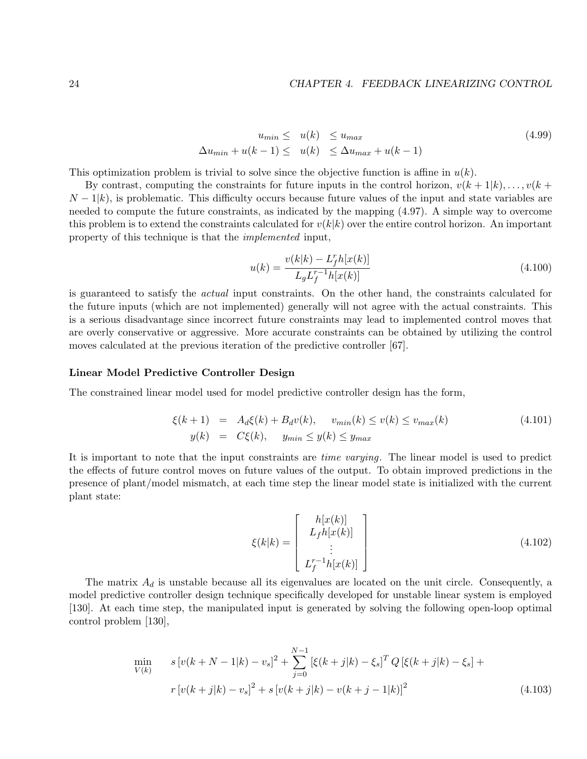$$
u_{min} \leq u(k) \leq u_{max}
$$
  
\n
$$
\Delta u_{min} + u(k-1) \leq u(k) \leq \Delta u_{max} + u(k-1)
$$
\n(4.99)

This optimization problem is trivial to solve since the objective function is affine in  $u(k)$ .

By contrast, computing the constraints for future inputs in the control horizon,  $v(k+1|k), \ldots, v(k+1|k)$  $N-1|k$ , is problematic. This difficulty occurs because future values of the input and state variables are needed to compute the future constraints, as indicated by the mapping (4.97). A simple way to overcome this problem is to extend the constraints calculated for  $v(k|k)$  over the entire control horizon. An important property of this technique is that the implemented input,

$$
u(k) = \frac{v(k|k) - L_f^r h[x(k)]}{L_g L_f^{r-1} h[x(k)]}
$$
\n(4.100)

is guaranteed to satisfy the actual input constraints. On the other hand, the constraints calculated for the future inputs (which are not implemented) generally will not agree with the actual constraints. This is a serious disadvantage since incorrect future constraints may lead to implemented control moves that are overly conservative or aggressive. More accurate constraints can be obtained by utilizing the control moves calculated at the previous iteration of the predictive controller [67].

#### Linear Model Predictive Controller Design

The constrained linear model used for model predictive controller design has the form,

$$
\xi(k+1) = A_d \xi(k) + B_d v(k), \quad v_{min}(k) \le v(k) \le v_{max}(k)
$$
\n
$$
y(k) = C\xi(k), \quad y_{min} \le y(k) \le y_{max}
$$
\n(4.101)

It is important to note that the input constraints are time varying. The linear model is used to predict the effects of future control moves on future values of the output. To obtain improved predictions in the presence of plant/model mismatch, at each time step the linear model state is initialized with the current plant state:

$$
\xi(k|k) = \begin{bmatrix} h[x(k)] \\ L_f h[x(k)] \\ \vdots \\ L_f^{r-1} h[x(k)] \end{bmatrix}
$$
\n(4.102)

The matrix  $A_d$  is unstable because all its eigenvalues are located on the unit circle. Consequently, a model predictive controller design technique specifically developed for unstable linear system is employed [130]. At each time step, the manipulated input is generated by solving the following open-loop optimal control problem [130],

$$
\min_{V(k)} \quad s\left[v(k+N-1|k)-v_s\right]^2 + \sum_{j=0}^{N-1} \left[\xi(k+j|k)-\xi_s\right]^T Q\left[\xi(k+j|k)-\xi_s\right] +
$$
\n
$$
r\left[v(k+j|k)-v_s\right]^2 + s\left[v(k+j|k)-v(k+j-1|k)\right]^2 \tag{4.103}
$$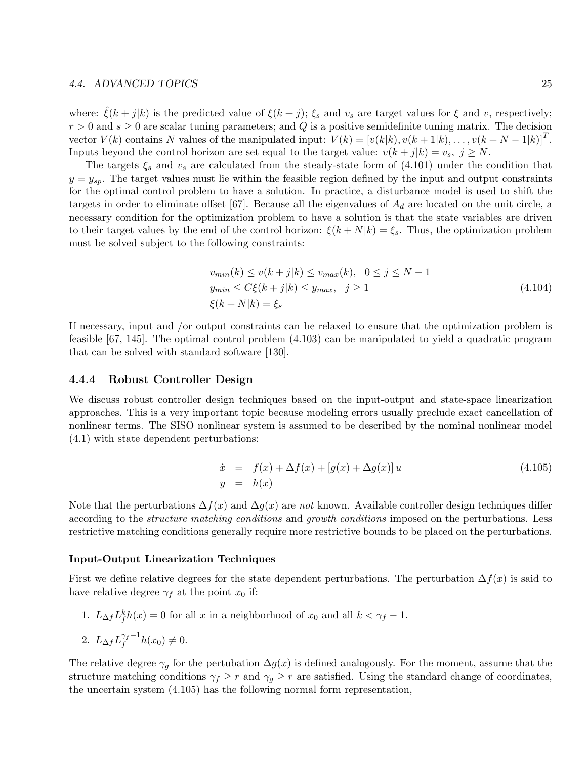#### 4.4. ADVANCED TOPICS 25

where:  $\xi(k+j|k)$  is the predicted value of  $\xi(k+j)$ ;  $\xi_s$  and  $v_s$  are target values for  $\xi$  and  $v$ , respectively;  $r > 0$  and  $s \geq 0$  are scalar tuning parameters; and Q is a positive semidefinite tuning matrix. The decision vector  $V(k)$  contains N values of the manipulated input:  $V(k) = [v(k|k), v(k+1|k), \ldots, v(k+N-1|k)]^T$ . Inputs beyond the control horizon are set equal to the target value:  $v(k + j|k) = v_s$ ,  $j \geq N$ .

The targets  $\xi_s$  and  $v_s$  are calculated from the steady-state form of  $(4.101)$  under the condition that  $y = y_{sp}$ . The target values must lie within the feasible region defined by the input and output constraints for the optimal control problem to have a solution. In practice, a disturbance model is used to shift the targets in order to eliminate offset [67]. Because all the eigenvalues of  $A_d$  are located on the unit circle, a necessary condition for the optimization problem to have a solution is that the state variables are driven to their target values by the end of the control horizon:  $\xi(k+N|k) = \xi_s$ . Thus, the optimization problem must be solved subject to the following constraints:

$$
v_{min}(k) \le v(k+j|k) \le v_{max}(k), \quad 0 \le j \le N-1
$$
  
\n
$$
y_{min} \le C\xi(k+j|k) \le y_{max}, \quad j \ge 1
$$
  
\n
$$
\xi(k+N|k) = \xi_s
$$
\n(4.104)

If necessary, input and /or output constraints can be relaxed to ensure that the optimization problem is feasible [67, 145]. The optimal control problem (4.103) can be manipulated to yield a quadratic program that can be solved with standard software [130].

#### 4.4.4 Robust Controller Design

We discuss robust controller design techniques based on the input-output and state-space linearization approaches. This is a very important topic because modeling errors usually preclude exact cancellation of nonlinear terms. The SISO nonlinear system is assumed to be described by the nominal nonlinear model (4.1) with state dependent perturbations:

$$
\dot{x} = f(x) + \Delta f(x) + [g(x) + \Delta g(x)] u
$$
\n(4.105)  
\n
$$
y = h(x)
$$

Note that the perturbations  $\Delta f(x)$  and  $\Delta g(x)$  are not known. Available controller design techniques differ according to the structure matching conditions and growth conditions imposed on the perturbations. Less restrictive matching conditions generally require more restrictive bounds to be placed on the perturbations.

#### Input-Output Linearization Techniques

First we define relative degrees for the state dependent perturbations. The perturbation  $\Delta f(x)$  is said to have relative degree  $\gamma_f$  at the point  $x_0$  if:

1.  $L_{\Delta f} L_f^k h(x) = 0$  for all x in a neighborhood of  $x_0$  and all  $k < \gamma_f - 1$ .

$$
2. L_{\Delta f} L_f^{\gamma_f - 1} h(x_0) \neq 0.
$$

The relative degree  $\gamma_q$  for the pertubation  $\Delta g(x)$  is defined analogously. For the moment, assume that the structure matching conditions  $\gamma_f \geq r$  and  $\gamma_g \geq r$  are satisfied. Using the standard change of coordinates, the uncertain system (4.105) has the following normal form representation,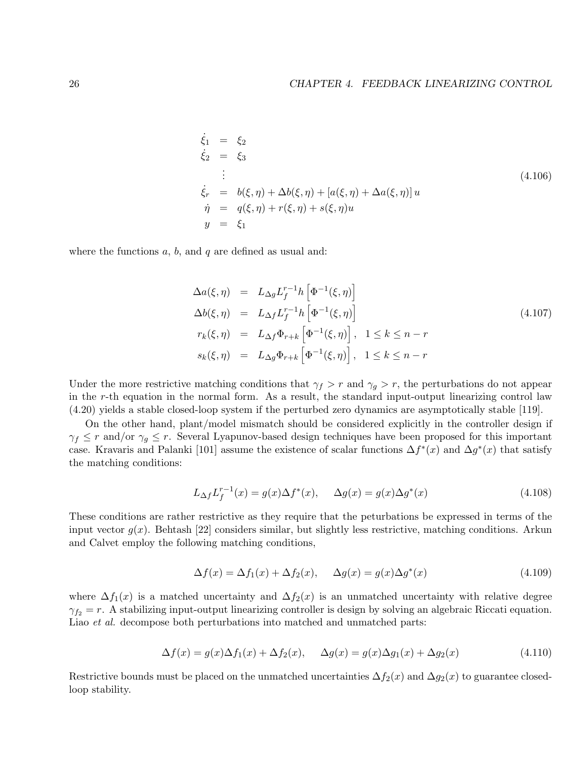$$
\dot{\xi}_1 = \xi_2 \n\dot{\xi}_2 = \xi_3 \n\vdots \n\dot{\xi}_r = b(\xi, \eta) + \Delta b(\xi, \eta) + [a(\xi, \eta) + \Delta a(\xi, \eta)] u \n\dot{\eta} = q(\xi, \eta) + r(\xi, \eta) + s(\xi, \eta) u \ny = \xi_1
$$
\n(4.106)

where the functions  $a, b$ , and  $q$  are defined as usual and:

$$
\Delta a(\xi, \eta) = L_{\Delta g} L_f^{r-1} h \left[ \Phi^{-1}(\xi, \eta) \right]
$$
  
\n
$$
\Delta b(\xi, \eta) = L_{\Delta f} L_f^{r-1} h \left[ \Phi^{-1}(\xi, \eta) \right]
$$
  
\n
$$
r_k(\xi, \eta) = L_{\Delta f} \Phi_{r+k} \left[ \Phi^{-1}(\xi, \eta) \right], \quad 1 \le k \le n-r
$$
  
\n
$$
s_k(\xi, \eta) = L_{\Delta g} \Phi_{r+k} \left[ \Phi^{-1}(\xi, \eta) \right], \quad 1 \le k \le n-r
$$
\n(4.107)

Under the more restrictive matching conditions that  $\gamma_f > r$  and  $\gamma_q > r$ , the perturbations do not appear in the r-th equation in the normal form. As a result, the standard input-output linearizing control law (4.20) yields a stable closed-loop system if the perturbed zero dynamics are asymptotically stable [119].

On the other hand, plant/model mismatch should be considered explicitly in the controller design if  $\gamma_f \leq r$  and/or  $\gamma_g \leq r$ . Several Lyapunov-based design techniques have been proposed for this important case. Kravaris and Palanki [101] assume the existence of scalar functions  $\Delta f^*(x)$  and  $\Delta g^*(x)$  that satisfy the matching conditions:

$$
L_{\Delta f} L_f^{r-1}(x) = g(x) \Delta f^*(x), \quad \Delta g(x) = g(x) \Delta g^*(x)
$$
\n(4.108)

These conditions are rather restrictive as they require that the peturbations be expressed in terms of the input vector  $g(x)$ . Behtash [22] considers similar, but slightly less restrictive, matching conditions. Arkun and Calvet employ the following matching conditions,

$$
\Delta f(x) = \Delta f_1(x) + \Delta f_2(x), \quad \Delta g(x) = g(x)\Delta g^*(x)
$$
\n(4.109)

where  $\Delta f_1(x)$  is a matched uncertainty and  $\Delta f_2(x)$  is an unmatched uncertainty with relative degree  $\gamma_{f2} = r$ . A stabilizing input-output linearizing controller is design by solving an algebraic Riccati equation. Liao *et al.* decompose both perturbations into matched and unmatched parts:

$$
\Delta f(x) = g(x)\Delta f_1(x) + \Delta f_2(x), \quad \Delta g(x) = g(x)\Delta g_1(x) + \Delta g_2(x)
$$
\n(4.110)

Restrictive bounds must be placed on the unmatched uncertainties  $\Delta f_2(x)$  and  $\Delta g_2(x)$  to guarantee closedloop stability.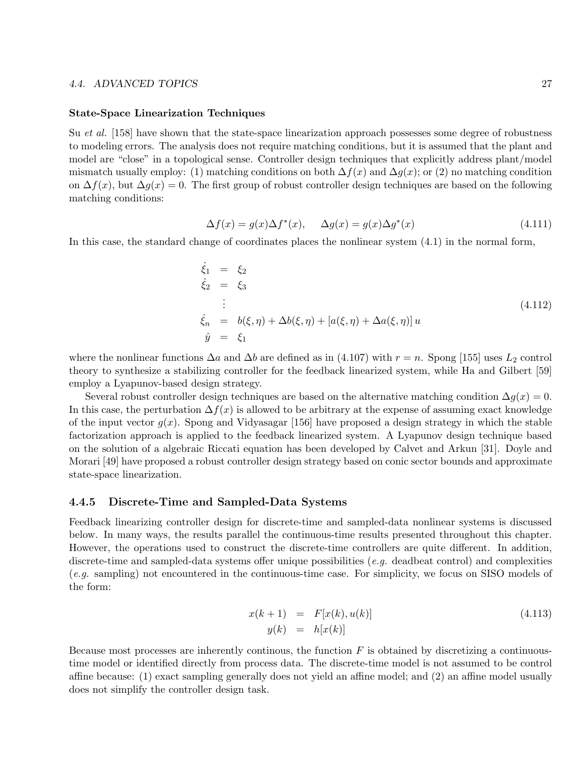#### 4.4. ADVANCED TOPICS 27

#### State-Space Linearization Techniques

Su *et al.* [158] have shown that the state-space linearization approach possesses some degree of robustness to modeling errors. The analysis does not require matching conditions, but it is assumed that the plant and model are "close" in a topological sense. Controller design techniques that explicitly address plant/model mismatch usually employ: (1) matching conditions on both  $\Delta f(x)$  and  $\Delta g(x)$ ; or (2) no matching condition on  $\Delta f(x)$ , but  $\Delta g(x) = 0$ . The first group of robust controller design techniques are based on the following matching conditions:

$$
\Delta f(x) = g(x)\Delta f^*(x), \quad \Delta g(x) = g(x)\Delta g^*(x)
$$
\n(4.111)

In this case, the standard change of coordinates places the nonlinear system (4.1) in the normal form,

$$
\dot{\xi}_1 = \xi_2
$$
\n
$$
\dot{\xi}_2 = \xi_3
$$
\n
$$
\vdots
$$
\n
$$
\dot{\xi}_n = b(\xi, \eta) + \Delta b(\xi, \eta) + [a(\xi, \eta) + \Delta a(\xi, \eta)] u
$$
\n
$$
\hat{y} = \xi_1
$$
\n(4.112)

where the nonlinear functions  $\Delta a$  and  $\Delta b$  are defined as in (4.107) with  $r = n$ . Spong [155] uses  $L_2$  control theory to synthesize a stabilizing controller for the feedback linearized system, while Ha and Gilbert [59] employ a Lyapunov-based design strategy.

Several robust controller design techniques are based on the alternative matching condition  $\Delta q(x) = 0$ . In this case, the perturbation  $\Delta f(x)$  is allowed to be arbitrary at the expense of assuming exact knowledge of the input vector  $g(x)$ . Spong and Vidyasagar [156] have proposed a design strategy in which the stable factorization approach is applied to the feedback linearized system. A Lyapunov design technique based on the solution of a algebraic Riccati equation has been developed by Calvet and Arkun [31]. Doyle and Morari [49] have proposed a robust controller design strategy based on conic sector bounds and approximate state-space linearization.

#### 4.4.5 Discrete-Time and Sampled-Data Systems

Feedback linearizing controller design for discrete-time and sampled-data nonlinear systems is discussed below. In many ways, the results parallel the continuous-time results presented throughout this chapter. However, the operations used to construct the discrete-time controllers are quite different. In addition, discrete-time and sampled-data systems offer unique possibilities (e.g. deadbeat control) and complexities (e.g. sampling) not encountered in the continuous-time case. For simplicity, we focus on SISO models of the form:

$$
x(k+1) = F[x(k), u(k)]
$$
  
\n
$$
y(k) = h[x(k)]
$$
\n(4.113)

Because most processes are inherently continuous, the function  $F$  is obtained by discretizing a continuoustime model or identified directly from process data. The discrete-time model is not assumed to be control affine because: (1) exact sampling generally does not yield an affine model; and (2) an affine model usually does not simplify the controller design task.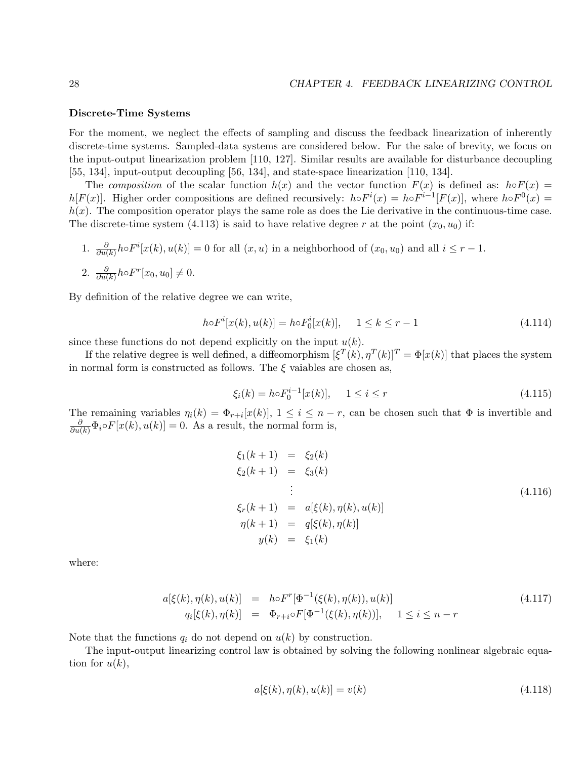#### Discrete-Time Systems

For the moment, we neglect the effects of sampling and discuss the feedback linearization of inherently discrete-time systems. Sampled-data systems are considered below. For the sake of brevity, we focus on the input-output linearization problem [110, 127]. Similar results are available for disturbance decoupling [55, 134], input-output decoupling [56, 134], and state-space linearization [110, 134].

The composition of the scalar function  $h(x)$  and the vector function  $F(x)$  is defined as:  $h \circ F(x) =$ h[F(x)]. Higher order compositions are defined recursively:  $h \circ F^{i}(x) = h \circ F^{i-1}[F(x)]$ , where  $h \circ F^{0}(x) =$  $h(x)$ . The composition operator plays the same role as does the Lie derivative in the continuous-time case. The discrete-time system (4.113) is said to have relative degree r at the point  $(x_0, u_0)$  if:

1. 
$$
\frac{\partial}{\partial u(k)} h \circ F^i[x(k), u(k)] = 0
$$
 for all  $(x, u)$  in a neighborhood of  $(x_0, u_0)$  and all  $i \leq r - 1$ . \n2.  $\frac{\partial}{\partial u(k)} h \circ F^r[x_0, u_0] \neq 0$ .

By definition of the relative degree we can write,

$$
h \circ F^{i}[x(k), u(k)] = h \circ F^{i}[x(k)], \quad 1 \le k \le r - 1
$$
\n(4.114)

since these functions do not depend explicitly on the input  $u(k)$ .

If the relative degree is well defined, a diffeomorphism  $[\xi^T(k), \eta^T(k)]^T = \Phi[x(k)]$  that places the system in normal form is constructed as follows. The  $\xi$  vaiables are chosen as,

$$
\xi_i(k) = h \circ F_0^{i-1}[x(k)], \quad 1 \le i \le r \tag{4.115}
$$

The remaining variables  $\eta_i(k) = \Phi_{r+i}[x(k)], 1 \leq i \leq n-r$ , can be chosen such that  $\Phi$  is invertible and  $\frac{\partial}{\partial u(k)} \Phi_i \circ F[x(k), u(k)] = 0.$  As a result, the normal form is,

$$
\xi_1(k+1) = \xi_2(k) \n\xi_2(k+1) = \xi_3(k) \n\vdots \n\xi_r(k+1) = a[\xi(k), \eta(k), u(k)] \n\eta(k+1) = q[\xi(k), \eta(k)] \ny(k) = \xi_1(k)
$$
\n(4.116)

where:

$$
a[\xi(k), \eta(k), u(k)] = h \circ F^r[\Phi^{-1}(\xi(k), \eta(k)), u(k)]
$$
  
\n
$$
q_i[\xi(k), \eta(k)] = \Phi_{r+i} \circ F[\Phi^{-1}(\xi(k), \eta(k))], \quad 1 \le i \le n-r
$$
\n(4.117)

Note that the functions  $q_i$  do not depend on  $u(k)$  by construction.

The input-output linearizing control law is obtained by solving the following nonlinear algebraic equation for  $u(k)$ ,

$$
a[\xi(k), \eta(k), u(k)] = v(k)
$$
\n(4.118)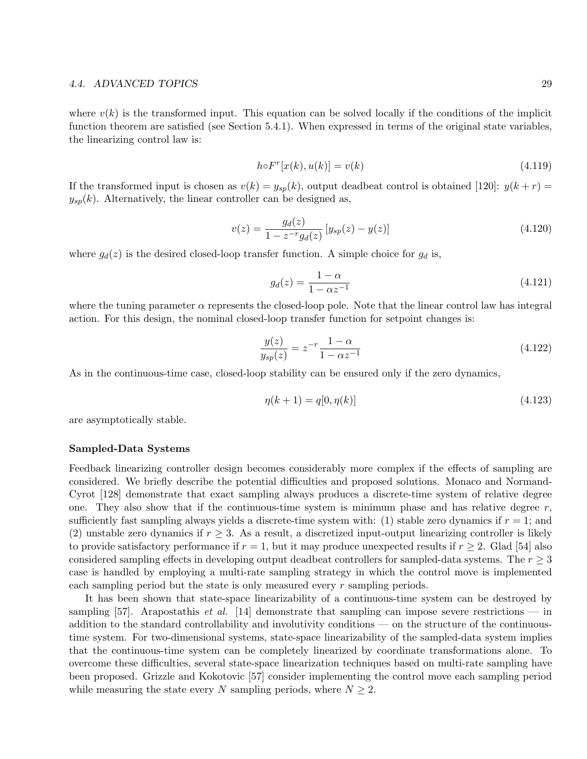#### 4.4. ADVANCED TOPICS 29

where  $v(k)$  is the transformed input. This equation can be solved locally if the conditions of the implicit function theorem are satisfied (see Section 5.4.1). When expressed in terms of the original state variables, the linearizing control law is:

$$
hoF^r[x(k), u(k)] = v(k)
$$
\n
$$
(4.119)
$$

If the transformed input is chosen as  $v(k) = y_{sp}(k)$ , output deadbeat control is obtained [120]:  $y(k+r)$  $y_{sp}(k)$ . Alternatively, the linear controller can be designed as,

$$
v(z) = \frac{g_d(z)}{1 - z^{-r}g_d(z)} \left[ y_{sp}(z) - y(z) \right]
$$
\n(4.120)

where  $g_d(z)$  is the desired closed-loop transfer function. A simple choice for  $g_d$  is,

$$
g_d(z) = \frac{1 - \alpha}{1 - \alpha z^{-1}}\tag{4.121}
$$

where the tuning parameter  $\alpha$  represents the closed-loop pole. Note that the linear control law has integral action. For this design, the nominal closed-loop transfer function for setpoint changes is:

$$
\frac{y(z)}{y_{sp}(z)} = z^{-r} \frac{1-\alpha}{1-\alpha z^{-1}}\tag{4.122}
$$

As in the continuous-time case, closed-loop stability can be ensured only if the zero dynamics,

$$
\eta(k+1) = q[0, \eta(k)]\tag{4.123}
$$

are asymptotically stable.

#### Sampled-Data Systems

Feedback linearizing controller design becomes considerably more complex if the effects of sampling are considered. We briefly describe the potential difficulties and proposed solutions. Monaco and Normand-Cyrot [128] demonstrate that exact sampling always produces a discrete-time system of relative degree one. They also show that if the continuous-time system is minimum phase and has relative degree  $r$ , sufficiently fast sampling always yields a discrete-time system with: (1) stable zero dynamics if  $r = 1$ ; and (2) unstable zero dynamics if  $r > 3$ . As a result, a discretized input-output linearizing controller is likely to provide satisfactory performance if  $r = 1$ , but it may produce unexpected results if  $r \geq 2$ . Glad [54] also considered sampling effects in developing output deadbeat controllers for sampled-data systems. The  $r \geq 3$ case is handled by employing a multi-rate sampling strategy in which the control move is implemented each sampling period but the state is only measured every r sampling periods.

It has been shown that state-space linearizability of a continuous-time system can be destroyed by sampling [57]. Arapostathis *et al.* [14] demonstrate that sampling can impose severe restrictions — in addition to the standard controllability and involutivity conditions — on the structure of the continuoustime system. For two-dimensional systems, state-space linearizability of the sampled-data system implies that the continuous-time system can be completely linearized by coordinate transformations alone. To overcome these difficulties, several state-space linearization techniques based on multi-rate sampling have been proposed. Grizzle and Kokotovic [57] consider implementing the control move each sampling period while measuring the state every N sampling periods, where  $N \geq 2$ .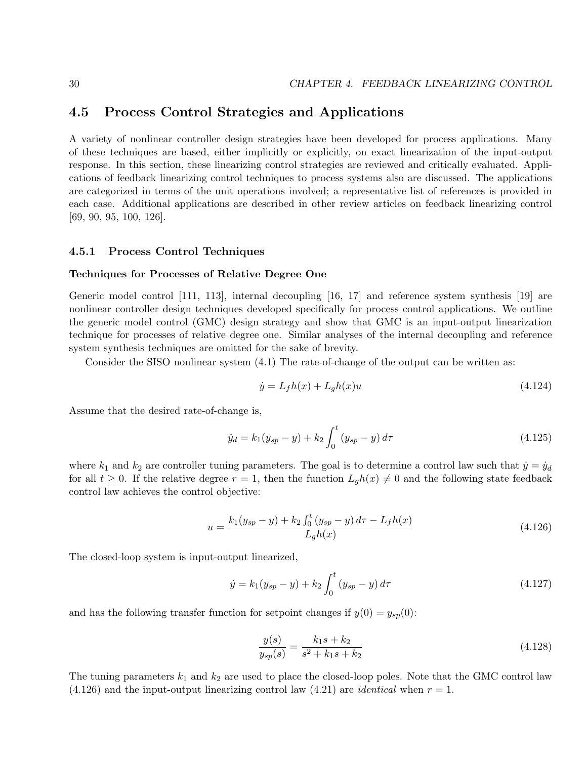## 4.5 Process Control Strategies and Applications

A variety of nonlinear controller design strategies have been developed for process applications. Many of these techniques are based, either implicitly or explicitly, on exact linearization of the input-output response. In this section, these linearizing control strategies are reviewed and critically evaluated. Applications of feedback linearizing control techniques to process systems also are discussed. The applications are categorized in terms of the unit operations involved; a representative list of references is provided in each case. Additional applications are described in other review articles on feedback linearizing control [69, 90, 95, 100, 126].

#### 4.5.1 Process Control Techniques

#### Techniques for Processes of Relative Degree One

Generic model control [111, 113], internal decoupling [16, 17] and reference system synthesis [19] are nonlinear controller design techniques developed specifically for process control applications. We outline the generic model control (GMC) design strategy and show that GMC is an input-output linearization technique for processes of relative degree one. Similar analyses of the internal decoupling and reference system synthesis techniques are omitted for the sake of brevity.

Consider the SISO nonlinear system (4.1) The rate-of-change of the output can be written as:

$$
\dot{y} = L_f h(x) + L_g h(x) u \tag{4.124}
$$

Assume that the desired rate-of-change is,

$$
\dot{y}_d = k_1(y_{sp} - y) + k_2 \int_0^t (y_{sp} - y) d\tau \tag{4.125}
$$

where  $k_1$  and  $k_2$  are controller tuning parameters. The goal is to determine a control law such that  $\dot{y} = \dot{y}_d$ for all  $t \geq 0$ . If the relative degree  $r = 1$ , then the function  $L_g h(x) \neq 0$  and the following state feedback control law achieves the control objective:

$$
u = \frac{k_1(y_{sp} - y) + k_2 \int_0^t (y_{sp} - y) d\tau - L_f h(x)}{L_g h(x)}
$$
(4.126)

The closed-loop system is input-output linearized,

$$
\dot{y} = k_1(y_{sp} - y) + k_2 \int_0^t (y_{sp} - y) d\tau
$$
\n(4.127)

and has the following transfer function for setpoint changes if  $y(0) = y_{sp}(0)$ :

$$
\frac{y(s)}{y_{sp}(s)} = \frac{k_1s + k_2}{s^2 + k_1s + k_2} \tag{4.128}
$$

The tuning parameters  $k_1$  and  $k_2$  are used to place the closed-loop poles. Note that the GMC control law  $(4.126)$  and the input-output linearizing control law  $(4.21)$  are *identical* when  $r = 1$ .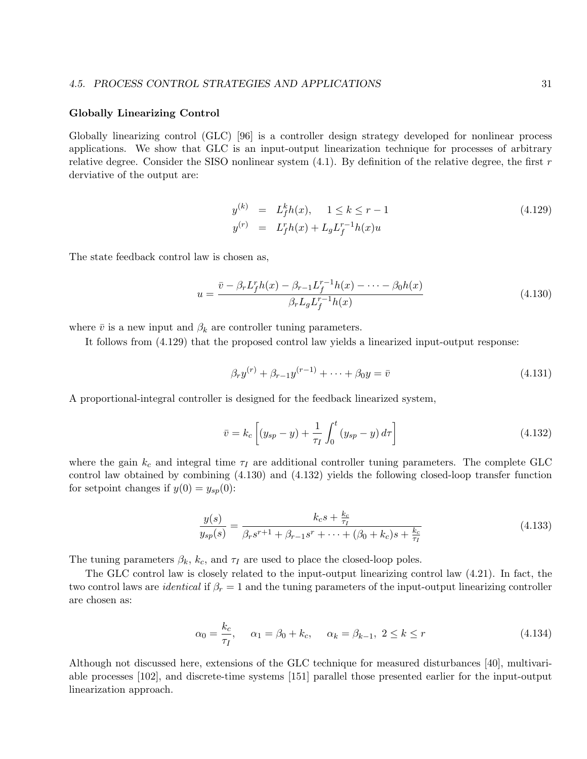#### 4.5. PROCESS CONTROL STRATEGIES AND APPLICATIONS 31

#### Globally Linearizing Control

Globally linearizing control (GLC) [96] is a controller design strategy developed for nonlinear process applications. We show that GLC is an input-output linearization technique for processes of arbitrary relative degree. Consider the SISO nonlinear system  $(4.1)$ . By definition of the relative degree, the first r derviative of the output are:

$$
y^{(k)} = L_f^k h(x), \quad 1 \le k \le r - 1
$$
  
\n
$$
y^{(r)} = L_f^r h(x) + L_g L_f^{r-1} h(x) u
$$
\n(4.129)

The state feedback control law is chosen as,

$$
u = \frac{\bar{v} - \beta_r L_f^r h(x) - \beta_{r-1} L_f^{r-1} h(x) - \dots - \beta_0 h(x)}{\beta_r L_g L_f^{r-1} h(x)}
$$
(4.130)

where  $\bar{v}$  is a new input and  $\beta_k$  are controller tuning parameters.

It follows from (4.129) that the proposed control law yields a linearized input-output response:

$$
\beta_r y^{(r)} + \beta_{r-1} y^{(r-1)} + \dots + \beta_0 y = \bar{v}
$$
\n(4.131)

A proportional-integral controller is designed for the feedback linearized system,

$$
\bar{v} = k_c \left[ (y_{sp} - y) + \frac{1}{\tau_I} \int_0^t (y_{sp} - y) d\tau \right]
$$
\n(4.132)

where the gain  $k_c$  and integral time  $\tau_I$  are additional controller tuning parameters. The complete GLC control law obtained by combining (4.130) and (4.132) yields the following closed-loop transfer function for setpoint changes if  $y(0) = y_{sp}(0)$ :

$$
\frac{y(s)}{y_{sp}(s)} = \frac{k_c s + \frac{k_c}{\tau_I}}{\beta_r s^{r+1} + \beta_{r-1} s^r + \dots + (\beta_0 + k_c) s + \frac{k_c}{\tau_I}}
$$
(4.133)

The tuning parameters  $\beta_k$ ,  $k_c$ , and  $\tau_I$  are used to place the closed-loop poles.

The GLC control law is closely related to the input-output linearizing control law (4.21). In fact, the two control laws are *identical* if  $\beta_r = 1$  and the tuning parameters of the input-output linearizing controller are chosen as:

$$
\alpha_0 = \frac{k_c}{\tau_I}, \quad \alpha_1 = \beta_0 + k_c, \quad \alpha_k = \beta_{k-1}, \ 2 \le k \le r \tag{4.134}
$$

Although not discussed here, extensions of the GLC technique for measured disturbances [40], multivariable processes [102], and discrete-time systems [151] parallel those presented earlier for the input-output linearization approach.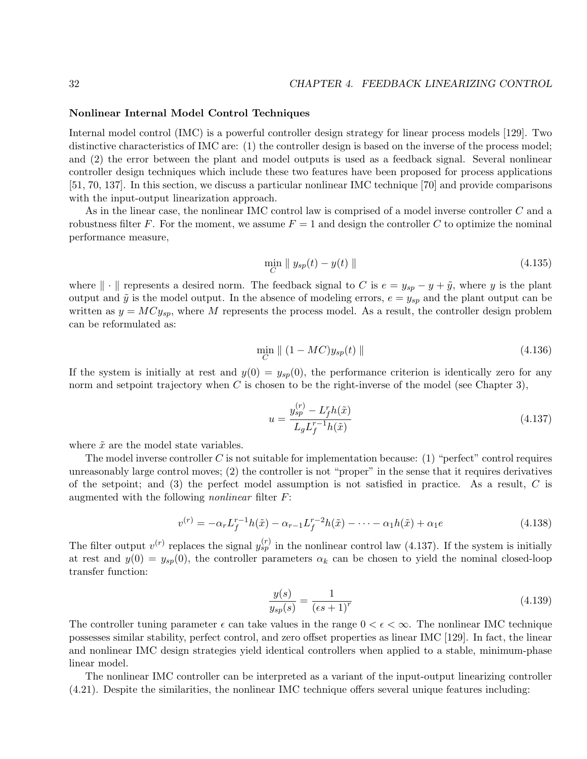#### Nonlinear Internal Model Control Techniques

Internal model control (IMC) is a powerful controller design strategy for linear process models [129]. Two distinctive characteristics of IMC are: (1) the controller design is based on the inverse of the process model; and (2) the error between the plant and model outputs is used as a feedback signal. Several nonlinear controller design techniques which include these two features have been proposed for process applications [51, 70, 137]. In this section, we discuss a particular nonlinear IMC technique [70] and provide comparisons with the input-output linearization approach.

As in the linear case, the nonlinear IMC control law is comprised of a model inverse controller C and a robustness filter F. For the moment, we assume  $F = 1$  and design the controller C to optimize the nominal performance measure,

$$
\min_{C} \| y_{sp}(t) - y(t) \| \tag{4.135}
$$

where  $\|\cdot\|$  represents a desired norm. The feedback signal to C is  $e = y_{sp} - y + \tilde{y}$ , where y is the plant output and  $\tilde{y}$  is the model output. In the absence of modeling errors,  $e = y_{sp}$  and the plant output can be written as  $y = MCy_{sp}$ , where M represents the process model. As a result, the controller design problem can be reformulated as:

$$
\min_{C} \parallel (1 - MC)y_{sp}(t) \parallel \tag{4.136}
$$

If the system is initially at rest and  $y(0) = y_{sp}(0)$ , the performance criterion is identically zero for any norm and setpoint trajectory when  $C$  is chosen to be the right-inverse of the model (see Chapter 3),

$$
u = \frac{y_{sp}^{(r)} - L_f^r h(\tilde{x})}{L_g L_f^{r-1} h(\tilde{x})}
$$
\n(4.137)

where  $\tilde{x}$  are the model state variables.

The model inverse controller C is not suitable for implementation because:  $(1)$  "perfect" control requires unreasonably large control moves; (2) the controller is not "proper" in the sense that it requires derivatives of the setpoint; and  $(3)$  the perfect model assumption is not satisfied in practice. As a result, C is augmented with the following nonlinear filter F:

$$
v^{(r)} = -\alpha_r L_f^{r-1} h(\tilde{x}) - \alpha_{r-1} L_f^{r-2} h(\tilde{x}) - \dots - \alpha_1 h(\tilde{x}) + \alpha_1 e \tag{4.138}
$$

The filter output  $v^{(r)}$  replaces the signal  $y_{sp}^{(r)}$  in the nonlinear control law (4.137). If the system is initially at rest and  $y(0) = y_{sp}(0)$ , the controller parameters  $\alpha_k$  can be chosen to yield the nominal closed-loop transfer function:

$$
\frac{y(s)}{y_{sp}(s)} = \frac{1}{(\epsilon s + 1)^r} \tag{4.139}
$$

The controller tuning parameter  $\epsilon$  can take values in the range  $0 < \epsilon < \infty$ . The nonlinear IMC technique possesses similar stability, perfect control, and zero offset properties as linear IMC [129]. In fact, the linear and nonlinear IMC design strategies yield identical controllers when applied to a stable, minimum-phase linear model.

The nonlinear IMC controller can be interpreted as a variant of the input-output linearizing controller (4.21). Despite the similarities, the nonlinear IMC technique offers several unique features including: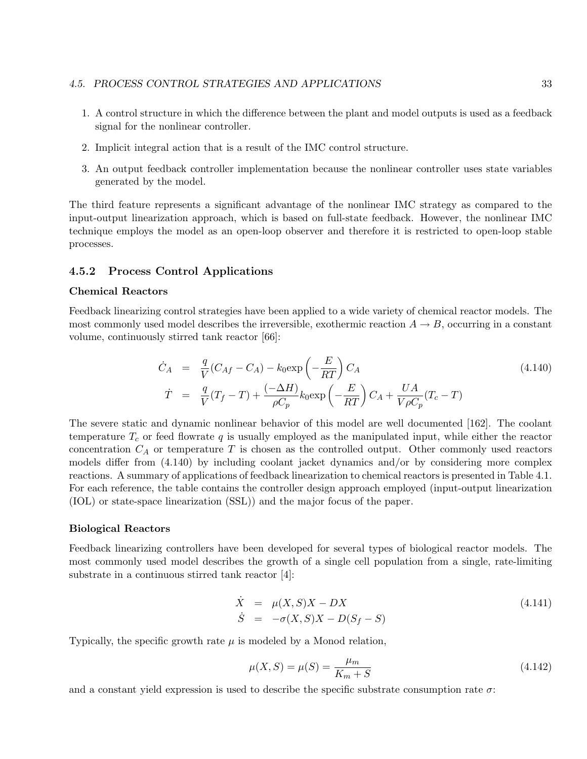- 1. A control structure in which the difference between the plant and model outputs is used as a feedback signal for the nonlinear controller.
- 2. Implicit integral action that is a result of the IMC control structure.
- 3. An output feedback controller implementation because the nonlinear controller uses state variables generated by the model.

The third feature represents a significant advantage of the nonlinear IMC strategy as compared to the input-output linearization approach, which is based on full-state feedback. However, the nonlinear IMC technique employs the model as an open-loop observer and therefore it is restricted to open-loop stable processes.

#### 4.5.2 Process Control Applications

#### Chemical Reactors

Feedback linearizing control strategies have been applied to a wide variety of chemical reactor models. The most commonly used model describes the irreversible, exothermic reaction  $A \rightarrow B$ , occurring in a constant volume, continuously stirred tank reactor [66]:

$$
\dot{C}_A = \frac{q}{V}(C_{Af} - C_A) - k_0 \exp\left(-\frac{E}{RT}\right)C_A
$$
\n
$$
\dot{T} = \frac{q}{V}(T_f - T) + \frac{(-\Delta H)}{\rho C_p}k_0 \exp\left(-\frac{E}{RT}\right)C_A + \frac{UA}{V\rho C_p}(T_c - T)
$$
\n(4.140)

The severe static and dynamic nonlinear behavior of this model are well documented [162]. The coolant temperature  $T_c$  or feed flowrate q is usually employed as the manipulated input, while either the reactor concentration  $C_A$  or temperature T is chosen as the controlled output. Other commonly used reactors models differ from (4.140) by including coolant jacket dynamics and/or by considering more complex reactions. A summary of applications of feedback linearization to chemical reactors is presented in Table 4.1. For each reference, the table contains the controller design approach employed (input-output linearization (IOL) or state-space linearization (SSL)) and the major focus of the paper.

#### Biological Reactors

Feedback linearizing controllers have been developed for several types of biological reactor models. The most commonly used model describes the growth of a single cell population from a single, rate-limiting substrate in a continuous stirred tank reactor [4]:

$$
\dot{X} = \mu(X, S)X - DX
$$
\n
$$
\dot{S} = -\sigma(X, S)X - D(S_f - S)
$$
\n(4.141)

Typically, the specific growth rate  $\mu$  is modeled by a Monod relation,

$$
\mu(X, S) = \mu(S) = \frac{\mu_m}{K_m + S} \tag{4.142}
$$

and a constant yield expression is used to describe the specific substrate consumption rate  $\sigma$ :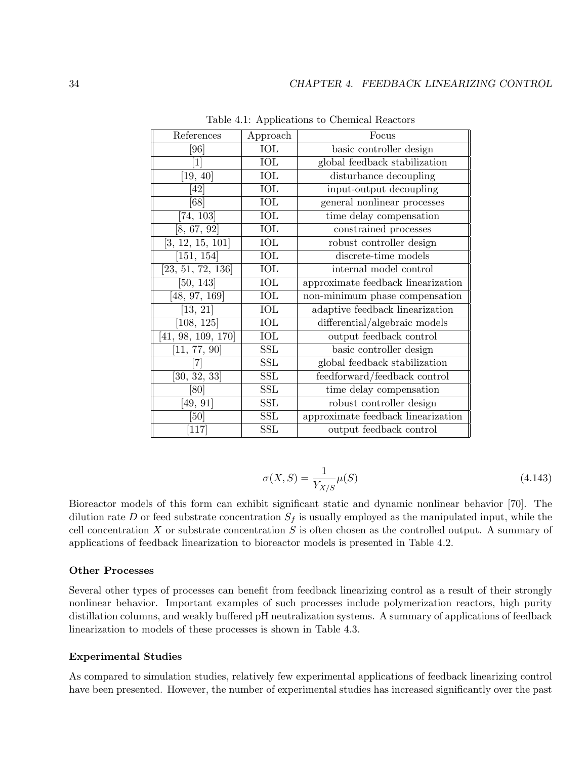| References         | Approach   | Focus                              |  |
|--------------------|------------|------------------------------------|--|
| [96]               | <b>IOL</b> | basic controller design            |  |
| $[1]$              | IOL        | global feedback stabilization      |  |
| [19, 40]           | IOL        | disturbance decoupling             |  |
| [42]               | IOL        | input-output decoupling            |  |
| 68                 | IOL        | general nonlinear processes        |  |
| [74, 103]          | <b>IOL</b> | time delay compensation            |  |
| [8, 67, 92]        | IOL        | constrained processes              |  |
| [3, 12, 15, 101]   | IOL        | robust controller design           |  |
| [151, 154]         | IOL        | discrete-time models               |  |
| [23, 51, 72, 136]  | IOL        | internal model control             |  |
| [50, 143]          | IOL        | approximate feedback linearization |  |
| [48, 97, 169]      | IOL        | non-minimum phase compensation     |  |
| [13, 21]           | IOL        | adaptive feedback linearization    |  |
| [108, 125]         | IOL        | differential/algebraic models      |  |
| [41, 98, 109, 170] | IOL        | output feedback control            |  |
| [11, 77, 90]       | <b>SSL</b> | basic controller design            |  |
| 71                 | SSL        | global feedback stabilization      |  |
| [30, 32, 33]       | SSL        | feedforward/feedback control       |  |
| [80]               | SSL        | time delay compensation            |  |
| [49, 91]           | SSL        | robust controller design           |  |
| [50]               | SSL        | approximate feedback linearization |  |
| [117]              | <b>SSL</b> | output feedback control            |  |

Table 4.1: Applications to Chemical Reactors

$$
\sigma(X, S) = \frac{1}{Y_{X/S}} \mu(S) \tag{4.143}
$$

Bioreactor models of this form can exhibit significant static and dynamic nonlinear behavior [70]. The dilution rate D or feed substrate concentration  $S_f$  is usually employed as the manipulated input, while the cell concentration  $X$  or substrate concentration  $S$  is often chosen as the controlled output. A summary of applications of feedback linearization to bioreactor models is presented in Table 4.2.

### Other Processes

Several other types of processes can benefit from feedback linearizing control as a result of their strongly nonlinear behavior. Important examples of such processes include polymerization reactors, high purity distillation columns, and weakly buffered pH neutralization systems. A summary of applications of feedback linearization to models of these processes is shown in Table 4.3.

#### Experimental Studies

As compared to simulation studies, relatively few experimental applications of feedback linearizing control have been presented. However, the number of experimental studies has increased significantly over the past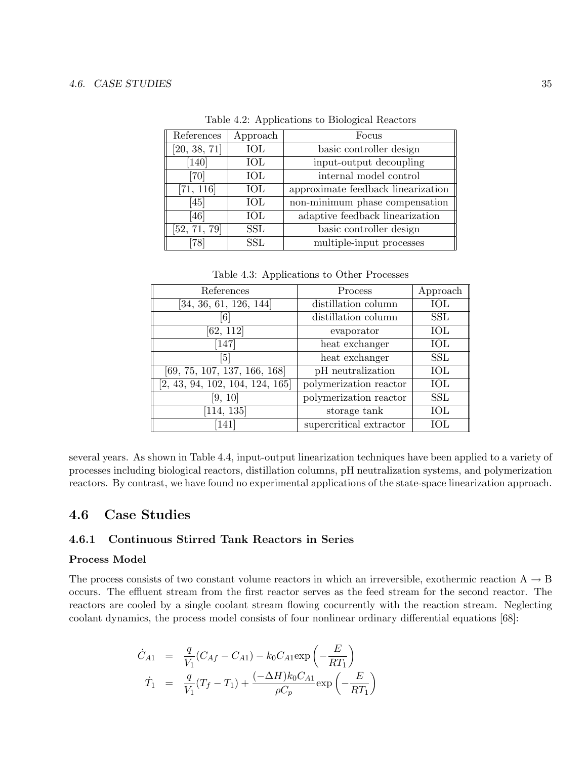| References   | Approach   | Focus                              |  |
|--------------|------------|------------------------------------|--|
| [20, 38, 71] | IOL        | basic controller design            |  |
| [140]        | ЮL         | input-output decoupling            |  |
| [70]         | IOL        | internal model control             |  |
| [71, 116]    | IOL        | approximate feedback linearization |  |
| [45]         | IOL        | non-minimum phase compensation     |  |
| [46]         | <b>IOL</b> | adaptive feedback linearization    |  |
| [52, 71, 79] | <b>SSL</b> | basic controller design            |  |
| 78           | SSL        | multiple-input processes           |  |

Table 4.2: Applications to Biological Reactors

Table 4.3: Applications to Other Processes

| References                      | Process                 | Approach   |
|---------------------------------|-------------------------|------------|
| [34, 36, 61, 126, 144]          | distillation column     | IOL        |
|                                 | distillation column     | <b>SSL</b> |
| [62, 112]                       | evaporator              | <b>IOL</b> |
| [147]                           | heat exchanger          | <b>IOL</b> |
| $\lceil 5 \rceil$               | heat exchanger          | <b>SSL</b> |
| [69, 75, 107, 137, 166, 168]    | pH neutralization       | <b>IOL</b> |
| [2, 43, 94, 102, 104, 124, 165] | polymerization reactor  | IOL        |
| [9, 10]                         | polymerization reactor  | <b>SSL</b> |
| [114, 135]                      | storage tank            | <b>IOL</b> |
| [141]                           | supercritical extractor | IOL        |

several years. As shown in Table 4.4, input-output linearization techniques have been applied to a variety of processes including biological reactors, distillation columns, pH neutralization systems, and polymerization reactors. By contrast, we have found no experimental applications of the state-space linearization approach.

## 4.6 Case Studies

## 4.6.1 Continuous Stirred Tank Reactors in Series

#### Process Model

The process consists of two constant volume reactors in which an irreversible, exothermic reaction  $A \rightarrow B$ occurs. The effluent stream from the first reactor serves as the feed stream for the second reactor. The reactors are cooled by a single coolant stream flowing cocurrently with the reaction stream. Neglecting coolant dynamics, the process model consists of four nonlinear ordinary differential equations [68]:

$$
\dot{C}_{A1} = \frac{q}{V_1}(C_{Af} - C_{A1}) - k_0 C_{A1} \exp\left(-\frac{E}{RT_1}\right)
$$
  

$$
\dot{T}_1 = \frac{q}{V_1}(T_f - T_1) + \frac{(-\Delta H)k_0 C_{A1}}{\rho C_p} \exp\left(-\frac{E}{RT_1}\right)
$$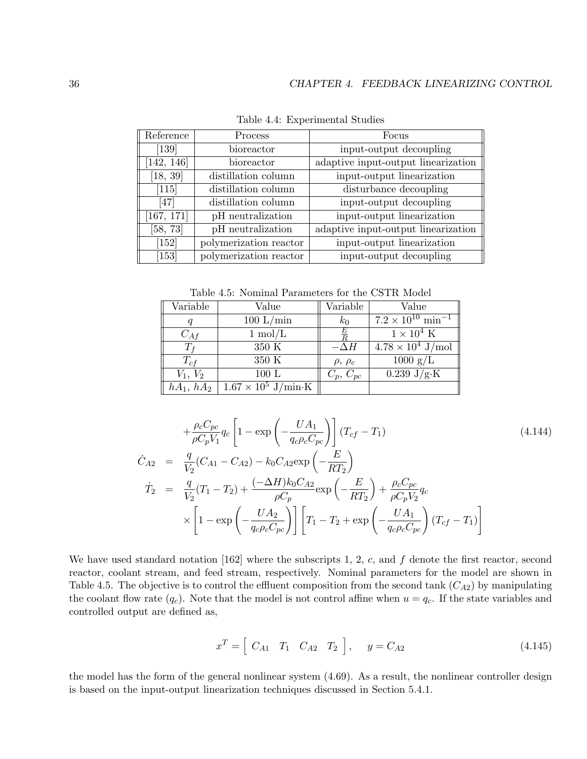| Reference          | Process                | Focus                               |
|--------------------|------------------------|-------------------------------------|
| [139]              | bioreactor             | input-output decoupling             |
| [142, 146]         | bioreactor             | adaptive input-output linearization |
| [18, 39]           | distillation column    | input-output linearization          |
| $[115]$            | distillation column    | disturbance decoupling              |
| $[47]$             | distillation column    | input-output decoupling             |
| [167, 171]         | pH neutralization      | input-output linearization          |
| [58, 73]           | pH neutralization      | adaptive input-output linearization |
| [152]              | polymerization reactor | input-output linearization          |
| $\left[153\right]$ | polymerization reactor | input-output decoupling             |

Table 4.4: Experimental Studies

Table 4.5: Nominal Parameters for the CSTR Model

| Variable     | Value                      | Variable          | Value                                 |
|--------------|----------------------------|-------------------|---------------------------------------|
|              | 100 L/min                  | $k_0$             | $7.2 \times 10^{10} \text{ min}^{-1}$ |
| $C_{Af}$     | $1 \text{ mol/L}$          | E                 | $1 \times 10^4$ K                     |
|              | 350 K                      | $-\Delta H$       | $4.78 \times 10^4$ J/mol              |
| $T_{cf}$     | 350 K                      | $\rho$ , $\rho_c$ | $1000 \text{ g/L}$                    |
| $V_1, V_2$   | 100 L                      | $C_p, C_{pc}$     | $0.239 \text{ J/g·K}$                 |
| $hA_1, hA_2$ | $1.67 \times 10^5$ J/min·K |                   |                                       |

$$
+\frac{\rho_c C_{pc}}{\rho C_p V_1} q_c \left[ 1 - \exp\left( -\frac{UA_1}{q_c \rho_c C_{pc}} \right) \right] (T_{cf} - T_1)
$$
\n
$$
\dot{C}_{A2} = \frac{q}{V_2} (C_{A1} - C_{A2}) - k_0 C_{A2} \exp\left( -\frac{E}{RT_2} \right)
$$
\n
$$
\dot{T}_2 = \frac{q}{V_2} (T_1 - T_2) + \frac{(-\Delta H) k_0 C_{A2}}{\rho C_p} \exp\left( -\frac{E}{RT_2} \right) + \frac{\rho_c C_{pc}}{\rho C_p V_2} q_c
$$
\n
$$
\times \left[ 1 - \exp\left( -\frac{UA_2}{q_c \rho_c C_{pc}} \right) \right] \left[ T_1 - T_2 + \exp\left( -\frac{UA_1}{q_c \rho_c C_{pc}} \right) (T_{cf} - T_1) \right]
$$
\n(4.144)

We have used standard notation [162] where the subscripts 1, 2, c, and  $f$  denote the first reactor, second reactor, coolant stream, and feed stream, respectively. Nominal parameters for the model are shown in Table 4.5. The objective is to control the effluent composition from the second tank  $(C_{A2})$  by manipulating the coolant flow rate  $(q_c)$ . Note that the model is not control affine when  $u = q_c$ . If the state variables and controlled output are defined as,

$$
x^T = \left[ \begin{array}{cc} C_{A1} & T_1 & C_{A2} & T_2 \end{array} \right], \quad y = C_{A2} \tag{4.145}
$$

the model has the form of the general nonlinear system (4.69). As a result, the nonlinear controller design is based on the input-output linearization techniques discussed in Section 5.4.1.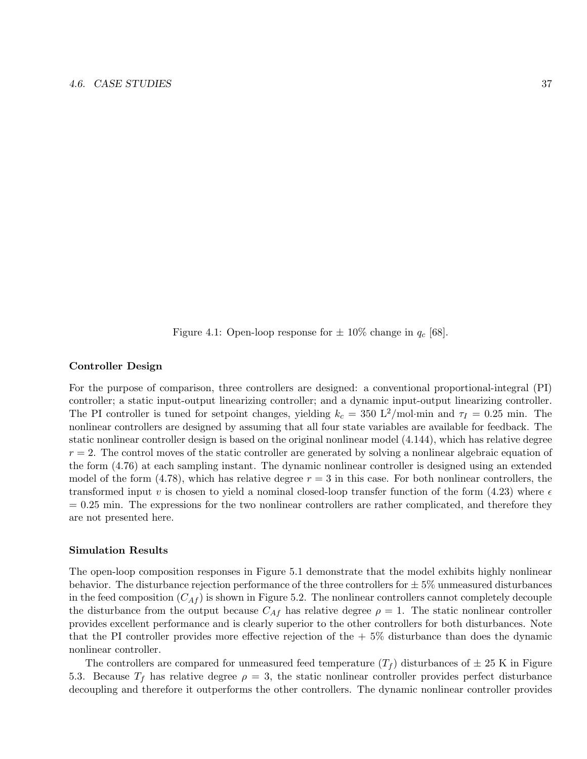Figure 4.1: Open-loop response for  $\pm$  10% change in  $q_c$  [68].

#### Controller Design

For the purpose of comparison, three controllers are designed: a conventional proportional-integral (PI) controller; a static input-output linearizing controller; and a dynamic input-output linearizing controller. The PI controller is tuned for setpoint changes, yielding  $k_c = 350 \text{ L}^2/\text{mol} \cdot \text{min}$  and  $\tau_I = 0.25 \text{ min}$ . The nonlinear controllers are designed by assuming that all four state variables are available for feedback. The static nonlinear controller design is based on the original nonlinear model (4.144), which has relative degree  $r = 2$ . The control moves of the static controller are generated by solving a nonlinear algebraic equation of the form (4.76) at each sampling instant. The dynamic nonlinear controller is designed using an extended model of the form  $(4.78)$ , which has relative degree  $r = 3$  in this case. For both nonlinear controllers, the transformed input v is chosen to yield a nominal closed-loop transfer function of the form (4.23) where  $\epsilon$  $= 0.25$  min. The expressions for the two nonlinear controllers are rather complicated, and therefore they are not presented here.

#### Simulation Results

The open-loop composition responses in Figure 5.1 demonstrate that the model exhibits highly nonlinear behavior. The disturbance rejection performance of the three controllers for  $\pm 5\%$  unmeasured disturbances in the feed composition  $(C_{\mathcal{A}f})$  is shown in Figure 5.2. The nonlinear controllers cannot completely decouple the disturbance from the output because  $C_{Af}$  has relative degree  $\rho = 1$ . The static nonlinear controller provides excellent performance and is clearly superior to the other controllers for both disturbances. Note that the PI controller provides more effective rejection of the  $+5\%$  disturbance than does the dynamic nonlinear controller.

The controllers are compared for unmeasured feed temperature  $(T_f)$  disturbances of  $\pm 25$  K in Figure 5.3. Because  $T_f$  has relative degree  $\rho = 3$ , the static nonlinear controller provides perfect disturbance decoupling and therefore it outperforms the other controllers. The dynamic nonlinear controller provides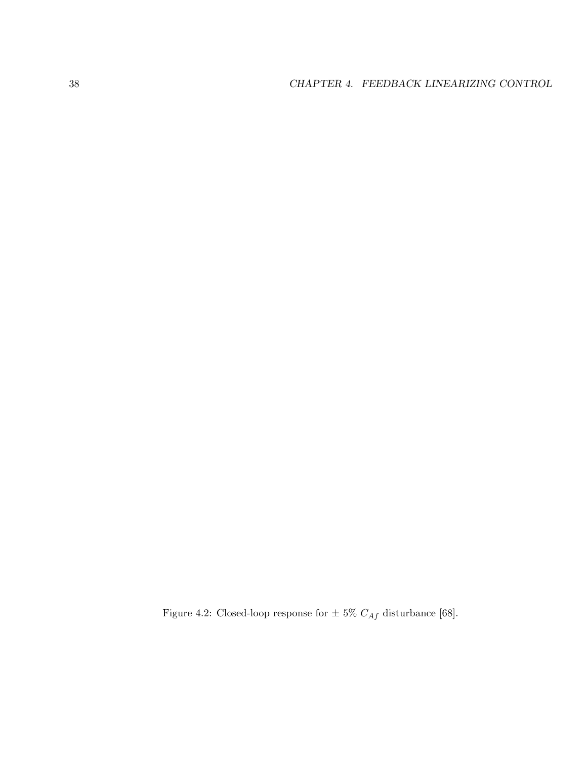Figure 4.2: Closed-loop response for  $\pm$  5%  $C_{Af}$  disturbance [68].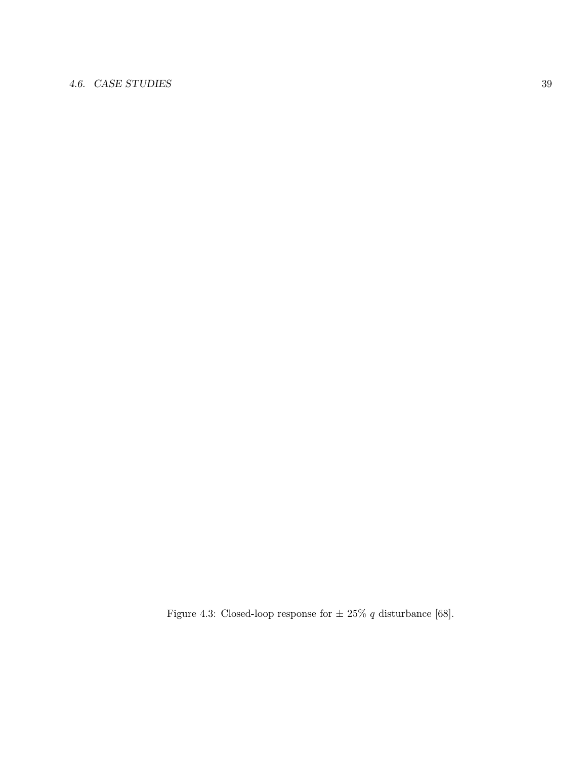## 4.6. CASE STUDIES 39

Figure 4.3: Closed-loop response for  $\pm$  25%  $q$  disturbance [68].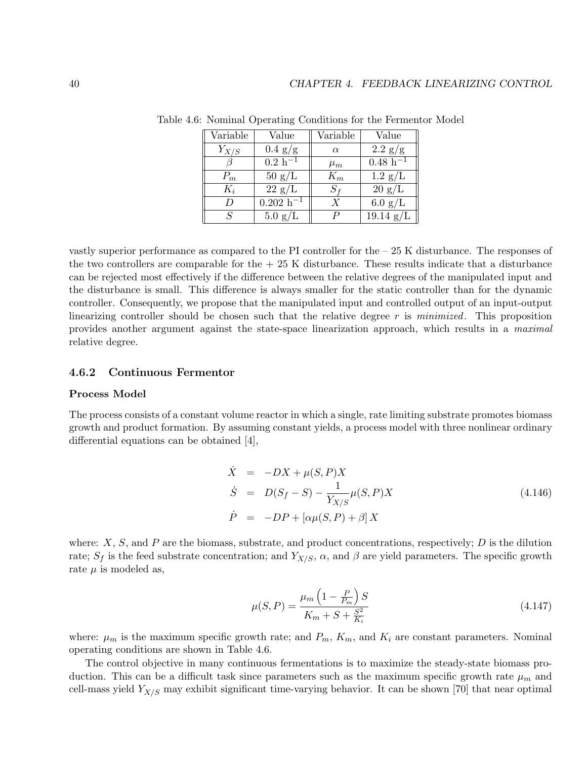| Variable      | Value             | Variable         | Value                                             |
|---------------|-------------------|------------------|---------------------------------------------------|
| $Y_{X/S}$     | $0.4 \text{ g/g}$ | $\alpha$         | $2.2$ g/g                                         |
|               | $0.2 h^{-1}$      | $\mu_m$          | $\frac{0.48 \text{ h}^{-1}}{0.48 \text{ h}^{-1}}$ |
| $P_m$         | $50 \text{ g/L}$  | $K_m$            | $1.2 \text{ g/L}$                                 |
| $K_i$         | $22 \text{ g/L}$  | $S_f$            | $20 \text{ g/L}$                                  |
| D             | $0.202 h^{-1}$    | $\boldsymbol{X}$ | $6.0 \text{ g/L}$                                 |
| $\mathcal{S}$ | $5.0 \text{ g/L}$ | P                | $19.14 \text{ g/L}$                               |

Table 4.6: Nominal Operating Conditions for the Fermentor Model

vastly superior performance as compared to the PI controller for the – 25 K disturbance. The responses of the two controllers are comparable for the  $+25$  K disturbance. These results indicate that a disturbance can be rejected most effectively if the difference between the relative degrees of the manipulated input and the disturbance is small. This difference is always smaller for the static controller than for the dynamic controller. Consequently, we propose that the manipulated input and controlled output of an input-output linearizing controller should be chosen such that the relative degree  $r$  is minimized. This proposition provides another argument against the state-space linearization approach, which results in a maximal relative degree.

#### 4.6.2 Continuous Fermentor

#### Process Model

The process consists of a constant volume reactor in which a single, rate limiting substrate promotes biomass growth and product formation. By assuming constant yields, a process model with three nonlinear ordinary differential equations can be obtained [4],

$$
\dot{X} = -DX + \mu(S, P)X
$$
\n
$$
\dot{S} = D(S_f - S) - \frac{1}{Y_{X/S}} \mu(S, P)X
$$
\n
$$
\dot{P} = -DP + [\alpha \mu(S, P) + \beta]X
$$
\n(4.146)

where:  $X$ ,  $S$ , and  $P$  are the biomass, substrate, and product concentrations, respectively;  $D$  is the dilution rate;  $S_f$  is the feed substrate concentration; and  $Y_{X/S}$ ,  $\alpha$ , and  $\beta$  are yield parameters. The specific growth rate  $\mu$  is modeled as,

$$
\mu(S, P) = \frac{\mu_m \left(1 - \frac{P}{P_m}\right) S}{K_m + S + \frac{S^2}{K_i}}
$$
\n(4.147)

where:  $\mu_m$  is the maximum specific growth rate; and  $P_m$ ,  $K_m$ , and  $K_i$  are constant parameters. Nominal operating conditions are shown in Table 4.6.

The control objective in many continuous fermentations is to maximize the steady-state biomass production. This can be a difficult task since parameters such as the maximum specific growth rate  $\mu_m$  and cell-mass yield  $Y_{X/S}$  may exhibit significant time-varying behavior. It can be shown [70] that near optimal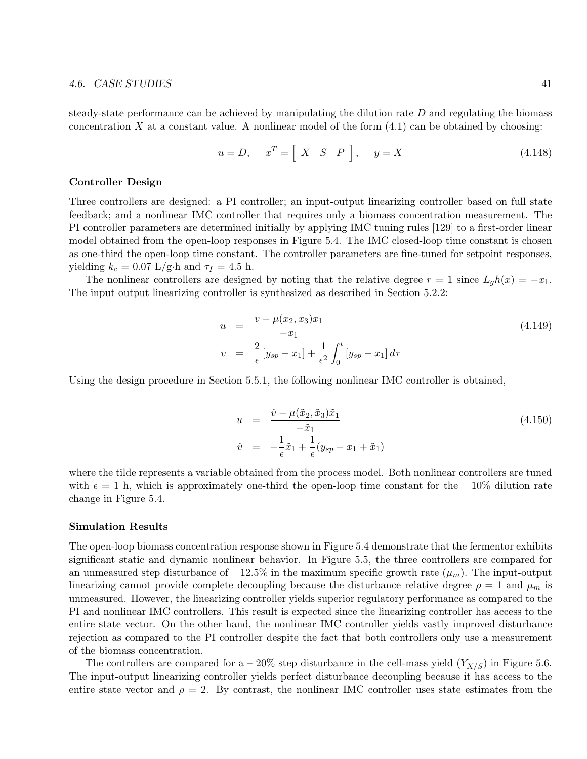#### 4.6. CASE STUDIES 41

steady-state performance can be achieved by manipulating the dilution rate  $D$  and regulating the biomass concentration X at a constant value. A nonlinear model of the form  $(4.1)$  can be obtained by choosing:

$$
u = D, \quad x^T = \left[ \begin{array}{ccc} X & S & P \end{array} \right], \quad y = X \tag{4.148}
$$

#### Controller Design

Three controllers are designed: a PI controller; an input-output linearizing controller based on full state feedback; and a nonlinear IMC controller that requires only a biomass concentration measurement. The PI controller parameters are determined initially by applying IMC tuning rules [129] to a first-order linear model obtained from the open-loop responses in Figure 5.4. The IMC closed-loop time constant is chosen as one-third the open-loop time constant. The controller parameters are fine-tuned for setpoint responses, yielding  $k_c = 0.07$  L/g·h and  $\tau_I = 4.5$  h.

The nonlinear controllers are designed by noting that the relative degree  $r = 1$  since  $L_q h(x) = -x_1$ . The input output linearizing controller is synthesized as described in Section 5.2.2:

$$
u = \frac{v - \mu(x_2, x_3)x_1}{-x_1}
$$
  
\n
$$
v = \frac{2}{\epsilon} [y_{sp} - x_1] + \frac{1}{\epsilon^2} \int_0^t [y_{sp} - x_1] d\tau
$$
\n(4.149)

Using the design procedure in Section 5.5.1, the following nonlinear IMC controller is obtained,

$$
u = \frac{\dot{v} - \mu(\tilde{x}_2, \tilde{x}_3)\tilde{x}_1}{-\tilde{x}_1}
$$
  
\n
$$
\dot{v} = -\frac{1}{\epsilon}\tilde{x}_1 + \frac{1}{\epsilon}(y_{sp} - x_1 + \tilde{x}_1)
$$
\n(4.150)

where the tilde represents a variable obtained from the process model. Both nonlinear controllers are tuned with  $\epsilon = 1$  h, which is approximately one-third the open-loop time constant for the – 10% dilution rate change in Figure 5.4.

#### Simulation Results

The open-loop biomass concentration response shown in Figure 5.4 demonstrate that the fermentor exhibits significant static and dynamic nonlinear behavior. In Figure 5.5, the three controllers are compared for an unmeasured step disturbance of  $-12.5\%$  in the maximum specific growth rate  $(\mu_m)$ . The input-output linearizing cannot provide complete decoupling because the disturbance relative degree  $\rho = 1$  and  $\mu_m$  is unmeasured. However, the linearizing controller yields superior regulatory performance as compared to the PI and nonlinear IMC controllers. This result is expected since the linearizing controller has access to the entire state vector. On the other hand, the nonlinear IMC controller yields vastly improved disturbance rejection as compared to the PI controller despite the fact that both controllers only use a measurement of the biomass concentration.

The controllers are compared for a – 20% step disturbance in the cell-mass yield  $(Y_{X/S})$  in Figure 5.6. The input-output linearizing controller yields perfect disturbance decoupling because it has access to the entire state vector and  $\rho = 2$ . By contrast, the nonlinear IMC controller uses state estimates from the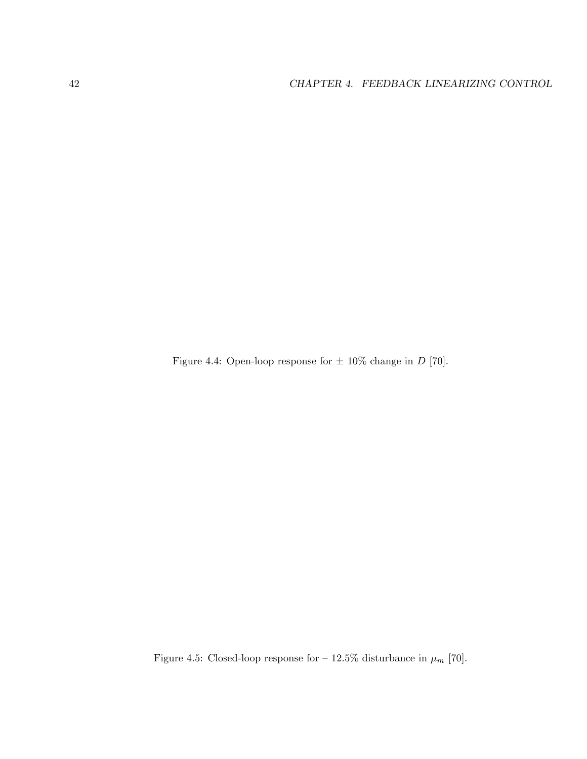Figure 4.4: Open-loop response for  $\pm$  10% change in D [70].

Figure 4.5: Closed-loop response for –  $12.5\%$  disturbance in  $\mu_m$  [70].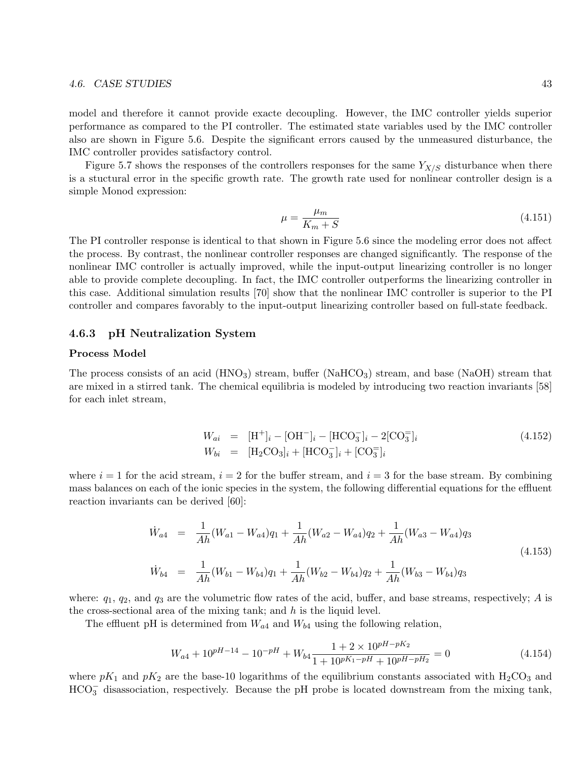#### 4.6. CASE STUDIES 43

model and therefore it cannot provide exacte decoupling. However, the IMC controller yields superior performance as compared to the PI controller. The estimated state variables used by the IMC controller also are shown in Figure 5.6. Despite the significant errors caused by the unmeasured disturbance, the IMC controller provides satisfactory control.

Figure 5.7 shows the responses of the controllers responses for the same  $Y_{X/S}$  disturbance when there is a stuctural error in the specific growth rate. The growth rate used for nonlinear controller design is a simple Monod expression:

$$
\mu = \frac{\mu_m}{K_m + S} \tag{4.151}
$$

The PI controller response is identical to that shown in Figure 5.6 since the modeling error does not affect the process. By contrast, the nonlinear controller responses are changed significantly. The response of the nonlinear IMC controller is actually improved, while the input-output linearizing controller is no longer able to provide complete decoupling. In fact, the IMC controller outperforms the linearizing controller in this case. Additional simulation results [70] show that the nonlinear IMC controller is superior to the PI controller and compares favorably to the input-output linearizing controller based on full-state feedback.

#### 4.6.3 pH Neutralization System

#### Process Model

The process consists of an acid  $(HNO_3)$  stream, buffer  $(NaHCO_3)$  stream, and base  $(NaOH)$  stream that are mixed in a stirred tank. The chemical equilibria is modeled by introducing two reaction invariants [58] for each inlet stream,

$$
W_{ai} = [\text{H}^+]_i - [\text{OH}^-]_i - [\text{HCO}_3^-]_i - 2[\text{CO}_3^-]_i
$$
  
\n
$$
W_{bi} = [\text{H}_2\text{CO}_3]_i + [\text{HCO}_3^-]_i + [\text{CO}_3^-]_i
$$
\n(4.152)

where  $i = 1$  for the acid stream,  $i = 2$  for the buffer stream, and  $i = 3$  for the base stream. By combining mass balances on each of the ionic species in the system, the following differential equations for the effluent reaction invariants can be derived [60]:

$$
\dot{W}_{a4} = \frac{1}{Ah}(W_{a1} - W_{a4})q_1 + \frac{1}{Ah}(W_{a2} - W_{a4})q_2 + \frac{1}{Ah}(W_{a3} - W_{a4})q_3
$$
\n
$$
\dot{W}_{b4} = \frac{1}{Ah}(W_{b1} - W_{b4})q_1 + \frac{1}{Ah}(W_{b2} - W_{b4})q_2 + \frac{1}{Ah}(W_{b3} - W_{b4})q_3
$$
\n(4.153)

where:  $q_1, q_2$ , and  $q_3$  are the volumetric flow rates of the acid, buffer, and base streams, respectively; A is the cross-sectional area of the mixing tank; and  $h$  is the liquid level.

The effluent pH is determined from  $W_{a4}$  and  $W_{b4}$  using the following relation,

$$
W_{a4} + 10^{pH-14} - 10^{-pH} + W_{b4} \frac{1+2 \times 10^{pH-pK_2}}{1+10^{pK_1-pH} + 10^{pH-pH_2}} = 0
$$
\n(4.154)

where  $pK_1$  and  $pK_2$  are the base-10 logarithms of the equilibrium constants associated with  $H_2CO_3$  and  $HCO_3^-$  disassociation, respectively. Because the pH probe is located downstream from the mixing tank,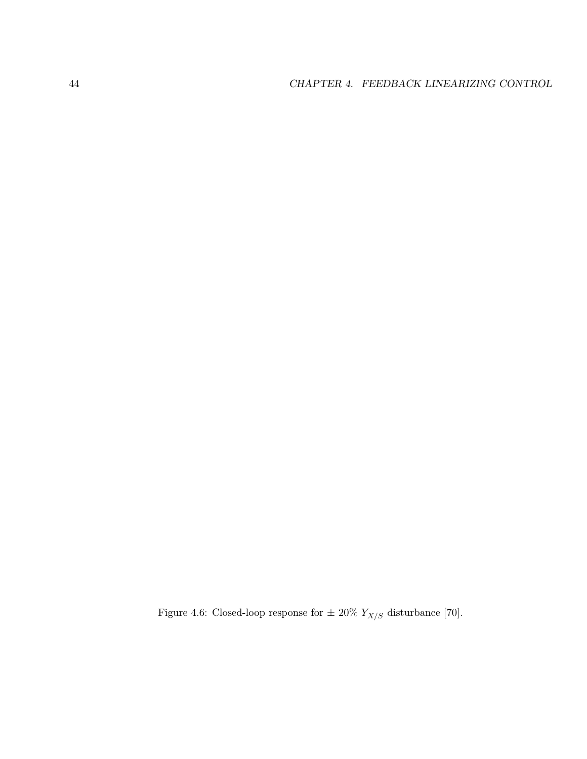Figure 4.6: Closed-loop response for  $\pm$  20%  $Y_{X/S}$  disturbance [70].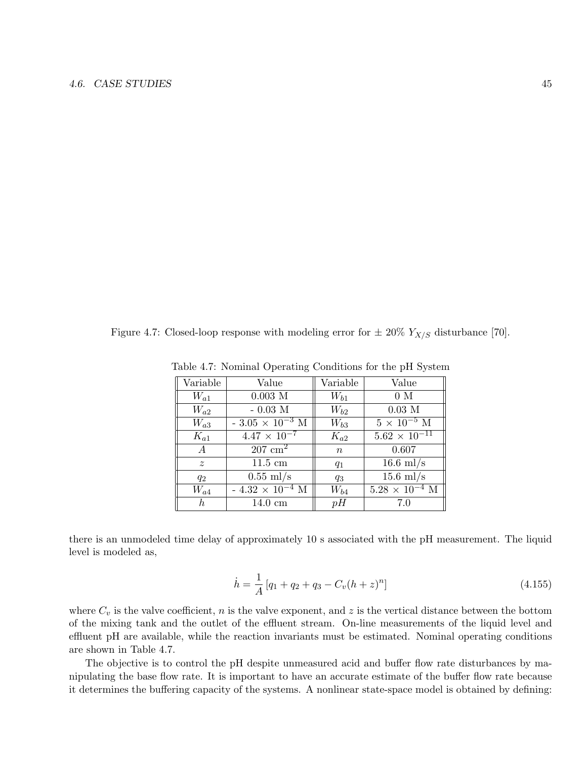Figure 4.7: Closed-loop response with modeling error for  $\pm 20\%$   $Y_{X/S}$  disturbance [70].

| Variable       | Value                     | Variable         | Value                   |
|----------------|---------------------------|------------------|-------------------------|
| $W_{a1}$       | $0.003$ ${\,\rm M}$       | $W_{b1}$         | 0 M                     |
| $W_{a2}$       | $-0.03$ M                 | $W_{b2}$         | $0.03$ M                |
| $W_{a3}$       | - $3.05 \times 10^{-3}$ M | $W_{b3}$         | $5 \times 10^{-5}$ M    |
| $K_{a1}$       | $4.47 \times 10^{-7}$     | $K_{a2}$         | $5.62 \times 10^{-11}$  |
| $\overline{A}$ | $207 \text{ cm}^2$        | $\boldsymbol{n}$ | 0.607                   |
| $\tilde{z}$    | $11.5 \text{ cm}$         | $q_1$            | $16.6$ ml/s             |
| $q_2$          | $0.55$ ml/s               | $q_3$            | $15.6$ ml/s             |
| $W_{a4}$       | $-4.32 \times 10^{-4}$ M  | $W_{b4}$         | $5.28 \times 10^{-4}$ M |
| h              | $14.0 \text{ cm}$         | pH               | 7.0                     |

Table 4.7: Nominal Operating Conditions for the pH System

there is an unmodeled time delay of approximately 10 s associated with the pH measurement. The liquid level is modeled as,

$$
\dot{h} = \frac{1}{A} \left[ q_1 + q_2 + q_3 - C_v (h+z)^n \right] \tag{4.155}
$$

where  $C_v$  is the valve coefficient, n is the valve exponent, and z is the vertical distance between the bottom of the mixing tank and the outlet of the effluent stream. On-line measurements of the liquid level and effluent pH are available, while the reaction invariants must be estimated. Nominal operating conditions are shown in Table 4.7.

The objective is to control the pH despite unmeasured acid and buffer flow rate disturbances by manipulating the base flow rate. It is important to have an accurate estimate of the buffer flow rate because it determines the buffering capacity of the systems. A nonlinear state-space model is obtained by defining: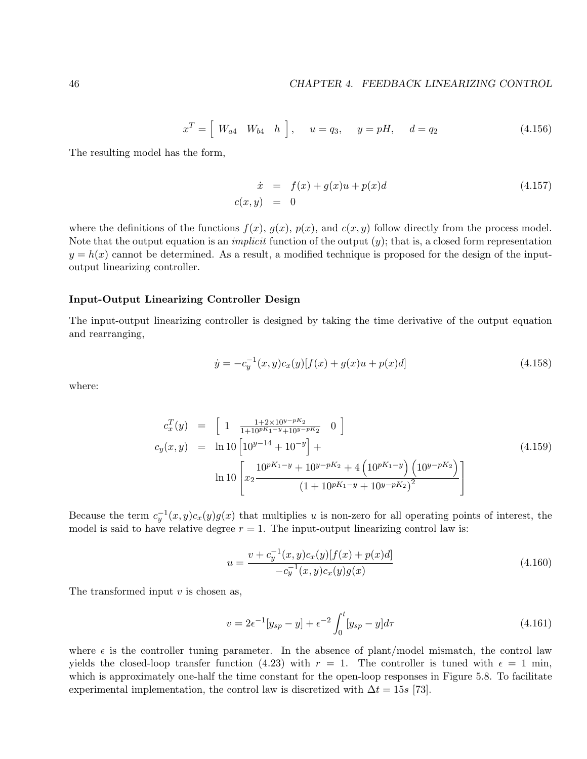$$
x^T = \left[ \begin{array}{cc} W_{a4} & W_{b4} & h \end{array} \right], \quad u = q_3, \quad y = pH, \quad d = q_2 \tag{4.156}
$$

The resulting model has the form,

$$
\dot{x} = f(x) + g(x)u + p(x)d
$$
\n(4.157)  
\n
$$
c(x, y) = 0
$$

where the definitions of the functions  $f(x)$ ,  $g(x)$ ,  $p(x)$ , and  $c(x, y)$  follow directly from the process model. Note that the output equation is an *implicit* function of the output  $(y)$ ; that is, a closed form representation  $y = h(x)$  cannot be determined. As a result, a modified technique is proposed for the design of the inputoutput linearizing controller.

#### Input-Output Linearizing Controller Design

The input-output linearizing controller is designed by taking the time derivative of the output equation and rearranging,

$$
\dot{y} = -c_y^{-1}(x, y)c_x(y)[f(x) + g(x)u + p(x)d]
$$
\n(4.158)

where:

$$
c_x^T(y) = \begin{bmatrix} 1 & \frac{1+2\times10^{y-pK_2}}{1+10^{pK_1-y}+10^{y-pK_2}} & 0 \end{bmatrix}
$$
  
\n
$$
c_y(x,y) = \ln 10 \left[ 10^{y-14} + 10^{-y} \right] +
$$
  
\n
$$
\ln 10 \left[ x_2 \frac{10^{pK_1-y} + 10^{y-pK_2} + 4 \left( 10^{pK_1-y} \right) \left( 10^{y-pK_2} \right)}{(1+10^{pK_1-y} + 10^{y-pK_2})^2} \right]
$$
\n(4.159)

Because the term  $c_y^{-1}(x,y)c_x(y)g(x)$  that multiplies u is non-zero for all operating points of interest, the model is said to have relative degree  $r = 1$ . The input-output linearizing control law is:

$$
u = \frac{v + c_y^{-1}(x, y)c_x(y)[f(x) + p(x)d]}{-c_y^{-1}(x, y)c_x(y)g(x)}
$$
\n(4.160)

The transformed input  $v$  is chosen as,

$$
v = 2\epsilon^{-1}[y_{sp} - y] + \epsilon^{-2} \int_0^t [y_{sp} - y]d\tau
$$
\n(4.161)

where  $\epsilon$  is the controller tuning parameter. In the absence of plant/model mismatch, the control law yields the closed-loop transfer function (4.23) with  $r = 1$ . The controller is tuned with  $\epsilon = 1$  min, which is approximately one-half the time constant for the open-loop responses in Figure 5.8. To facilitate experimental implementation, the control law is discretized with  $\Delta t = 15s$  [73].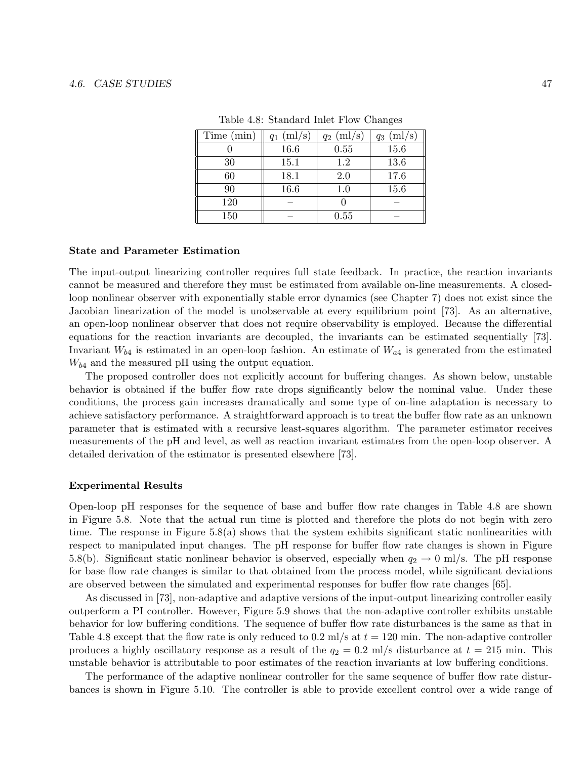| Time (min) | ${\rm (ml/s)}$<br>$q_1$ | (ml/s)<br>$q_2$ | (ml/s)<br>$q_3$ |
|------------|-------------------------|-----------------|-----------------|
|            | 16.6                    | 0.55            | 15.6            |
| 30         | 15.1                    | $1.2\,$         | 13.6            |
| 60         | 18.1                    | 2.0             | 17.6            |
| 90         | 16.6                    | $1.0\,$         | 15.6            |
| 120        |                         |                 |                 |
| 150        |                         | 0.55            |                 |

Table 4.8: Standard Inlet Flow Changes

#### State and Parameter Estimation

The input-output linearizing controller requires full state feedback. In practice, the reaction invariants cannot be measured and therefore they must be estimated from available on-line measurements. A closedloop nonlinear observer with exponentially stable error dynamics (see Chapter 7) does not exist since the Jacobian linearization of the model is unobservable at every equilibrium point [73]. As an alternative, an open-loop nonlinear observer that does not require observability is employed. Because the differential equations for the reaction invariants are decoupled, the invariants can be estimated sequentially [73]. Invariant  $W_{b4}$  is estimated in an open-loop fashion. An estimate of  $W_{a4}$  is generated from the estimated  $W_{b4}$  and the measured pH using the output equation.

The proposed controller does not explicitly account for buffering changes. As shown below, unstable behavior is obtained if the buffer flow rate drops significantly below the nominal value. Under these conditions, the process gain increases dramatically and some type of on-line adaptation is necessary to achieve satisfactory performance. A straightforward approach is to treat the buffer flow rate as an unknown parameter that is estimated with a recursive least-squares algorithm. The parameter estimator receives measurements of the pH and level, as well as reaction invariant estimates from the open-loop observer. A detailed derivation of the estimator is presented elsewhere [73].

#### Experimental Results

Open-loop pH responses for the sequence of base and buffer flow rate changes in Table 4.8 are shown in Figure 5.8. Note that the actual run time is plotted and therefore the plots do not begin with zero time. The response in Figure 5.8(a) shows that the system exhibits significant static nonlinearities with respect to manipulated input changes. The pH response for buffer flow rate changes is shown in Figure 5.8(b). Significant static nonlinear behavior is observed, especially when  $q_2 \to 0$  ml/s. The pH response for base flow rate changes is similar to that obtained from the process model, while significant deviations are observed between the simulated and experimental responses for buffer flow rate changes [65].

As discussed in [73], non-adaptive and adaptive versions of the input-output linearizing controller easily outperform a PI controller. However, Figure 5.9 shows that the non-adaptive controller exhibits unstable behavior for low buffering conditions. The sequence of buffer flow rate disturbances is the same as that in Table 4.8 except that the flow rate is only reduced to 0.2 ml/s at  $t = 120$  min. The non-adaptive controller produces a highly oscillatory response as a result of the  $q_2 = 0.2$  ml/s disturbance at  $t = 215$  min. This unstable behavior is attributable to poor estimates of the reaction invariants at low buffering conditions.

The performance of the adaptive nonlinear controller for the same sequence of buffer flow rate disturbances is shown in Figure 5.10. The controller is able to provide excellent control over a wide range of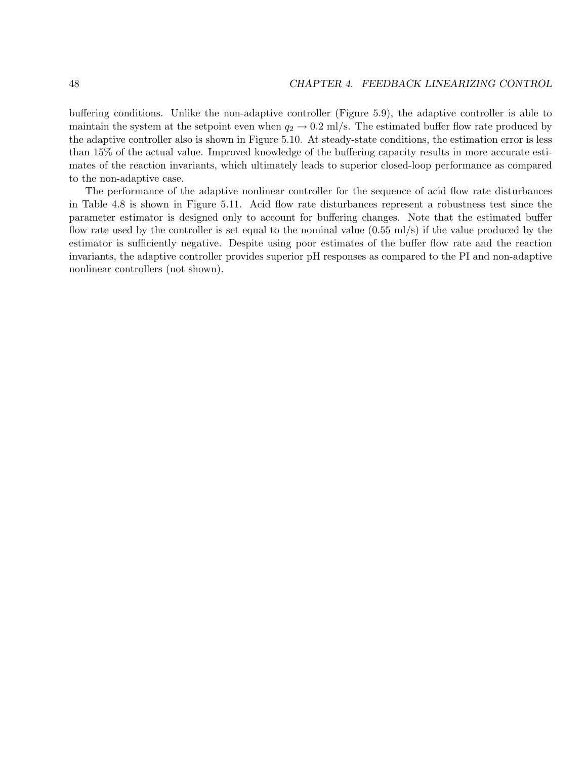buffering conditions. Unlike the non-adaptive controller (Figure 5.9), the adaptive controller is able to maintain the system at the setpoint even when  $q_2 \to 0.2$  ml/s. The estimated buffer flow rate produced by the adaptive controller also is shown in Figure 5.10. At steady-state conditions, the estimation error is less than 15% of the actual value. Improved knowledge of the buffering capacity results in more accurate estimates of the reaction invariants, which ultimately leads to superior closed-loop performance as compared to the non-adaptive case.

The performance of the adaptive nonlinear controller for the sequence of acid flow rate disturbances in Table 4.8 is shown in Figure 5.11. Acid flow rate disturbances represent a robustness test since the parameter estimator is designed only to account for buffering changes. Note that the estimated buffer flow rate used by the controller is set equal to the nominal value (0.55 ml/s) if the value produced by the estimator is sufficiently negative. Despite using poor estimates of the buffer flow rate and the reaction invariants, the adaptive controller provides superior pH responses as compared to the PI and non-adaptive nonlinear controllers (not shown).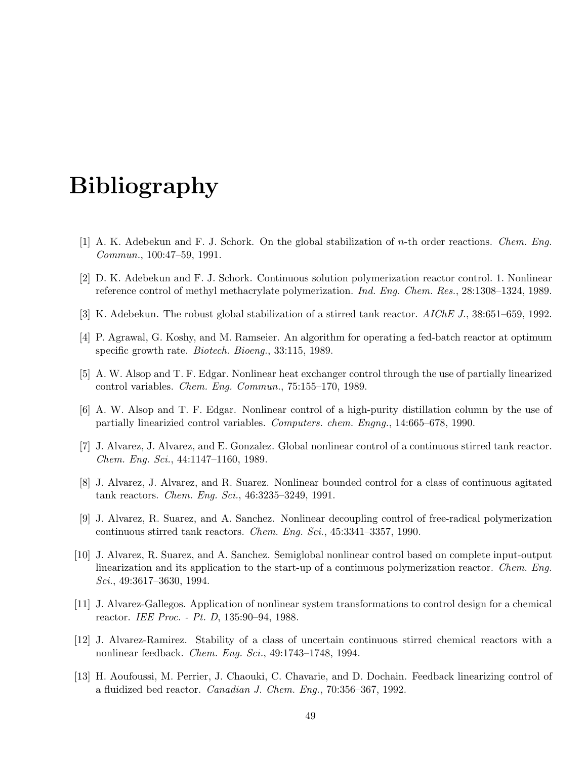# Bibliography

- [1] A. K. Adebekun and F. J. Schork. On the global stabilization of n-th order reactions. Chem. Eng. Commun., 100:47–59, 1991.
- [2] D. K. Adebekun and F. J. Schork. Continuous solution polymerization reactor control. 1. Nonlinear reference control of methyl methacrylate polymerization. Ind. Eng. Chem. Res., 28:1308–1324, 1989.
- [3] K. Adebekun. The robust global stabilization of a stirred tank reactor. AIChE J., 38:651–659, 1992.
- [4] P. Agrawal, G. Koshy, and M. Ramseier. An algorithm for operating a fed-batch reactor at optimum specific growth rate. Biotech. Bioeng., 33:115, 1989.
- [5] A. W. Alsop and T. F. Edgar. Nonlinear heat exchanger control through the use of partially linearized control variables. Chem. Eng. Commun., 75:155–170, 1989.
- [6] A. W. Alsop and T. F. Edgar. Nonlinear control of a high-purity distillation column by the use of partially linearizied control variables. Computers. chem. Engng., 14:665–678, 1990.
- [7] J. Alvarez, J. Alvarez, and E. Gonzalez. Global nonlinear control of a continuous stirred tank reactor. Chem. Eng. Sci., 44:1147–1160, 1989.
- [8] J. Alvarez, J. Alvarez, and R. Suarez. Nonlinear bounded control for a class of continuous agitated tank reactors. Chem. Eng. Sci., 46:3235–3249, 1991.
- [9] J. Alvarez, R. Suarez, and A. Sanchez. Nonlinear decoupling control of free-radical polymerization continuous stirred tank reactors. Chem. Eng. Sci., 45:3341–3357, 1990.
- [10] J. Alvarez, R. Suarez, and A. Sanchez. Semiglobal nonlinear control based on complete input-output linearization and its application to the start-up of a continuous polymerization reactor. Chem. Eng. Sci., 49:3617–3630, 1994.
- [11] J. Alvarez-Gallegos. Application of nonlinear system transformations to control design for a chemical reactor. IEE Proc. - Pt. D, 135:90–94, 1988.
- [12] J. Alvarez-Ramirez. Stability of a class of uncertain continuous stirred chemical reactors with a nonlinear feedback. Chem. Eng. Sci., 49:1743–1748, 1994.
- [13] H. Aoufoussi, M. Perrier, J. Chaouki, C. Chavarie, and D. Dochain. Feedback linearizing control of a fluidized bed reactor. Canadian J. Chem. Eng., 70:356–367, 1992.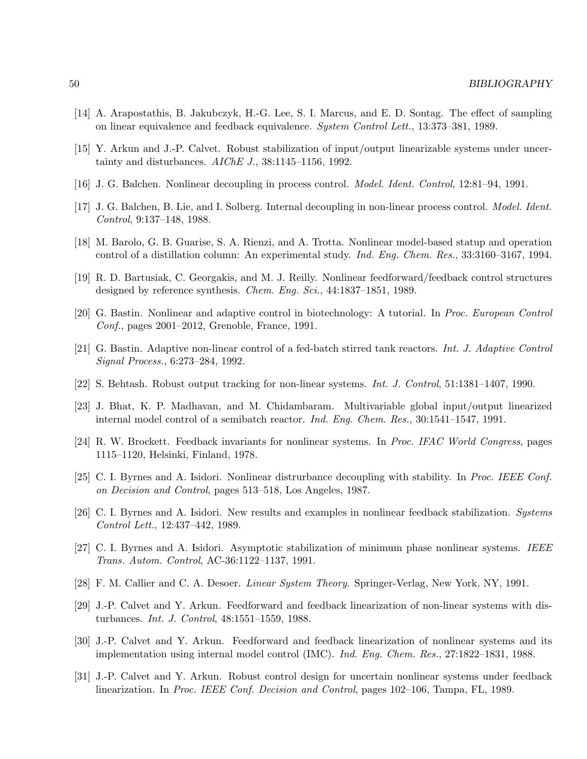- [14] A. Arapostathis, B. Jakubczyk, H.-G. Lee, S. I. Marcus, and E. D. Sontag. The effect of sampling on linear equivalence and feedback equivalence. System Control Lett., 13:373–381, 1989.
- [15] Y. Arkun and J.-P. Calvet. Robust stabilization of input/output linearizable systems under uncertainty and disturbances.  $AIChE$  J., 38:1145–1156, 1992.
- [16] J. G. Balchen. Nonlinear decoupling in process control. Model. Ident. Control, 12:81–94, 1991.
- [17] J. G. Balchen, B. Lie, and I. Solberg. Internal decoupling in non-linear process control. Model. Ident. Control, 9:137–148, 1988.
- [18] M. Barolo, G. B. Guarise, S. A. Rienzi, and A. Trotta. Nonlinear model-based statup and operation control of a distillation column: An experimental study. Ind. Eng. Chem. Res., 33:3160–3167, 1994.
- [19] R. D. Bartusiak, C. Georgakis, and M. J. Reilly. Nonlinear feedforward/feedback control structures designed by reference synthesis. *Chem. Eng. Sci.*, 44:1837–1851, 1989.
- [20] G. Bastin. Nonlinear and adaptive control in biotechnology: A tutorial. In Proc. European Control Conf., pages 2001–2012, Grenoble, France, 1991.
- [21] G. Bastin. Adaptive non-linear control of a fed-batch stirred tank reactors. Int. J. Adaptive Control Signal Process., 6:273–284, 1992.
- [22] S. Behtash. Robust output tracking for non-linear systems. Int. J. Control, 51:1381–1407, 1990.
- [23] J. Bhat, K. P. Madhavan, and M. Chidambaram. Multivariable global input/output linearized internal model control of a semibatch reactor. Ind. Eng. Chem. Res., 30:1541–1547, 1991.
- [24] R. W. Brockett. Feedback invariants for nonlinear systems. In Proc. IFAC World Congress, pages 1115–1120, Helsinki, Finland, 1978.
- [25] C. I. Byrnes and A. Isidori. Nonlinear distrurbance decoupling with stability. In Proc. IEEE Conf. on Decision and Control, pages 513–518, Los Angeles, 1987.
- [26] C. I. Byrnes and A. Isidori. New results and examples in nonlinear feedback stabilization. Systems Control Lett., 12:437–442, 1989.
- [27] C. I. Byrnes and A. Isidori. Asymptotic stabilization of minimum phase nonlinear systems. IEEE Trans. Autom. Control, AC-36:1122–1137, 1991.
- [28] F. M. Callier and C. A. Desoer. Linear System Theory. Springer-Verlag, New York, NY, 1991.
- [29] J.-P. Calvet and Y. Arkun. Feedforward and feedback linearization of non-linear systems with disturbances. Int. J. Control, 48:1551–1559, 1988.
- [30] J.-P. Calvet and Y. Arkun. Feedforward and feedback linearization of nonlinear systems and its implementation using internal model control (IMC). Ind. Eng. Chem. Res., 27:1822–1831, 1988.
- [31] J.-P. Calvet and Y. Arkun. Robust control design for uncertain nonlinear systems under feedback linearization. In Proc. IEEE Conf. Decision and Control, pages 102–106, Tampa, FL, 1989.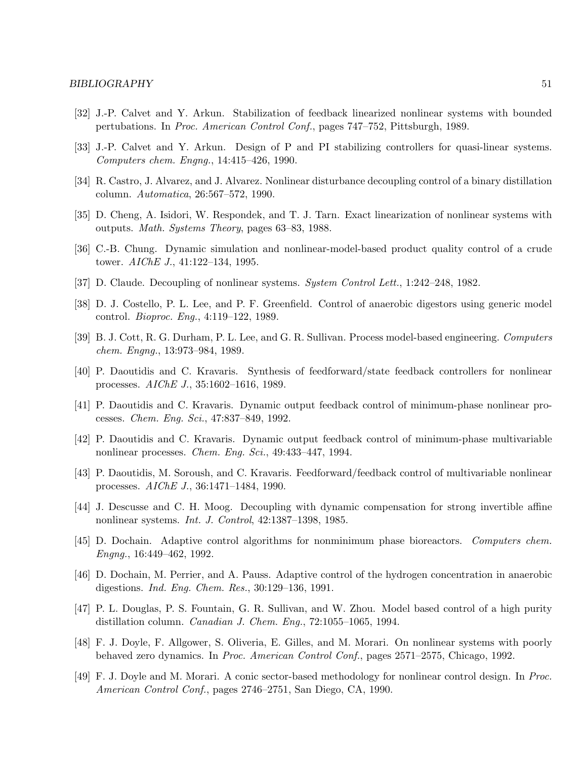- [32] J.-P. Calvet and Y. Arkun. Stabilization of feedback linearized nonlinear systems with bounded pertubations. In Proc. American Control Conf., pages 747–752, Pittsburgh, 1989.
- [33] J.-P. Calvet and Y. Arkun. Design of P and PI stabilizing controllers for quasi-linear systems. Computers chem. Engng., 14:415–426, 1990.
- [34] R. Castro, J. Alvarez, and J. Alvarez. Nonlinear disturbance decoupling control of a binary distillation column. Automatica, 26:567–572, 1990.
- [35] D. Cheng, A. Isidori, W. Respondek, and T. J. Tarn. Exact linearization of nonlinear systems with outputs. Math. Systems Theory, pages 63–83, 1988.
- [36] C.-B. Chung. Dynamic simulation and nonlinear-model-based product quality control of a crude tower. AIChE J., 41:122–134, 1995.
- [37] D. Claude. Decoupling of nonlinear systems. System Control Lett., 1:242–248, 1982.
- [38] D. J. Costello, P. L. Lee, and P. F. Greenfield. Control of anaerobic digestors using generic model control. Bioproc. Eng., 4:119–122, 1989.
- [39] B. J. Cott, R. G. Durham, P. L. Lee, and G. R. Sullivan. Process model-based engineering. Computers chem. Engng., 13:973–984, 1989.
- [40] P. Daoutidis and C. Kravaris. Synthesis of feedforward/state feedback controllers for nonlinear processes. AIChE J., 35:1602–1616, 1989.
- [41] P. Daoutidis and C. Kravaris. Dynamic output feedback control of minimum-phase nonlinear processes. Chem. Eng. Sci., 47:837–849, 1992.
- [42] P. Daoutidis and C. Kravaris. Dynamic output feedback control of minimum-phase multivariable nonlinear processes. Chem. Eng. Sci., 49:433–447, 1994.
- [43] P. Daoutidis, M. Soroush, and C. Kravaris. Feedforward/feedback control of multivariable nonlinear processes. AIChE J., 36:1471–1484, 1990.
- [44] J. Descusse and C. H. Moog. Decoupling with dynamic compensation for strong invertible affine nonlinear systems. Int. J. Control, 42:1387–1398, 1985.
- [45] D. Dochain. Adaptive control algorithms for nonminimum phase bioreactors. Computers chem. Engng., 16:449–462, 1992.
- [46] D. Dochain, M. Perrier, and A. Pauss. Adaptive control of the hydrogen concentration in anaerobic digestions. Ind. Eng. Chem. Res., 30:129–136, 1991.
- [47] P. L. Douglas, P. S. Fountain, G. R. Sullivan, and W. Zhou. Model based control of a high purity distillation column. Canadian J. Chem. Eng., 72:1055–1065, 1994.
- [48] F. J. Doyle, F. Allgower, S. Oliveria, E. Gilles, and M. Morari. On nonlinear systems with poorly behaved zero dynamics. In Proc. American Control Conf., pages 2571–2575, Chicago, 1992.
- [49] F. J. Doyle and M. Morari. A conic sector-based methodology for nonlinear control design. In Proc. American Control Conf., pages 2746–2751, San Diego, CA, 1990.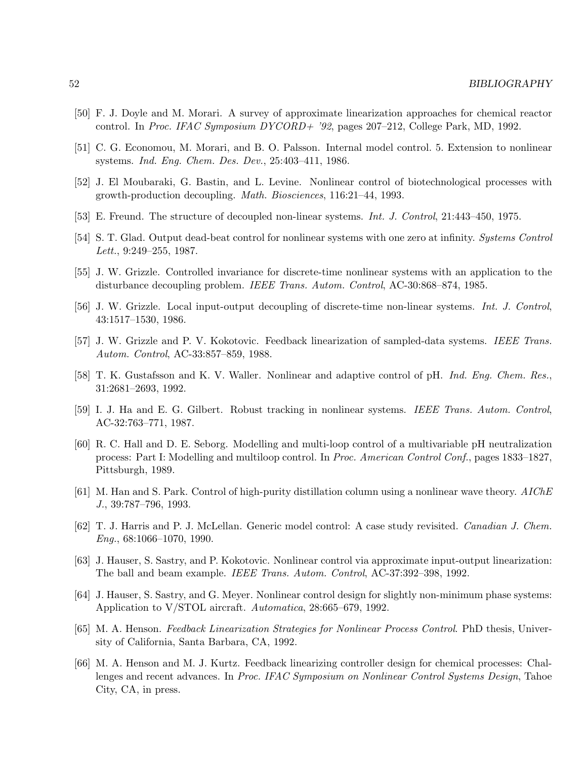- [50] F. J. Doyle and M. Morari. A survey of approximate linearization approaches for chemical reactor control. In Proc. IFAC Symposium DYCORD+ '92, pages 207–212, College Park, MD, 1992.
- [51] C. G. Economou, M. Morari, and B. O. Palsson. Internal model control. 5. Extension to nonlinear systems. Ind. Eng. Chem. Des. Dev., 25:403–411, 1986.
- [52] J. El Moubaraki, G. Bastin, and L. Levine. Nonlinear control of biotechnological processes with growth-production decoupling. Math. Biosciences, 116:21–44, 1993.
- [53] E. Freund. The structure of decoupled non-linear systems. Int. J. Control, 21:443–450, 1975.
- [54] S. T. Glad. Output dead-beat control for nonlinear systems with one zero at infinity. Systems Control Lett., 9:249–255, 1987.
- [55] J. W. Grizzle. Controlled invariance for discrete-time nonlinear systems with an application to the disturbance decoupling problem. IEEE Trans. Autom. Control, AC-30:868–874, 1985.
- [56] J. W. Grizzle. Local input-output decoupling of discrete-time non-linear systems. Int. J. Control, 43:1517–1530, 1986.
- [57] J. W. Grizzle and P. V. Kokotovic. Feedback linearization of sampled-data systems. IEEE Trans. Autom. Control, AC-33:857–859, 1988.
- [58] T. K. Gustafsson and K. V. Waller. Nonlinear and adaptive control of pH. Ind. Eng. Chem. Res., 31:2681–2693, 1992.
- [59] I. J. Ha and E. G. Gilbert. Robust tracking in nonlinear systems. IEEE Trans. Autom. Control, AC-32:763–771, 1987.
- [60] R. C. Hall and D. E. Seborg. Modelling and multi-loop control of a multivariable pH neutralization process: Part I: Modelling and multiloop control. In Proc. American Control Conf., pages 1833–1827, Pittsburgh, 1989.
- [61] M. Han and S. Park. Control of high-purity distillation column using a nonlinear wave theory. AIChE J., 39:787–796, 1993.
- [62] T. J. Harris and P. J. McLellan. Generic model control: A case study revisited. Canadian J. Chem.  $Eng., 68:1066-1070, 1990.$
- [63] J. Hauser, S. Sastry, and P. Kokotovic. Nonlinear control via approximate input-output linearization: The ball and beam example. IEEE Trans. Autom. Control, AC-37:392–398, 1992.
- [64] J. Hauser, S. Sastry, and G. Meyer. Nonlinear control design for slightly non-minimum phase systems: Application to V/STOL aircraft. Automatica, 28:665–679, 1992.
- [65] M. A. Henson. Feedback Linearization Strategies for Nonlinear Process Control. PhD thesis, University of California, Santa Barbara, CA, 1992.
- [66] M. A. Henson and M. J. Kurtz. Feedback linearizing controller design for chemical processes: Challenges and recent advances. In Proc. IFAC Symposium on Nonlinear Control Systems Design, Tahoe City, CA, in press.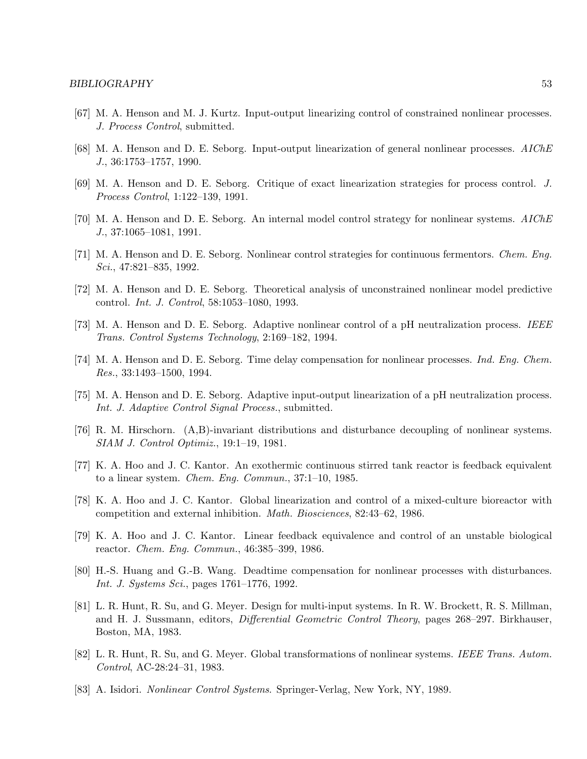- [67] M. A. Henson and M. J. Kurtz. Input-output linearizing control of constrained nonlinear processes. J. Process Control, submitted.
- [68] M. A. Henson and D. E. Seborg. Input-output linearization of general nonlinear processes. AIChE J., 36:1753–1757, 1990.
- [69] M. A. Henson and D. E. Seborg. Critique of exact linearization strategies for process control. J. Process Control, 1:122–139, 1991.
- [70] M. A. Henson and D. E. Seborg. An internal model control strategy for nonlinear systems. AIChE J., 37:1065–1081, 1991.
- [71] M. A. Henson and D. E. Seborg. Nonlinear control strategies for continuous fermentors. Chem. Eng. Sci., 47:821–835, 1992.
- [72] M. A. Henson and D. E. Seborg. Theoretical analysis of unconstrained nonlinear model predictive control. Int. J. Control, 58:1053–1080, 1993.
- [73] M. A. Henson and D. E. Seborg. Adaptive nonlinear control of a pH neutralization process. IEEE Trans. Control Systems Technology, 2:169–182, 1994.
- [74] M. A. Henson and D. E. Seborg. Time delay compensation for nonlinear processes. *Ind. Eng. Chem.* Res., 33:1493–1500, 1994.
- [75] M. A. Henson and D. E. Seborg. Adaptive input-output linearization of a pH neutralization process. Int. J. Adaptive Control Signal Process., submitted.
- [76] R. M. Hirschorn. (A,B)-invariant distributions and disturbance decoupling of nonlinear systems. SIAM J. Control Optimiz., 19:1–19, 1981.
- [77] K. A. Hoo and J. C. Kantor. An exothermic continuous stirred tank reactor is feedback equivalent to a linear system. Chem. Eng. Commun., 37:1–10, 1985.
- [78] K. A. Hoo and J. C. Kantor. Global linearization and control of a mixed-culture bioreactor with competition and external inhibition. Math. Biosciences, 82:43–62, 1986.
- [79] K. A. Hoo and J. C. Kantor. Linear feedback equivalence and control of an unstable biological reactor. Chem. Eng. Commun., 46:385–399, 1986.
- [80] H.-S. Huang and G.-B. Wang. Deadtime compensation for nonlinear processes with disturbances. Int. J. Systems Sci., pages 1761–1776, 1992.
- [81] L. R. Hunt, R. Su, and G. Meyer. Design for multi-input systems. In R. W. Brockett, R. S. Millman, and H. J. Sussmann, editors, *Differential Geometric Control Theory*, pages 268–297. Birkhauser, Boston, MA, 1983.
- [82] L. R. Hunt, R. Su, and G. Meyer. Global transformations of nonlinear systems. IEEE Trans. Autom. Control, AC-28:24–31, 1983.
- [83] A. Isidori. Nonlinear Control Systems. Springer-Verlag, New York, NY, 1989.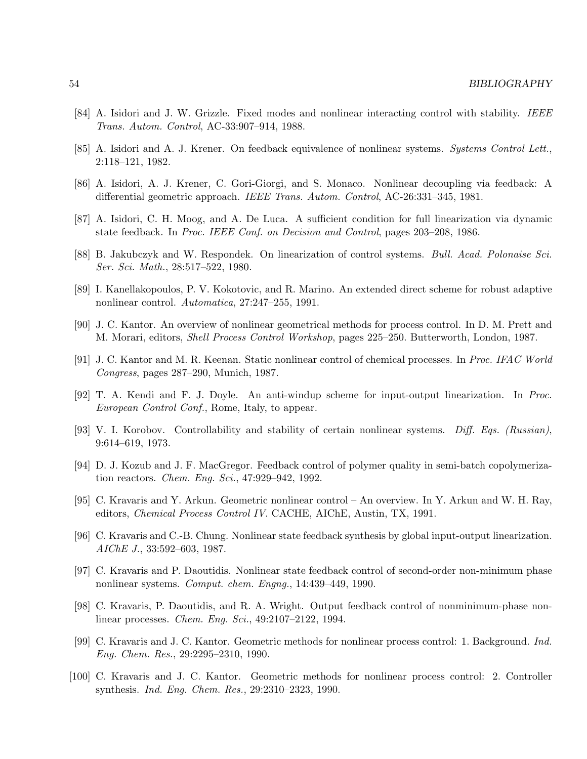- [84] A. Isidori and J. W. Grizzle. Fixed modes and nonlinear interacting control with stability. IEEE Trans. Autom. Control, AC-33:907–914, 1988.
- [85] A. Isidori and A. J. Krener. On feedback equivalence of nonlinear systems. Systems Control Lett., 2:118–121, 1982.
- [86] A. Isidori, A. J. Krener, C. Gori-Giorgi, and S. Monaco. Nonlinear decoupling via feedback: A differential geometric approach. IEEE Trans. Autom. Control, AC-26:331–345, 1981.
- [87] A. Isidori, C. H. Moog, and A. De Luca. A sufficient condition for full linearization via dynamic state feedback. In Proc. IEEE Conf. on Decision and Control, pages 203–208, 1986.
- [88] B. Jakubczyk and W. Respondek. On linearization of control systems. Bull. Acad. Polonaise Sci. Ser. Sci. Math., 28:517–522, 1980.
- [89] I. Kanellakopoulos, P. V. Kokotovic, and R. Marino. An extended direct scheme for robust adaptive nonlinear control. Automatica, 27:247–255, 1991.
- [90] J. C. Kantor. An overview of nonlinear geometrical methods for process control. In D. M. Prett and M. Morari, editors, Shell Process Control Workshop, pages 225–250. Butterworth, London, 1987.
- [91] J. C. Kantor and M. R. Keenan. Static nonlinear control of chemical processes. In Proc. IFAC World Congress, pages 287–290, Munich, 1987.
- [92] T. A. Kendi and F. J. Doyle. An anti-windup scheme for input-output linearization. In Proc. European Control Conf., Rome, Italy, to appear.
- [93] V. I. Korobov. Controllability and stability of certain nonlinear systems. Diff. Eqs. (Russian), 9:614–619, 1973.
- [94] D. J. Kozub and J. F. MacGregor. Feedback control of polymer quality in semi-batch copolymerization reactors. Chem. Eng. Sci., 47:929–942, 1992.
- [95] C. Kravaris and Y. Arkun. Geometric nonlinear control An overview. In Y. Arkun and W. H. Ray, editors, Chemical Process Control IV. CACHE, AIChE, Austin, TX, 1991.
- [96] C. Kravaris and C.-B. Chung. Nonlinear state feedback synthesis by global input-output linearization. AIChE J., 33:592–603, 1987.
- [97] C. Kravaris and P. Daoutidis. Nonlinear state feedback control of second-order non-minimum phase nonlinear systems. Comput. chem. Engng., 14:439–449, 1990.
- [98] C. Kravaris, P. Daoutidis, and R. A. Wright. Output feedback control of nonminimum-phase nonlinear processes. Chem. Eng. Sci., 49:2107–2122, 1994.
- [99] C. Kravaris and J. C. Kantor. Geometric methods for nonlinear process control: 1. Background. Ind. Eng. Chem. Res., 29:2295–2310, 1990.
- [100] C. Kravaris and J. C. Kantor. Geometric methods for nonlinear process control: 2. Controller synthesis. Ind. Eng. Chem. Res., 29:2310–2323, 1990.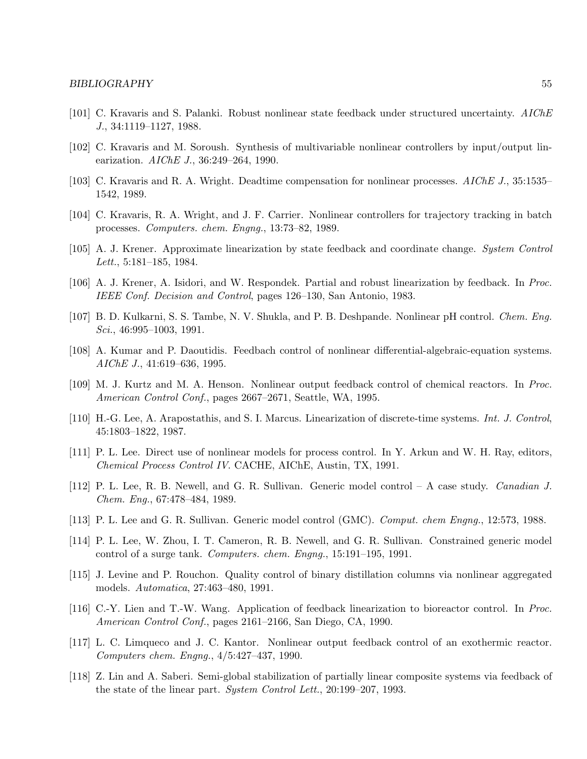- [101] C. Kravaris and S. Palanki. Robust nonlinear state feedback under structured uncertainty. AIChE J., 34:1119–1127, 1988.
- [102] C. Kravaris and M. Soroush. Synthesis of multivariable nonlinear controllers by input/output linearization. AIChE J., 36:249–264, 1990.
- [103] C. Kravaris and R. A. Wright. Deadtime compensation for nonlinear processes. AIChE J., 35:1535– 1542, 1989.
- [104] C. Kravaris, R. A. Wright, and J. F. Carrier. Nonlinear controllers for trajectory tracking in batch processes. Computers. chem. Engng., 13:73–82, 1989.
- [105] A. J. Krener. Approximate linearization by state feedback and coordinate change. System Control Lett., 5:181–185, 1984.
- [106] A. J. Krener, A. Isidori, and W. Respondek. Partial and robust linearization by feedback. In Proc. IEEE Conf. Decision and Control, pages 126–130, San Antonio, 1983.
- [107] B. D. Kulkarni, S. S. Tambe, N. V. Shukla, and P. B. Deshpande. Nonlinear pH control. Chem. Eng. Sci., 46:995-1003, 1991.
- [108] A. Kumar and P. Daoutidis. Feedbach control of nonlinear differential-algebraic-equation systems. AIChE J., 41:619–636, 1995.
- [109] M. J. Kurtz and M. A. Henson. Nonlinear output feedback control of chemical reactors. In Proc. American Control Conf., pages 2667–2671, Seattle, WA, 1995.
- [110] H.-G. Lee, A. Arapostathis, and S. I. Marcus. Linearization of discrete-time systems. Int. J. Control, 45:1803–1822, 1987.
- [111] P. L. Lee. Direct use of nonlinear models for process control. In Y. Arkun and W. H. Ray, editors, Chemical Process Control IV. CACHE, AIChE, Austin, TX, 1991.
- [112] P. L. Lee, R. B. Newell, and G. R. Sullivan. Generic model control A case study. Canadian J. Chem. Eng., 67:478–484, 1989.
- [113] P. L. Lee and G. R. Sullivan. Generic model control (GMC). Comput. chem Engng., 12:573, 1988.
- [114] P. L. Lee, W. Zhou, I. T. Cameron, R. B. Newell, and G. R. Sullivan. Constrained generic model control of a surge tank. Computers. chem. Engng., 15:191–195, 1991.
- [115] J. Levine and P. Rouchon. Quality control of binary distillation columns via nonlinear aggregated models. Automatica, 27:463–480, 1991.
- [116] C.-Y. Lien and T.-W. Wang. Application of feedback linearization to bioreactor control. In Proc. American Control Conf., pages 2161–2166, San Diego, CA, 1990.
- [117] L. C. Limqueco and J. C. Kantor. Nonlinear output feedback control of an exothermic reactor. Computers chem. Engng., 4/5:427–437, 1990.
- [118] Z. Lin and A. Saberi. Semi-global stabilization of partially linear composite systems via feedback of the state of the linear part. System Control Lett., 20:199–207, 1993.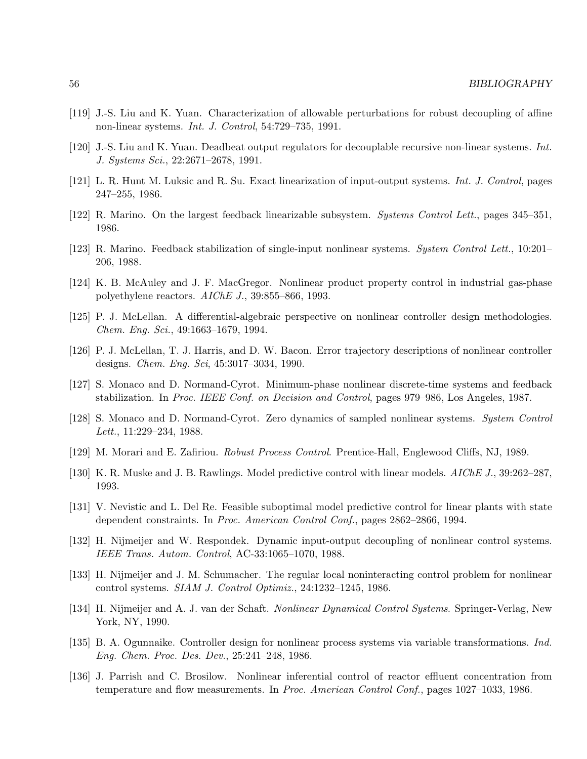- [119] J.-S. Liu and K. Yuan. Characterization of allowable perturbations for robust decoupling of affine non-linear systems. Int. J. Control, 54:729–735, 1991.
- [120] J.-S. Liu and K. Yuan. Deadbeat output regulators for decouplable recursive non-linear systems. Int. J. Systems Sci., 22:2671–2678, 1991.
- [121] L. R. Hunt M. Luksic and R. Su. Exact linearization of input-output systems. Int. J. Control, pages 247–255, 1986.
- [122] R. Marino. On the largest feedback linearizable subsystem. Systems Control Lett., pages 345–351, 1986.
- [123] R. Marino. Feedback stabilization of single-input nonlinear systems. System Control Lett., 10:201– 206, 1988.
- [124] K. B. McAuley and J. F. MacGregor. Nonlinear product property control in industrial gas-phase polyethylene reactors. AIChE J., 39:855–866, 1993.
- [125] P. J. McLellan. A differential-algebraic perspective on nonlinear controller design methodologies. Chem. Eng. Sci., 49:1663–1679, 1994.
- [126] P. J. McLellan, T. J. Harris, and D. W. Bacon. Error trajectory descriptions of nonlinear controller designs. Chem. Eng. Sci, 45:3017–3034, 1990.
- [127] S. Monaco and D. Normand-Cyrot. Minimum-phase nonlinear discrete-time systems and feedback stabilization. In Proc. IEEE Conf. on Decision and Control, pages 979–986, Los Angeles, 1987.
- [128] S. Monaco and D. Normand-Cyrot. Zero dynamics of sampled nonlinear systems. System Control Lett., 11:229–234, 1988.
- [129] M. Morari and E. Zafiriou. Robust Process Control. Prentice-Hall, Englewood Cliffs, NJ, 1989.
- [130] K. R. Muske and J. B. Rawlings. Model predictive control with linear models. AIChE J., 39:262–287, 1993.
- [131] V. Nevistic and L. Del Re. Feasible suboptimal model predictive control for linear plants with state dependent constraints. In Proc. American Control Conf., pages 2862–2866, 1994.
- [132] H. Nijmeijer and W. Respondek. Dynamic input-output decoupling of nonlinear control systems. IEEE Trans. Autom. Control, AC-33:1065–1070, 1988.
- [133] H. Nijmeijer and J. M. Schumacher. The regular local noninteracting control problem for nonlinear control systems. SIAM J. Control Optimiz., 24:1232–1245, 1986.
- [134] H. Nijmeijer and A. J. van der Schaft. Nonlinear Dynamical Control Systems. Springer-Verlag, New York, NY, 1990.
- [135] B. A. Ogunnaike. Controller design for nonlinear process systems via variable transformations. Ind. Eng. Chem. Proc. Des. Dev., 25:241–248, 1986.
- [136] J. Parrish and C. Brosilow. Nonlinear inferential control of reactor effluent concentration from temperature and flow measurements. In *Proc. American Control Conf.*, pages 1027–1033, 1986.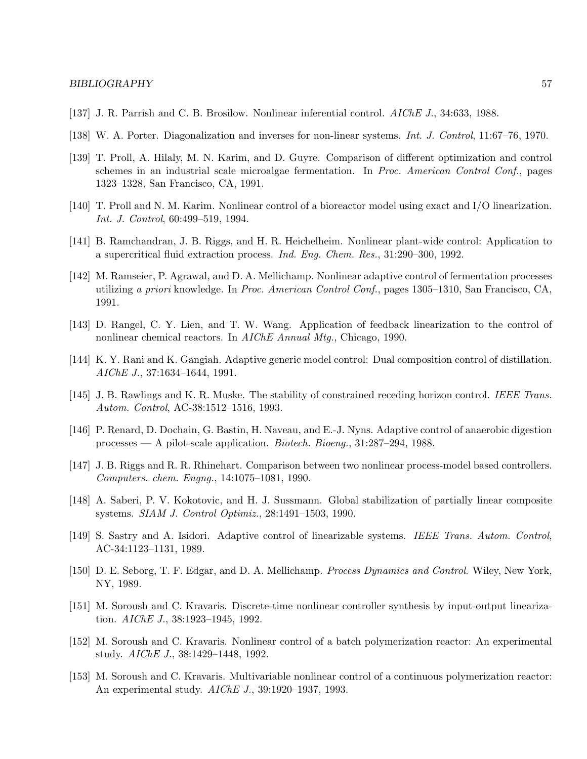- [137] J. R. Parrish and C. B. Brosilow. Nonlinear inferential control. AIChE J., 34:633, 1988.
- [138] W. A. Porter. Diagonalization and inverses for non-linear systems. Int. J. Control, 11:67–76, 1970.
- [139] T. Proll, A. Hilaly, M. N. Karim, and D. Guyre. Comparison of different optimization and control schemes in an industrial scale microalgae fermentation. In Proc. American Control Conf., pages 1323–1328, San Francisco, CA, 1991.
- [140] T. Proll and N. M. Karim. Nonlinear control of a bioreactor model using exact and I/O linearization. Int. J. Control, 60:499–519, 1994.
- [141] B. Ramchandran, J. B. Riggs, and H. R. Heichelheim. Nonlinear plant-wide control: Application to a supercritical fluid extraction process. Ind. Eng. Chem. Res., 31:290–300, 1992.
- [142] M. Ramseier, P. Agrawal, and D. A. Mellichamp. Nonlinear adaptive control of fermentation processes utilizing a priori knowledge. In Proc. American Control Conf., pages 1305–1310, San Francisco, CA, 1991.
- [143] D. Rangel, C. Y. Lien, and T. W. Wang. Application of feedback linearization to the control of nonlinear chemical reactors. In AIChE Annual Mtg., Chicago, 1990.
- [144] K. Y. Rani and K. Gangiah. Adaptive generic model control: Dual composition control of distillation. AIChE J., 37:1634–1644, 1991.
- [145] J. B. Rawlings and K. R. Muske. The stability of constrained receding horizon control. IEEE Trans. Autom. Control, AC-38:1512–1516, 1993.
- [146] P. Renard, D. Dochain, G. Bastin, H. Naveau, and E.-J. Nyns. Adaptive control of anaerobic digestion processes — A pilot-scale application. Biotech. Bioeng., 31:287–294, 1988.
- [147] J. B. Riggs and R. R. Rhinehart. Comparison between two nonlinear process-model based controllers. Computers. chem. Engng., 14:1075–1081, 1990.
- [148] A. Saberi, P. V. Kokotovic, and H. J. Sussmann. Global stabilization of partially linear composite systems. SIAM J. Control Optimiz., 28:1491–1503, 1990.
- [149] S. Sastry and A. Isidori. Adaptive control of linearizable systems. IEEE Trans. Autom. Control, AC-34:1123–1131, 1989.
- [150] D. E. Seborg, T. F. Edgar, and D. A. Mellichamp. Process Dynamics and Control. Wiley, New York, NY, 1989.
- [151] M. Soroush and C. Kravaris. Discrete-time nonlinear controller synthesis by input-output linearization. AIChE J., 38:1923–1945, 1992.
- [152] M. Soroush and C. Kravaris. Nonlinear control of a batch polymerization reactor: An experimental study. AIChE J., 38:1429–1448, 1992.
- [153] M. Soroush and C. Kravaris. Multivariable nonlinear control of a continuous polymerization reactor: An experimental study. AIChE J., 39:1920–1937, 1993.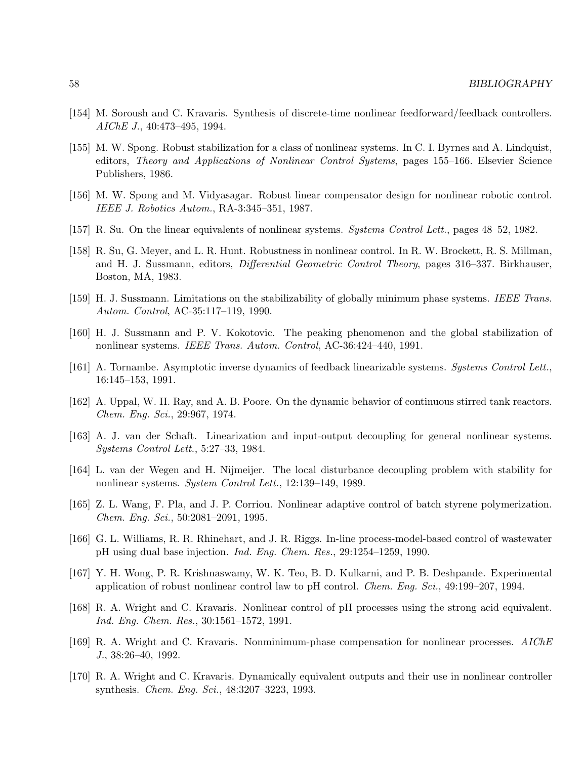- [154] M. Soroush and C. Kravaris. Synthesis of discrete-time nonlinear feedforward/feedback controllers. AIChE J., 40:473–495, 1994.
- [155] M. W. Spong. Robust stabilization for a class of nonlinear systems. In C. I. Byrnes and A. Lindquist, editors, Theory and Applications of Nonlinear Control Systems, pages 155–166. Elsevier Science Publishers, 1986.
- [156] M. W. Spong and M. Vidyasagar. Robust linear compensator design for nonlinear robotic control. IEEE J. Robotics Autom., RA-3:345–351, 1987.
- [157] R. Su. On the linear equivalents of nonlinear systems. Systems Control Lett., pages 48–52, 1982.
- [158] R. Su, G. Meyer, and L. R. Hunt. Robustness in nonlinear control. In R. W. Brockett, R. S. Millman, and H. J. Sussmann, editors, *Differential Geometric Control Theory*, pages 316–337. Birkhauser, Boston, MA, 1983.
- [159] H. J. Sussmann. Limitations on the stabilizability of globally minimum phase systems. IEEE Trans. Autom. Control, AC-35:117–119, 1990.
- [160] H. J. Sussmann and P. V. Kokotovic. The peaking phenomenon and the global stabilization of nonlinear systems. IEEE Trans. Autom. Control, AC-36:424–440, 1991.
- [161] A. Tornambe. Asymptotic inverse dynamics of feedback linearizable systems. Systems Control Lett., 16:145–153, 1991.
- [162] A. Uppal, W. H. Ray, and A. B. Poore. On the dynamic behavior of continuous stirred tank reactors. Chem. Eng. Sci., 29:967, 1974.
- [163] A. J. van der Schaft. Linearization and input-output decoupling for general nonlinear systems. Systems Control Lett., 5:27–33, 1984.
- [164] L. van der Wegen and H. Nijmeijer. The local disturbance decoupling problem with stability for nonlinear systems. System Control Lett., 12:139–149, 1989.
- [165] Z. L. Wang, F. Pla, and J. P. Corriou. Nonlinear adaptive control of batch styrene polymerization. Chem. Eng. Sci., 50:2081–2091, 1995.
- [166] G. L. Williams, R. R. Rhinehart, and J. R. Riggs. In-line process-model-based control of wastewater pH using dual base injection. Ind. Eng. Chem. Res., 29:1254–1259, 1990.
- [167] Y. H. Wong, P. R. Krishnaswamy, W. K. Teo, B. D. Kulkarni, and P. B. Deshpande. Experimental application of robust nonlinear control law to pH control. Chem. Eng. Sci., 49:199–207, 1994.
- [168] R. A. Wright and C. Kravaris. Nonlinear control of pH processes using the strong acid equivalent. Ind. Eng. Chem. Res., 30:1561–1572, 1991.
- [169] R. A. Wright and C. Kravaris. Nonminimum-phase compensation for nonlinear processes. AIChE J., 38:26–40, 1992.
- [170] R. A. Wright and C. Kravaris. Dynamically equivalent outputs and their use in nonlinear controller synthesis. Chem. Eng. Sci., 48:3207–3223, 1993.